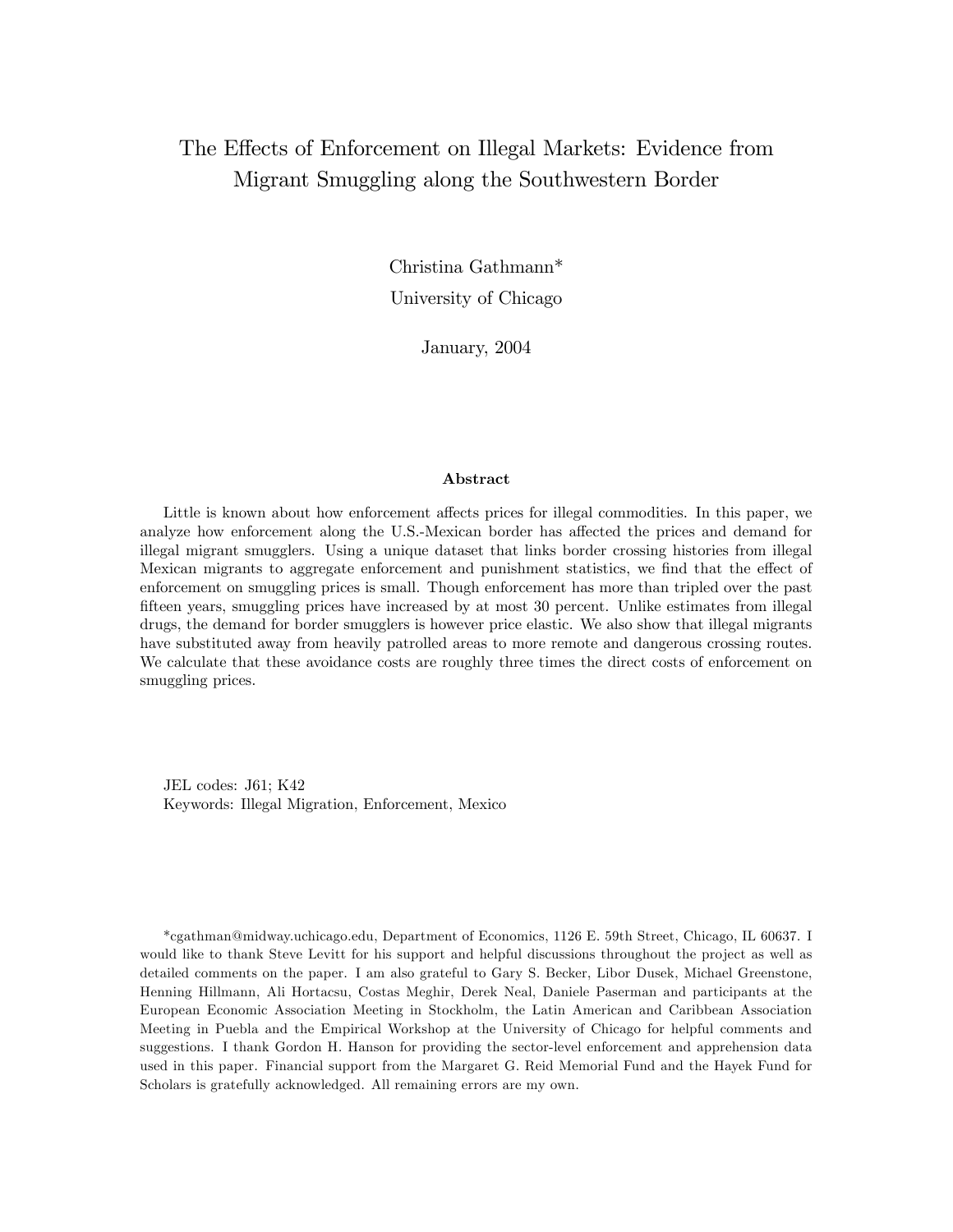# The Effects of Enforcement on Illegal Markets: Evidence from Migrant Smuggling along the Southwestern Border

Christina Gathmann\* University of Chicago

January, 2004

#### Abstract

Little is known about how enforcement affects prices for illegal commodities. In this paper, we analyze how enforcement along the U.S.-Mexican border has affected the prices and demand for illegal migrant smugglers. Using a unique dataset that links border crossing histories from illegal Mexican migrants to aggregate enforcement and punishment statistics, we find that the effect of enforcement on smuggling prices is small. Though enforcement has more than tripled over the past fifteen years, smuggling prices have increased by at most 30 percent. Unlike estimates from illegal drugs, the demand for border smugglers is however price elastic. We also show that illegal migrants have substituted away from heavily patrolled areas to more remote and dangerous crossing routes. We calculate that these avoidance costs are roughly three times the direct costs of enforcement on smuggling prices.

JEL codes: J61; K42 Keywords: Illegal Migration, Enforcement, Mexico

\*cgathman@midway.uchicago.edu, Department of Economics, 1126 E. 59th Street, Chicago, IL 60637. I would like to thank Steve Levitt for his support and helpful discussions throughout the project as well as detailed comments on the paper. I am also grateful to Gary S. Becker, Libor Dusek, Michael Greenstone, Henning Hillmann, Ali Hortacsu, Costas Meghir, Derek Neal, Daniele Paserman and participants at the European Economic Association Meeting in Stockholm, the Latin American and Caribbean Association Meeting in Puebla and the Empirical Workshop at the University of Chicago for helpful comments and suggestions. I thank Gordon H. Hanson for providing the sector-level enforcement and apprehension data used in this paper. Financial support from the Margaret G. Reid Memorial Fund and the Hayek Fund for Scholars is gratefully acknowledged. All remaining errors are my own.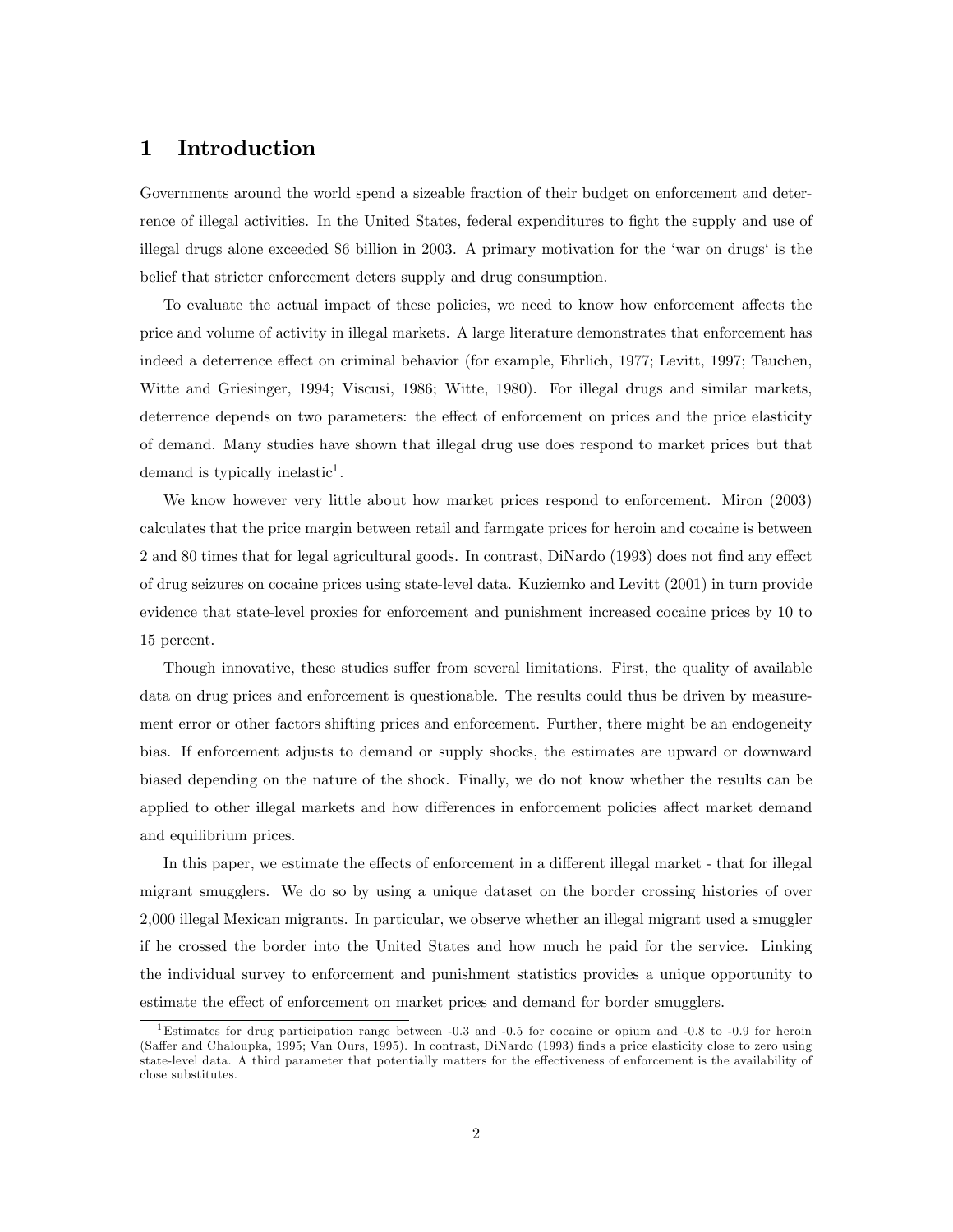## 1 Introduction

Governments around the world spend a sizeable fraction of their budget on enforcement and deterrence of illegal activities. In the United States, federal expenditures to fight the supply and use of illegal drugs alone exceeded \$6 billion in 2003. A primary motivation for the 'war on drugs' is the belief that stricter enforcement deters supply and drug consumption.

To evaluate the actual impact of these policies, we need to know how enforcement affects the price and volume of activity in illegal markets. A large literature demonstrates that enforcement has indeed a deterrence effect on criminal behavior (for example, Ehrlich, 1977; Levitt, 1997; Tauchen, Witte and Griesinger, 1994; Viscusi, 1986; Witte, 1980). For illegal drugs and similar markets, deterrence depends on two parameters: the effect of enforcement on prices and the price elasticity of demand. Many studies have shown that illegal drug use does respond to market prices but that demand is typically inelastic<sup>1</sup>.

We know however very little about how market prices respond to enforcement. Miron (2003) calculates that the price margin between retail and farmgate prices for heroin and cocaine is between 2 and 80 times that for legal agricultural goods. In contrast, DiNardo (1993) does not find any effect of drug seizures on cocaine prices using state-level data. Kuziemko and Levitt (2001) in turn provide evidence that state-level proxies for enforcement and punishment increased cocaine prices by 10 to 15 percent.

Though innovative, these studies suffer from several limitations. First, the quality of available data on drug prices and enforcement is questionable. The results could thus be driven by measurement error or other factors shifting prices and enforcement. Further, there might be an endogeneity bias. If enforcement adjusts to demand or supply shocks, the estimates are upward or downward biased depending on the nature of the shock. Finally, we do not know whether the results can be applied to other illegal markets and how differences in enforcement policies affect market demand and equilibrium prices.

In this paper, we estimate the effects of enforcement in a different illegal market - that for illegal migrant smugglers. We do so by using a unique dataset on the border crossing histories of over 2,000 illegal Mexican migrants. In particular, we observe whether an illegal migrant used a smuggler if he crossed the border into the United States and how much he paid for the service. Linking the individual survey to enforcement and punishment statistics provides a unique opportunity to estimate the effect of enforcement on market prices and demand for border smugglers.

<sup>&</sup>lt;sup>1</sup>Estimates for drug participation range between  $-0.3$  and  $-0.5$  for cocaine or opium and  $-0.8$  to  $-0.9$  for heroin (Saffer and Chaloupka, 1995; Van Ours, 1995). In contrast, DiNardo (1993) finds a price elasticity close to zero using state-level data. A third parameter that potentially matters for the effectiveness of enforcement is the availability of close substitutes.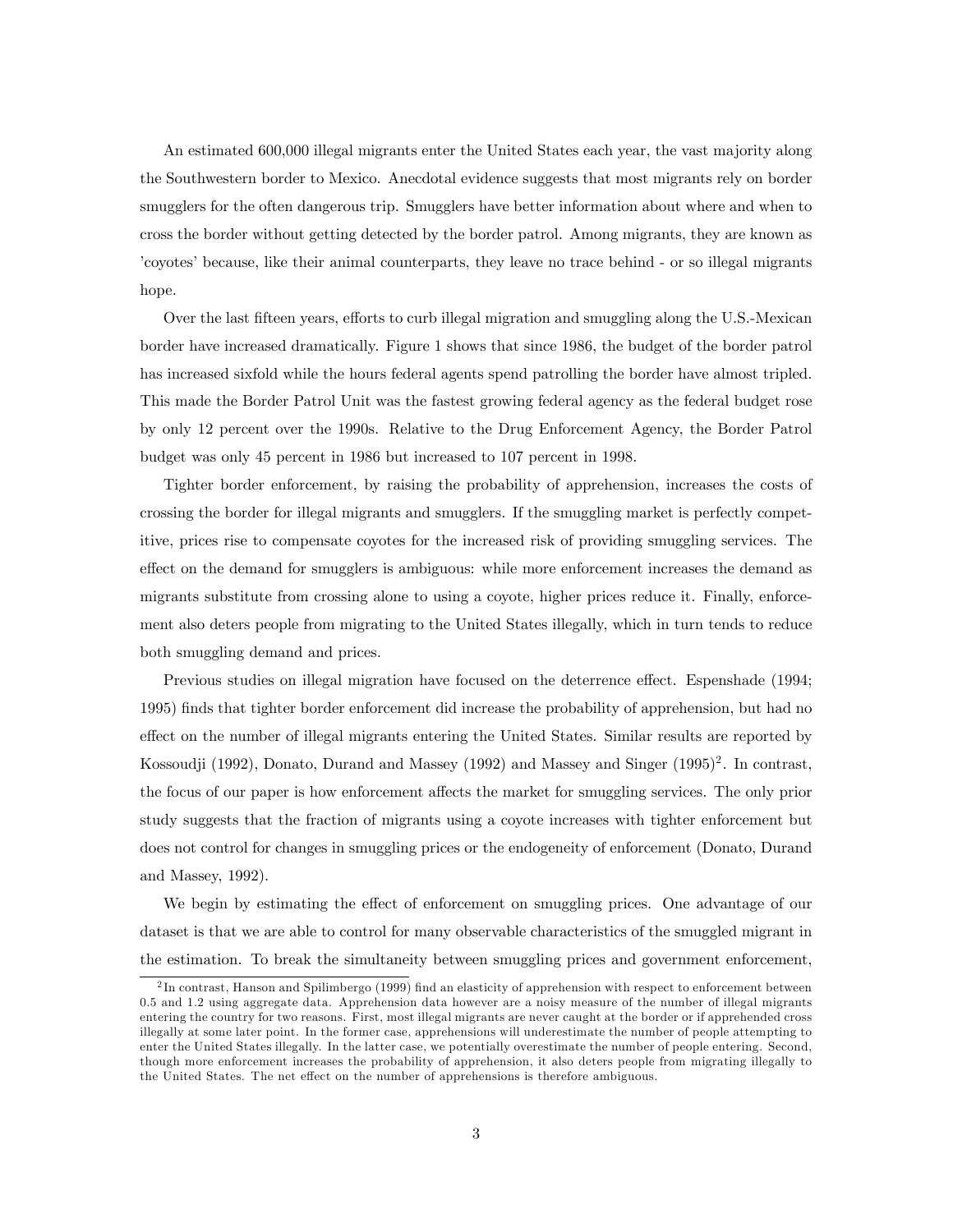An estimated 600,000 illegal migrants enter the United States each year, the vast majority along the Southwestern border to Mexico. Anecdotal evidence suggests that most migrants rely on border smugglers for the often dangerous trip. Smugglers have better information about where and when to cross the border without getting detected by the border patrol. Among migrants, they are known as ícoyotesíbecause, like their animal counterparts, they leave no trace behind - or so illegal migrants hope.

Over the last fifteen years, efforts to curb illegal migration and smuggling along the U.S.-Mexican border have increased dramatically. Figure 1 shows that since 1986, the budget of the border patrol has increased sixfold while the hours federal agents spend patrolling the border have almost tripled. This made the Border Patrol Unit was the fastest growing federal agency as the federal budget rose by only 12 percent over the 1990s. Relative to the Drug Enforcement Agency, the Border Patrol budget was only 45 percent in 1986 but increased to 107 percent in 1998.

Tighter border enforcement, by raising the probability of apprehension, increases the costs of crossing the border for illegal migrants and smugglers. If the smuggling market is perfectly competitive, prices rise to compensate coyotes for the increased risk of providing smuggling services. The effect on the demand for smugglers is ambiguous: while more enforcement increases the demand as migrants substitute from crossing alone to using a coyote, higher prices reduce it. Finally, enforcement also deters people from migrating to the United States illegally, which in turn tends to reduce both smuggling demand and prices.

Previous studies on illegal migration have focused on the deterrence effect. Espenshade (1994; 1995) Önds that tighter border enforcement did increase the probability of apprehension, but had no effect on the number of illegal migrants entering the United States. Similar results are reported by Kossoudji (1992), Donato, Durand and Massey (1992) and Massey and Singer (1995)<sup>2</sup>. In contrast, the focus of our paper is how enforcement affects the market for smuggling services. The only prior study suggests that the fraction of migrants using a coyote increases with tighter enforcement but does not control for changes in smuggling prices or the endogeneity of enforcement (Donato, Durand and Massey, 1992).

We begin by estimating the effect of enforcement on smuggling prices. One advantage of our dataset is that we are able to control for many observable characteristics of the smuggled migrant in the estimation. To break the simultaneity between smuggling prices and government enforcement,

 $^{2}$ In contrast, Hanson and Spilimbergo (1999) find an elasticity of apprehension with respect to enforcement between 0.5 and 1.2 using aggregate data. Apprehension data however are a noisy measure of the number of illegal migrants entering the country for two reasons. First, most illegal migrants are never caught at the border or if apprehended cross illegally at some later point. In the former case, apprehensions will underestimate the number of people attempting to enter the United States illegally. In the latter case, we potentially overestimate the number of people entering. Second, though more enforcement increases the probability of apprehension, it also deters people from migrating illegally to the United States. The net effect on the number of apprehensions is therefore ambiguous.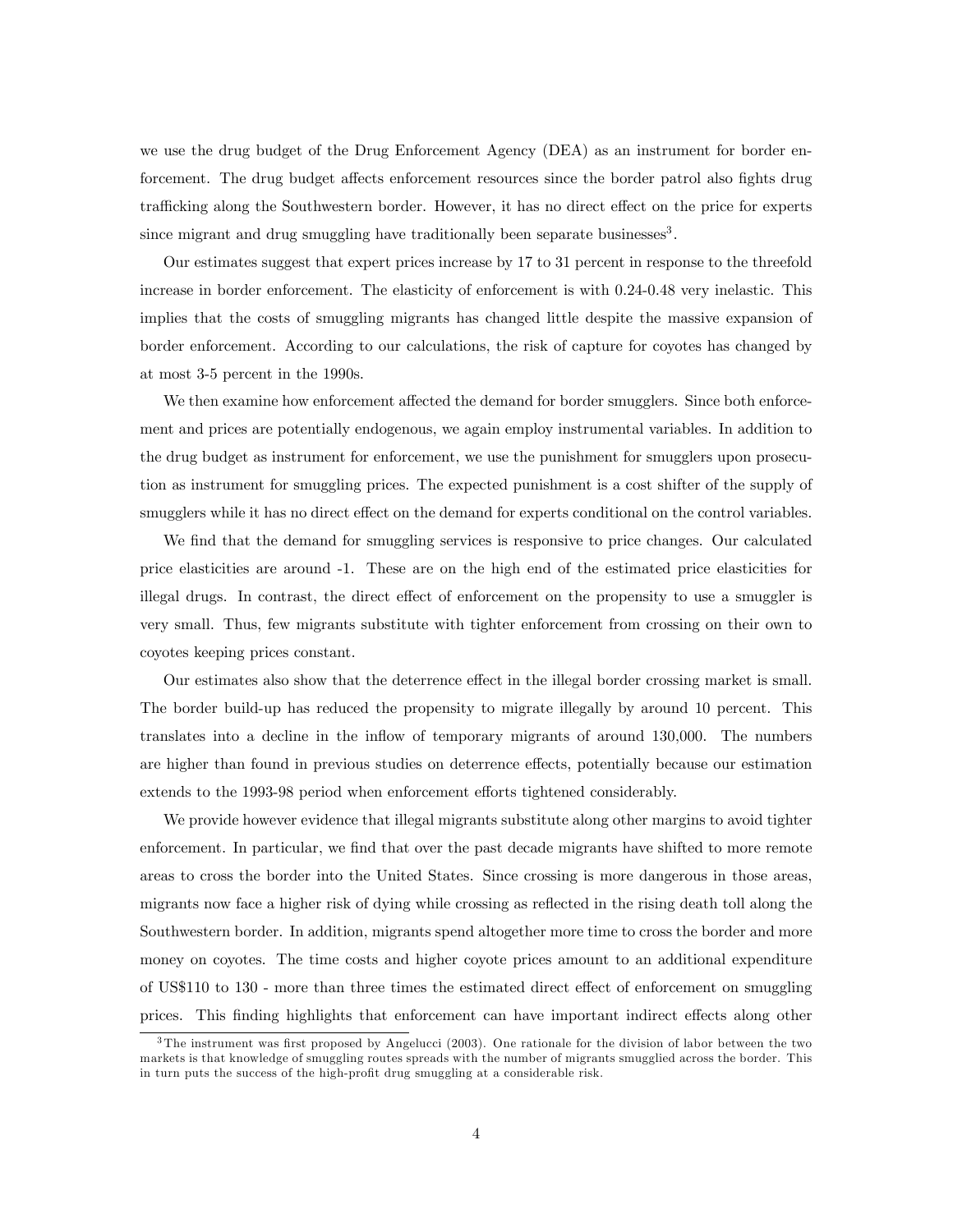we use the drug budget of the Drug Enforcement Agency (DEA) as an instrument for border enforcement. The drug budget affects enforcement resources since the border patrol also fights drug trafficking along the Southwestern border. However, it has no direct effect on the price for experts since migrant and drug smuggling have traditionally been separate businesses<sup>3</sup>.

Our estimates suggest that expert prices increase by 17 to 31 percent in response to the threefold increase in border enforcement. The elasticity of enforcement is with 0.24-0.48 very inelastic. This implies that the costs of smuggling migrants has changed little despite the massive expansion of border enforcement. According to our calculations, the risk of capture for coyotes has changed by at most 3-5 percent in the 1990s.

We then examine how enforcement affected the demand for border smugglers. Since both enforcement and prices are potentially endogenous, we again employ instrumental variables. In addition to the drug budget as instrument for enforcement, we use the punishment for smugglers upon prosecution as instrument for smuggling prices. The expected punishment is a cost shifter of the supply of smugglers while it has no direct effect on the demand for experts conditional on the control variables.

We find that the demand for smuggling services is responsive to price changes. Our calculated price elasticities are around -1. These are on the high end of the estimated price elasticities for illegal drugs. In contrast, the direct effect of enforcement on the propensity to use a smuggler is very small. Thus, few migrants substitute with tighter enforcement from crossing on their own to coyotes keeping prices constant.

Our estimates also show that the deterrence effect in the illegal border crossing market is small. The border build-up has reduced the propensity to migrate illegally by around 10 percent. This translates into a decline in the inflow of temporary migrants of around 130,000. The numbers are higher than found in previous studies on deterrence effects, potentially because our estimation extends to the 1993-98 period when enforcement efforts tightened considerably.

We provide however evidence that illegal migrants substitute along other margins to avoid tighter enforcement. In particular, we find that over the past decade migrants have shifted to more remote areas to cross the border into the United States. Since crossing is more dangerous in those areas, migrants now face a higher risk of dying while crossing as reflected in the rising death toll along the Southwestern border. In addition, migrants spend altogether more time to cross the border and more money on coyotes. The time costs and higher coyote prices amount to an additional expenditure of US\$110 to 130 - more than three times the estimated direct effect of enforcement on smuggling prices. This finding highlights that enforcement can have important indirect effects along other

 $3$ The instrument was first proposed by Angelucci (2003). One rationale for the division of labor between the two markets is that knowledge of smuggling routes spreads with the number of migrants smugglied across the border. This in turn puts the success of the high-profit drug smuggling at a considerable risk.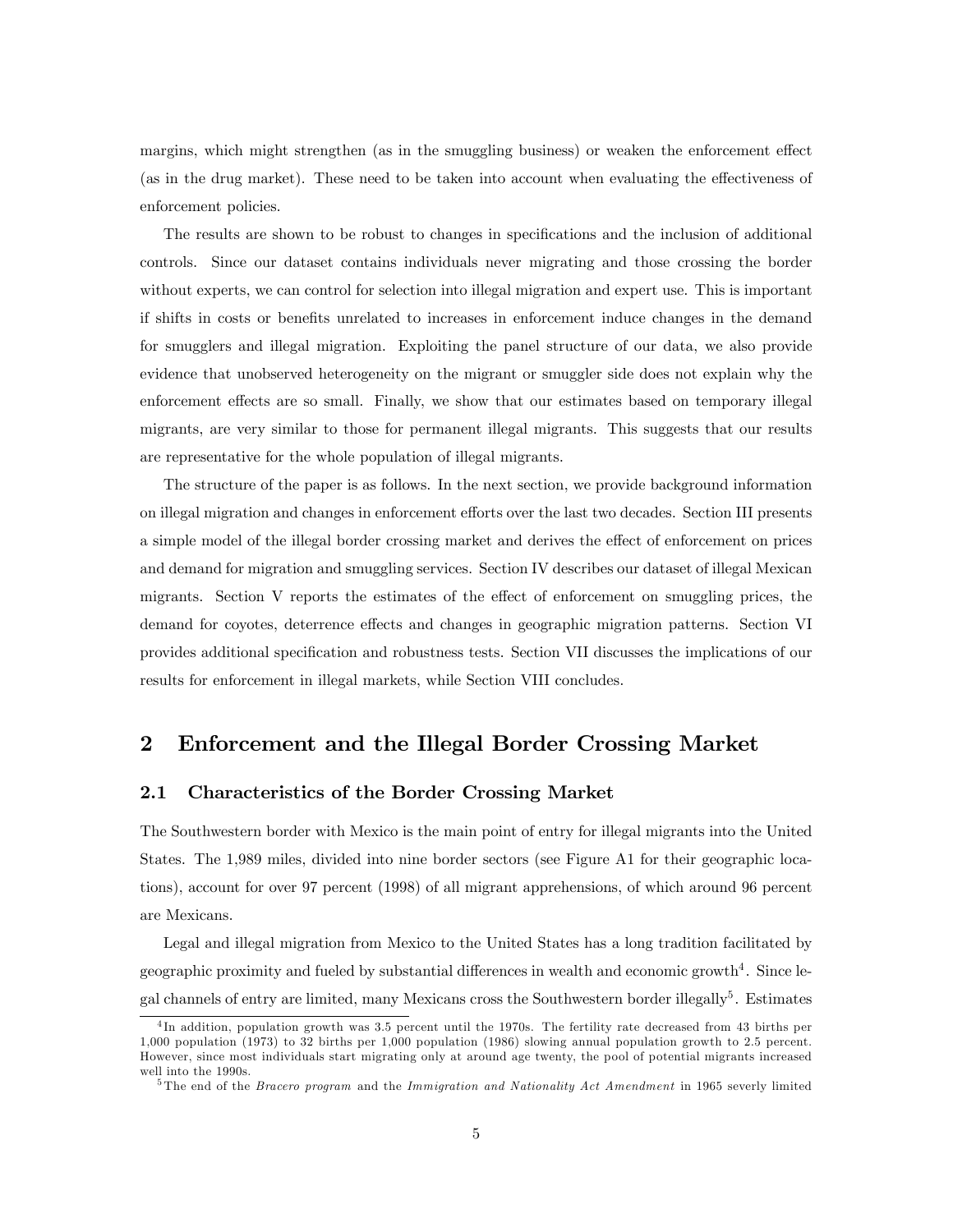margins, which might strengthen (as in the smuggling business) or weaken the enforcement effect (as in the drug market). These need to be taken into account when evaluating the effectiveness of enforcement policies.

The results are shown to be robust to changes in specifications and the inclusion of additional controls. Since our dataset contains individuals never migrating and those crossing the border without experts, we can control for selection into illegal migration and expert use. This is important if shifts in costs or benefits unrelated to increases in enforcement induce changes in the demand for smugglers and illegal migration. Exploiting the panel structure of our data, we also provide evidence that unobserved heterogeneity on the migrant or smuggler side does not explain why the enforcement effects are so small. Finally, we show that our estimates based on temporary illegal migrants, are very similar to those for permanent illegal migrants. This suggests that our results are representative for the whole population of illegal migrants.

The structure of the paper is as follows. In the next section, we provide background information on illegal migration and changes in enforcement efforts over the last two decades. Section III presents a simple model of the illegal border crossing market and derives the effect of enforcement on prices and demand for migration and smuggling services. Section IV describes our dataset of illegal Mexican migrants. Section V reports the estimates of the effect of enforcement on smuggling prices, the demand for coyotes, deterrence effects and changes in geographic migration patterns. Section VI provides additional specification and robustness tests. Section VII discusses the implications of our results for enforcement in illegal markets, while Section VIII concludes.

### 2 Enforcement and the Illegal Border Crossing Market

#### 2.1 Characteristics of the Border Crossing Market

The Southwestern border with Mexico is the main point of entry for illegal migrants into the United States. The 1,989 miles, divided into nine border sectors (see Figure A1 for their geographic locations), account for over 97 percent (1998) of all migrant apprehensions, of which around 96 percent are Mexicans.

Legal and illegal migration from Mexico to the United States has a long tradition facilitated by geographic proximity and fueled by substantial differences in wealth and economic growth<sup>4</sup>. Since legal channels of entry are limited, many Mexicans cross the Southwestern border illegally<sup>5</sup>. Estimates

<sup>&</sup>lt;sup>4</sup>In addition, population growth was 3.5 percent until the 1970s. The fertility rate decreased from 43 births per 1,000 population (1973) to 32 births per 1,000 population (1986) slowing annual population growth to 2.5 percent. However, since most individuals start migrating only at around age twenty, the pool of potential migrants increased well into the 1990s.

 $5$ The end of the *Bracero program* and the *Immigration and Nationality Act Amendment* in 1965 severly limited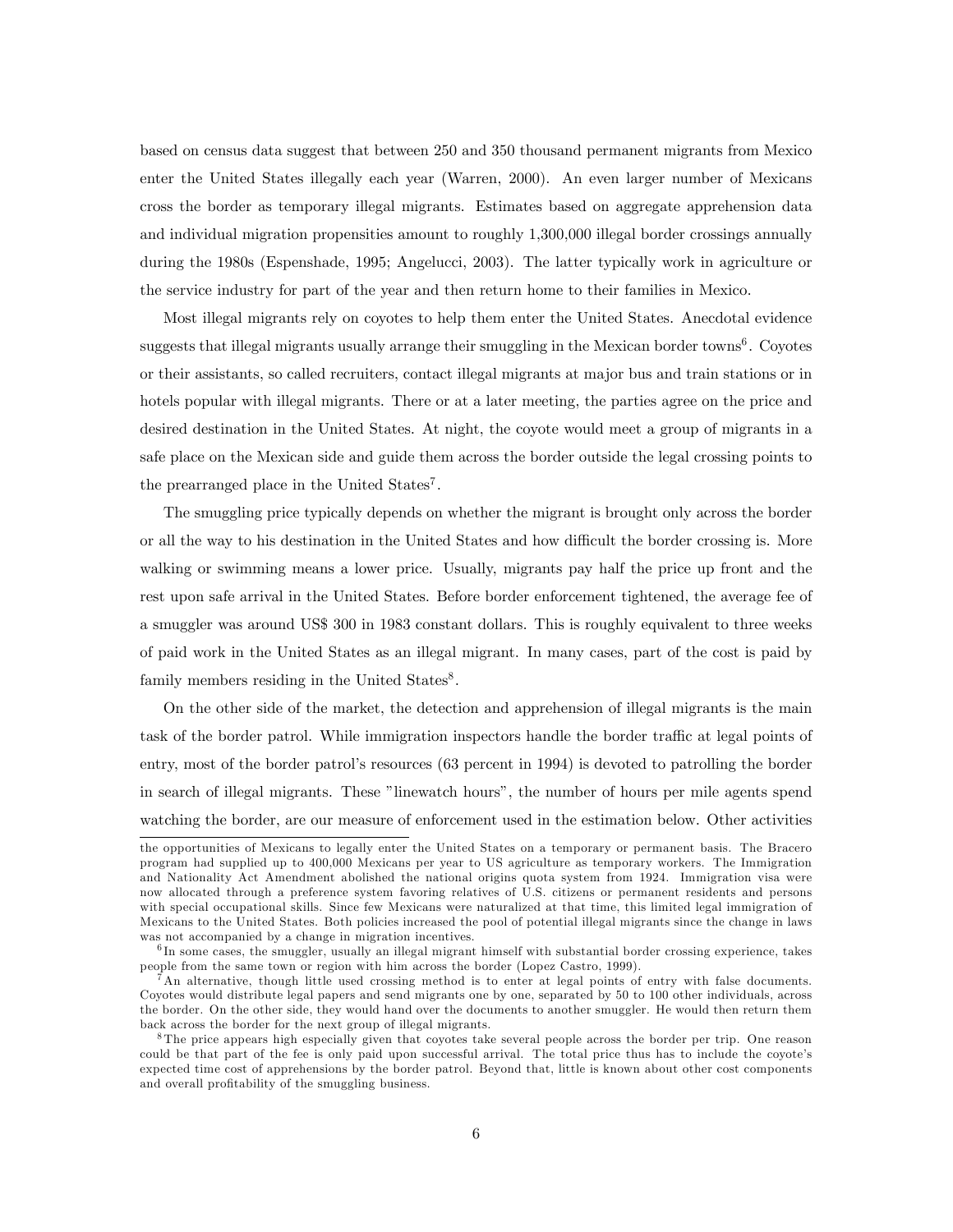based on census data suggest that between 250 and 350 thousand permanent migrants from Mexico enter the United States illegally each year (Warren, 2000). An even larger number of Mexicans cross the border as temporary illegal migrants. Estimates based on aggregate apprehension data and individual migration propensities amount to roughly 1,300,000 illegal border crossings annually during the 1980s (Espenshade, 1995; Angelucci, 2003). The latter typically work in agriculture or the service industry for part of the year and then return home to their families in Mexico.

Most illegal migrants rely on coyotes to help them enter the United States. Anecdotal evidence suggests that illegal migrants usually arrange their smuggling in the Mexican border towns<sup>6</sup>. Coyotes or their assistants, so called recruiters, contact illegal migrants at major bus and train stations or in hotels popular with illegal migrants. There or at a later meeting, the parties agree on the price and desired destination in the United States. At night, the coyote would meet a group of migrants in a safe place on the Mexican side and guide them across the border outside the legal crossing points to the prearranged place in the United States<sup>7</sup>.

The smuggling price typically depends on whether the migrant is brought only across the border or all the way to his destination in the United States and how difficult the border crossing is. More walking or swimming means a lower price. Usually, migrants pay half the price up front and the rest upon safe arrival in the United States. Before border enforcement tightened, the average fee of a smuggler was around US\$ 300 in 1983 constant dollars. This is roughly equivalent to three weeks of paid work in the United States as an illegal migrant. In many cases, part of the cost is paid by family members residing in the United States $8$ .

On the other side of the market, the detection and apprehension of illegal migrants is the main task of the border patrol. While immigration inspectors handle the border traffic at legal points of entry, most of the border patrolís resources (63 percent in 1994) is devoted to patrolling the border in search of illegal migrants. These "linewatch hours", the number of hours per mile agents spend watching the border, are our measure of enforcement used in the estimation below. Other activities

the opportunities of Mexicans to legally enter the United States on a temporary or permanent basis. The Bracero program had supplied up to 400,000 Mexicans per year to US agriculture as temporary workers. The Immigration and Nationality Act Amendment abolished the national origins quota system from 1924. Immigration visa were now allocated through a preference system favoring relatives of U.S. citizens or permanent residents and persons with special occupational skills. Since few Mexicans were naturalized at that time, this limited legal immigration of Mexicans to the United States. Both policies increased the pool of potential illegal migrants since the change in laws was not accompanied by a change in migration incentives.

<sup>&</sup>lt;sup>6</sup>In some cases, the smuggler, usually an illegal migrant himself with substantial border crossing experience, takes people from the same town or region with him across the border (Lopez Castro, 1999).

<sup>7</sup>An alternative, though little used crossing method is to enter at legal points of entry with false documents. Coyotes would distribute legal papers and send migrants one by one, separated by 50 to 100 other individuals, across the border. On the other side, they would hand over the documents to another smuggler. He would then return them back across the border for the next group of illegal migrants.

<sup>8</sup> The price appears high especially given that coyotes take several people across the border per trip. One reason could be that part of the fee is only paid upon successful arrival. The total price thus has to include the coyote's expected time cost of apprehensions by the border patrol. Beyond that, little is known about other cost components and overall profitability of the smuggling business.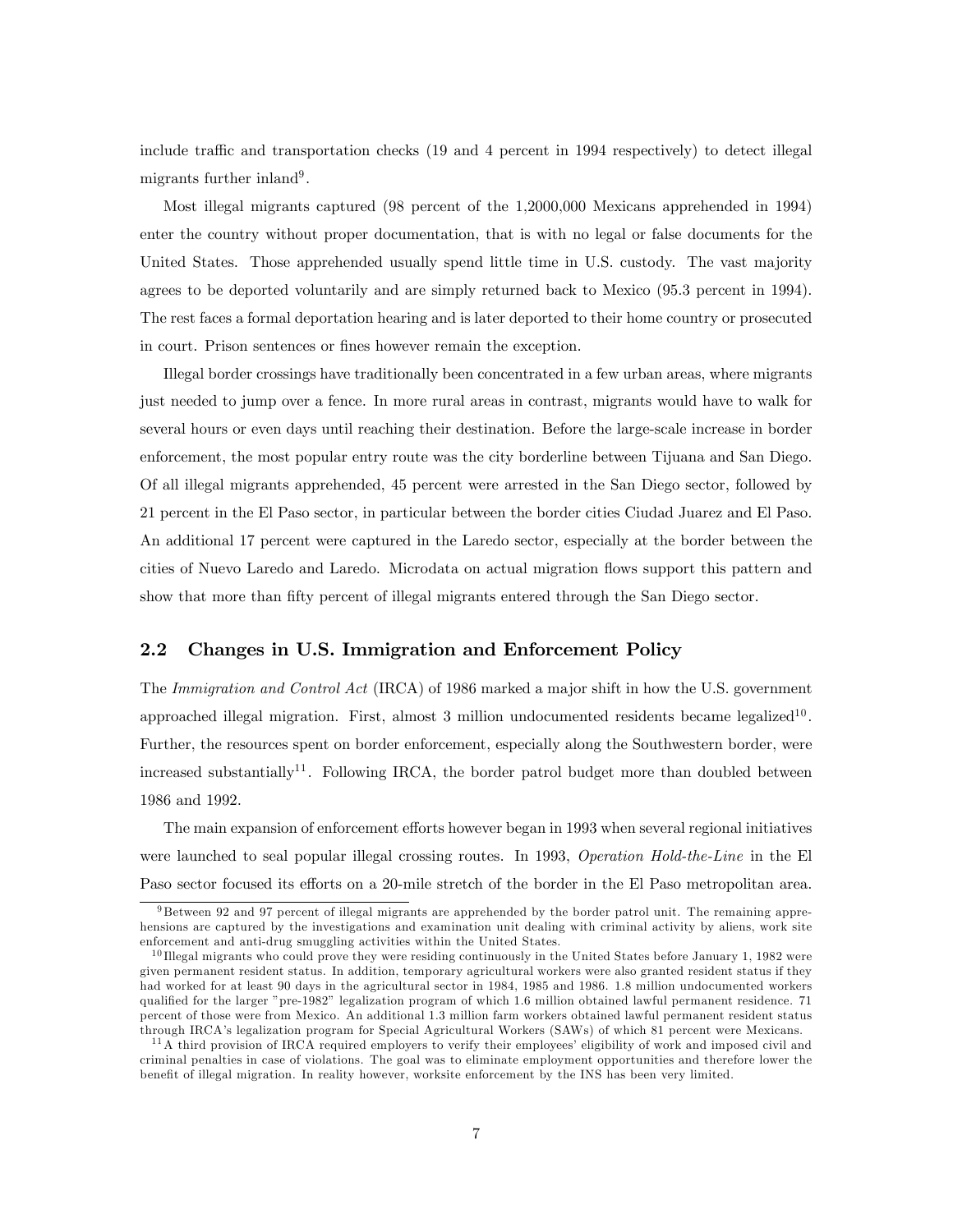include traffic and transportation checks  $(19 \text{ and } 4 \text{ percent in } 1994 \text{ respectively})$  to detect illegal migrants further inland<sup>9</sup>.

Most illegal migrants captured (98 percent of the 1,2000,000 Mexicans apprehended in 1994) enter the country without proper documentation, that is with no legal or false documents for the United States. Those apprehended usually spend little time in U.S. custody. The vast majority agrees to be deported voluntarily and are simply returned back to Mexico (95.3 percent in 1994). The rest faces a formal deportation hearing and is later deported to their home country or prosecuted in court. Prison sentences or fines however remain the exception.

Illegal border crossings have traditionally been concentrated in a few urban areas, where migrants just needed to jump over a fence. In more rural areas in contrast, migrants would have to walk for several hours or even days until reaching their destination. Before the large-scale increase in border enforcement, the most popular entry route was the city borderline between Tijuana and San Diego. Of all illegal migrants apprehended, 45 percent were arrested in the San Diego sector, followed by 21 percent in the El Paso sector, in particular between the border cities Ciudad Juarez and El Paso. An additional 17 percent were captured in the Laredo sector, especially at the border between the cities of Nuevo Laredo and Laredo. Microdata on actual migration flows support this pattern and show that more than fifty percent of illegal migrants entered through the San Diego sector.

### 2.2 Changes in U.S. Immigration and Enforcement Policy

The Immigration and Control Act (IRCA) of 1986 marked a major shift in how the U.S. government approached illegal migration. First, almost 3 million undocumented residents became legalized<sup>10</sup>. Further, the resources spent on border enforcement, especially along the Southwestern border, were increased substantially<sup>11</sup>. Following IRCA, the border patrol budget more than doubled between 1986 and 1992.

The main expansion of enforcement efforts however began in 1993 when several regional initiatives were launched to seal popular illegal crossing routes. In 1993, Operation Hold-the-Line in the El Paso sector focused its efforts on a 20-mile stretch of the border in the El Paso metropolitan area.

 $9B$ etween 92 and 97 percent of illegal migrants are apprehended by the border patrol unit. The remaining apprehensions are captured by the investigations and examination unit dealing with criminal activity by aliens, work site enforcement and anti-drug smuggling activities within the United States.

 $10$  Illegal migrants who could prove they were residing continuously in the United States before January 1, 1982 were given permanent resident status. In addition, temporary agricultural workers were also granted resident status if they had worked for at least 90 days in the agricultural sector in 1984, 1985 and 1986. 1.8 million undocumented workers qualified for the larger "pre-1982" legalization program of which 1.6 million obtained lawful permanent residence. 71 percent of those were from Mexico. An additional 1.3 million farm workers obtained lawful permanent resident status through IRCAís legalization program for Special Agricultural Workers (SAWs) of which 81 percent were Mexicans.

 $11A$  third provision of IRCA required employers to verify their employees' eligibility of work and imposed civil and criminal penalties in case of violations. The goal was to eliminate employment opportunities and therefore lower the benefit of illegal migration. In reality however, worksite enforcement by the INS has been very limited.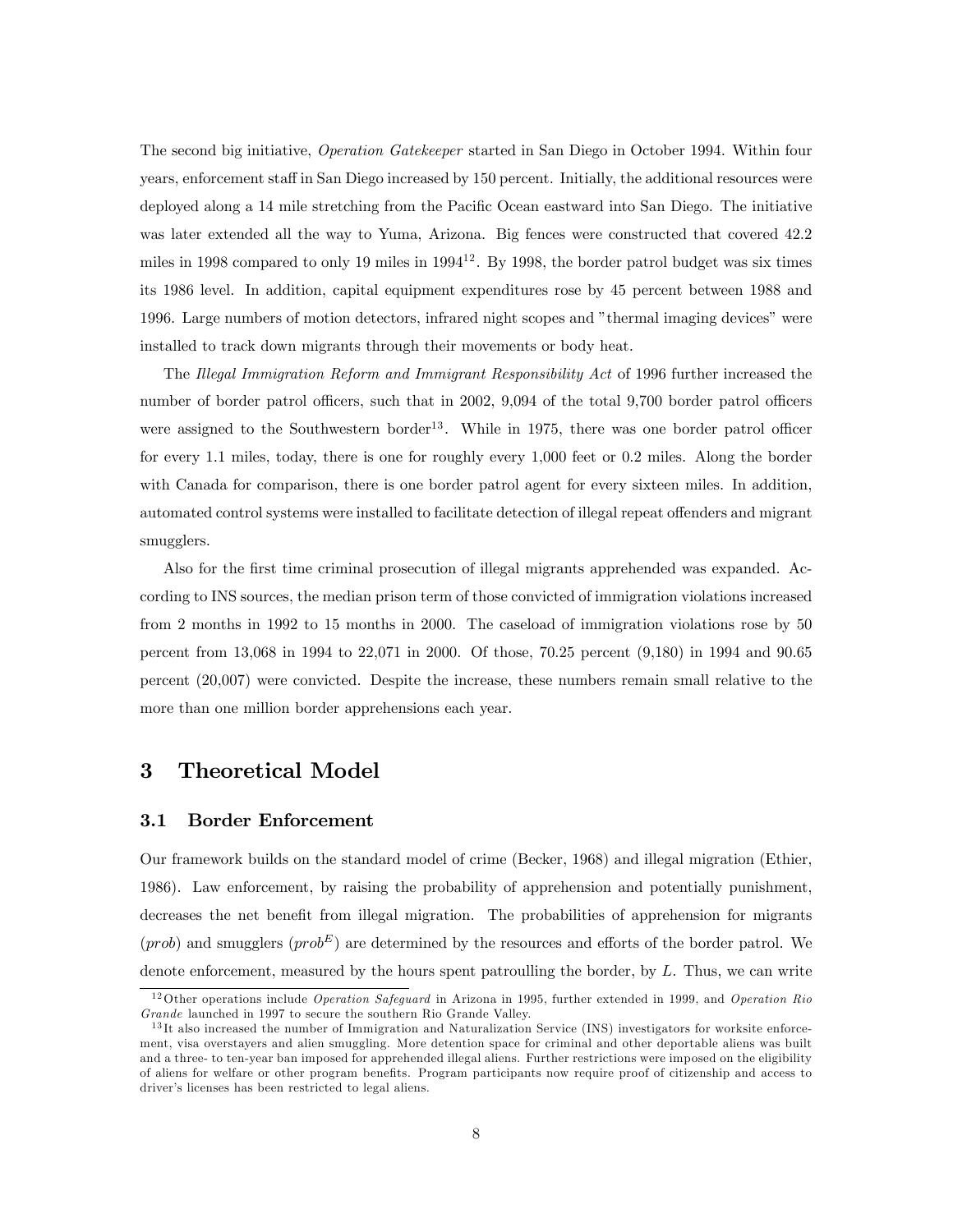The second big initiative, Operation Gatekeeper started in San Diego in October 1994. Within four years, enforcement staff in San Diego increased by 150 percent. Initially, the additional resources were deployed along a 14 mile stretching from the Pacific Ocean eastward into San Diego. The initiative was later extended all the way to Yuma, Arizona. Big fences were constructed that covered 42.2 miles in 1998 compared to only 19 miles in  $1994^{12}$ . By 1998, the border patrol budget was six times its 1986 level. In addition, capital equipment expenditures rose by 45 percent between 1988 and 1996. Large numbers of motion detectors, infrared night scopes and "thermal imaging devices" were installed to track down migrants through their movements or body heat.

The Illegal Immigration Reform and Immigrant Responsibility Act of 1996 further increased the number of border patrol officers, such that in 2002, 9,094 of the total 9,700 border patrol officers were assigned to the Southwestern border<sup>13</sup>. While in 1975, there was one border patrol officer for every 1.1 miles, today, there is one for roughly every 1,000 feet or 0.2 miles. Along the border with Canada for comparison, there is one border patrol agent for every sixteen miles. In addition, automated control systems were installed to facilitate detection of illegal repeat offenders and migrant smugglers.

Also for the first time criminal prosecution of illegal migrants apprehended was expanded. According to INS sources, the median prison term of those convicted of immigration violations increased from 2 months in 1992 to 15 months in 2000. The caseload of immigration violations rose by 50 percent from 13,068 in 1994 to 22,071 in 2000. Of those, 70.25 percent (9,180) in 1994 and 90.65 percent (20,007) were convicted. Despite the increase, these numbers remain small relative to the more than one million border apprehensions each year.

## 3 Theoretical Model

#### 3.1 Border Enforcement

Our framework builds on the standard model of crime (Becker, 1968) and illegal migration (Ethier, 1986). Law enforcement, by raising the probability of apprehension and potentially punishment, decreases the net benefit from illegal migration. The probabilities of apprehension for migrants  $(prob)$  and smugglers  $(prob^E)$  are determined by the resources and efforts of the border patrol. We denote enforcement, measured by the hours spent patroulling the border, by  $L$ . Thus, we can write

<sup>&</sup>lt;sup>12</sup>Other operations include *Operation Safeguard* in Arizona in 1995, further extended in 1999, and *Operation Rio* Grande launched in 1997 to secure the southern Rio Grande Valley.

<sup>&</sup>lt;sup>13</sup>It also increased the number of Immigration and Naturalization Service (INS) investigators for worksite enforcement, visa overstayers and alien smuggling. More detention space for criminal and other deportable aliens was built and a three- to ten-year ban imposed for apprehended illegal aliens. Further restrictions were imposed on the eligibility of aliens for welfare or other program benefits. Program participants now require proof of citizenship and access to driver's licenses has been restricted to legal aliens.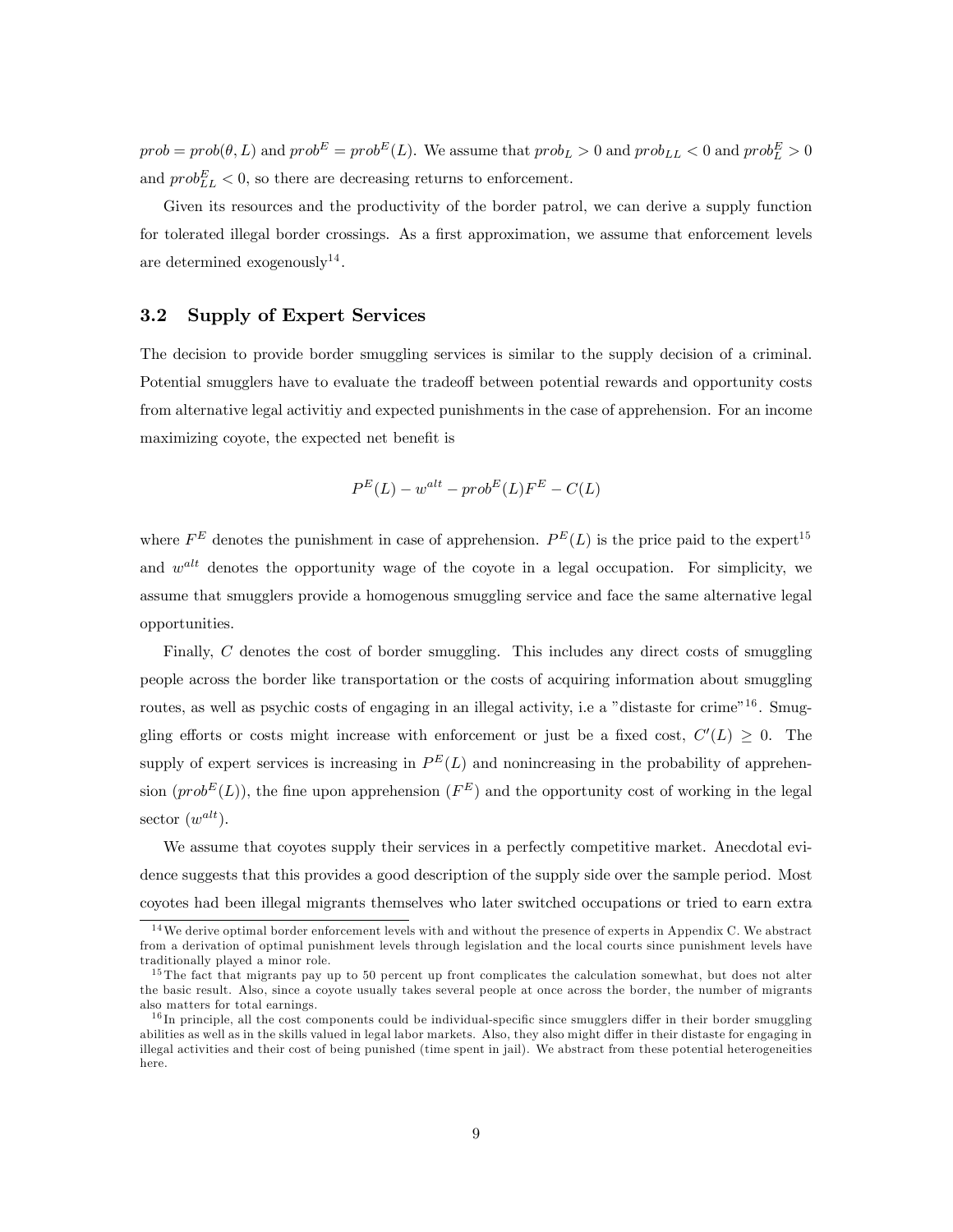$prob = prob(\theta, L)$  and  $prob^E = prob^E(L)$ . We assume that  $prob_L > 0$  and  $prob_{LL} < 0$  and  $prob_L^E > 0$ and  $prob_{LL}^{E} < 0$ , so there are decreasing returns to enforcement.

Given its resources and the productivity of the border patrol, we can derive a supply function for tolerated illegal border crossings. As a first approximation, we assume that enforcement levels are determined exogenously<sup>14</sup>.

#### 3.2 Supply of Expert Services

The decision to provide border smuggling services is similar to the supply decision of a criminal. Potential smugglers have to evaluate the tradeoff between potential rewards and opportunity costs from alternative legal activitiy and expected punishments in the case of apprehension. For an income maximizing coyote, the expected net benefit is

$$
P^{E}(L) - w^{alt} - prob^{E}(L)F^{E} - C(L)
$$

where  $F^E$  denotes the punishment in case of apprehension.  $P^E(L)$  is the price paid to the expert<sup>15</sup> and  $w^{alt}$  denotes the opportunity wage of the coyote in a legal occupation. For simplicity, we assume that smugglers provide a homogenous smuggling service and face the same alternative legal opportunities.

Finally, C denotes the cost of border smuggling. This includes any direct costs of smuggling people across the border like transportation or the costs of acquiring information about smuggling routes, as well as psychic costs of engaging in an illegal activity, i.e a "distaste for crime"<sup>16</sup>. Smuggling efforts or costs might increase with enforcement or just be a fixed cost,  $C'(L) \geq 0$ . The supply of expert services is increasing in  $P^{E}(L)$  and nonincreasing in the probability of apprehension  $(prob^{E}(L))$ , the fine upon apprehension  $(F^{E})$  and the opportunity cost of working in the legal sector  $(w^{alt})$ .

We assume that coyotes supply their services in a perfectly competitive market. Anecdotal evidence suggests that this provides a good description of the supply side over the sample period. Most coyotes had been illegal migrants themselves who later switched occupations or tried to earn extra

<sup>1 4</sup>We derive optimal border enforcement levels with and without the presence of experts in Appendix C. We abstract from a derivation of optimal punishment levels through legislation and the local courts since punishment levels have traditionally played a minor role.

 $15$  The fact that migrants pay up to 50 percent up front complicates the calculation somewhat, but does not alter the basic result. Also, since a coyote usually takes several people at once across the border, the number of migrants also matters for total earnings.

 $16$  In principle, all the cost components could be individual-specific since smugglers differ in their border smuggling abilities as well as in the skills valued in legal labor markets. Also, they also might differ in their distaste for engaging in illegal activities and their cost of being punished (time spent in jail). We abstract from these potential heterogeneities here.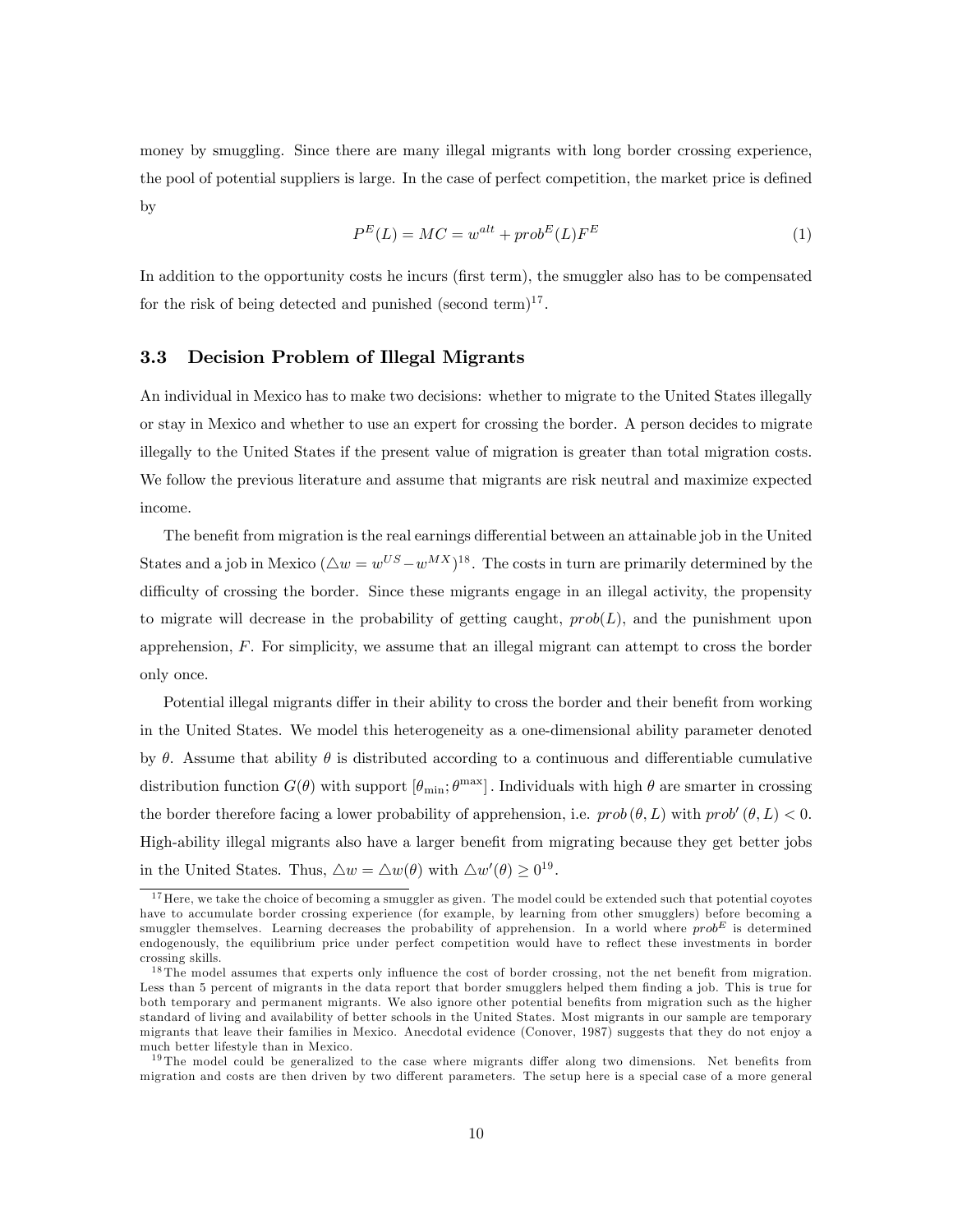money by smuggling. Since there are many illegal migrants with long border crossing experience, the pool of potential suppliers is large. In the case of perfect competition, the market price is defined by

$$
P^{E}(L) = MC = w^{alt} + prob^{E}(L)F^{E}
$$
\n<sup>(1)</sup>

In addition to the opportunity costs he incurs (first term), the smuggler also has to be compensated for the risk of being detected and punished (second term)<sup>17</sup>.

#### 3.3 Decision Problem of Illegal Migrants

An individual in Mexico has to make two decisions: whether to migrate to the United States illegally or stay in Mexico and whether to use an expert for crossing the border. A person decides to migrate illegally to the United States if the present value of migration is greater than total migration costs. We follow the previous literature and assume that migrants are risk neutral and maximize expected income.

The benefit from migration is the real earnings differential between an attainable job in the United States and a job in Mexico  $(\triangle w = w^{US} - w^{MX})^{18}$ . The costs in turn are primarily determined by the difficulty of crossing the border. Since these migrants engage in an illegal activity, the propensity to migrate will decrease in the probability of getting caught,  $prob(L)$ , and the punishment upon apprehension, F. For simplicity, we assume that an illegal migrant can attempt to cross the border only once.

Potential illegal migrants differ in their ability to cross the border and their benefit from working in the United States. We model this heterogeneity as a one-dimensional ability parameter denoted by  $\theta$ . Assume that ability  $\theta$  is distributed according to a continuous and differentiable cumulative distribution function  $G(\theta)$  with support  $[\theta_{\min}; \theta^{\max}]$ . Individuals with high  $\theta$  are smarter in crossing the border therefore facing a lower probability of apprehension, i.e.  $prob(\theta, L)$  with  $prob'(\theta, L) < 0$ . High-ability illegal migrants also have a larger benefit from migrating because they get better jobs in the United States. Thus,  $\Delta w = \Delta w(\theta)$  with  $\Delta w'(\theta) \ge 0^{19}$ .

<sup>&</sup>lt;sup>17</sup> Here, we take the choice of becoming a smuggler as given. The model could be extended such that potential coyotes have to accumulate border crossing experience (for example, by learning from other smugglers) before becoming a smuggler themselves. Learning decreases the probability of apprehension. In a world where  $prob^E$  is determined endogenously, the equilibrium price under perfect competition would have to reflect these investments in border crossing skills.

 $18$  The model assumes that experts only influence the cost of border crossing, not the net benefit from migration. Less than 5 percent of migrants in the data report that border smugglers helped them finding a job. This is true for both temporary and permanent migrants. We also ignore other potential benefits from migration such as the higher standard of living and availability of better schools in the United States. Most migrants in our sample are temporary migrants that leave their families in Mexico. Anecdotal evidence (Conover, 1987) suggests that they do not enjoy a much better lifestyle than in Mexico.

 $19$  The model could be generalized to the case where migrants differ along two dimensions. Net benefits from migration and costs are then driven by two different parameters. The setup here is a special case of a more general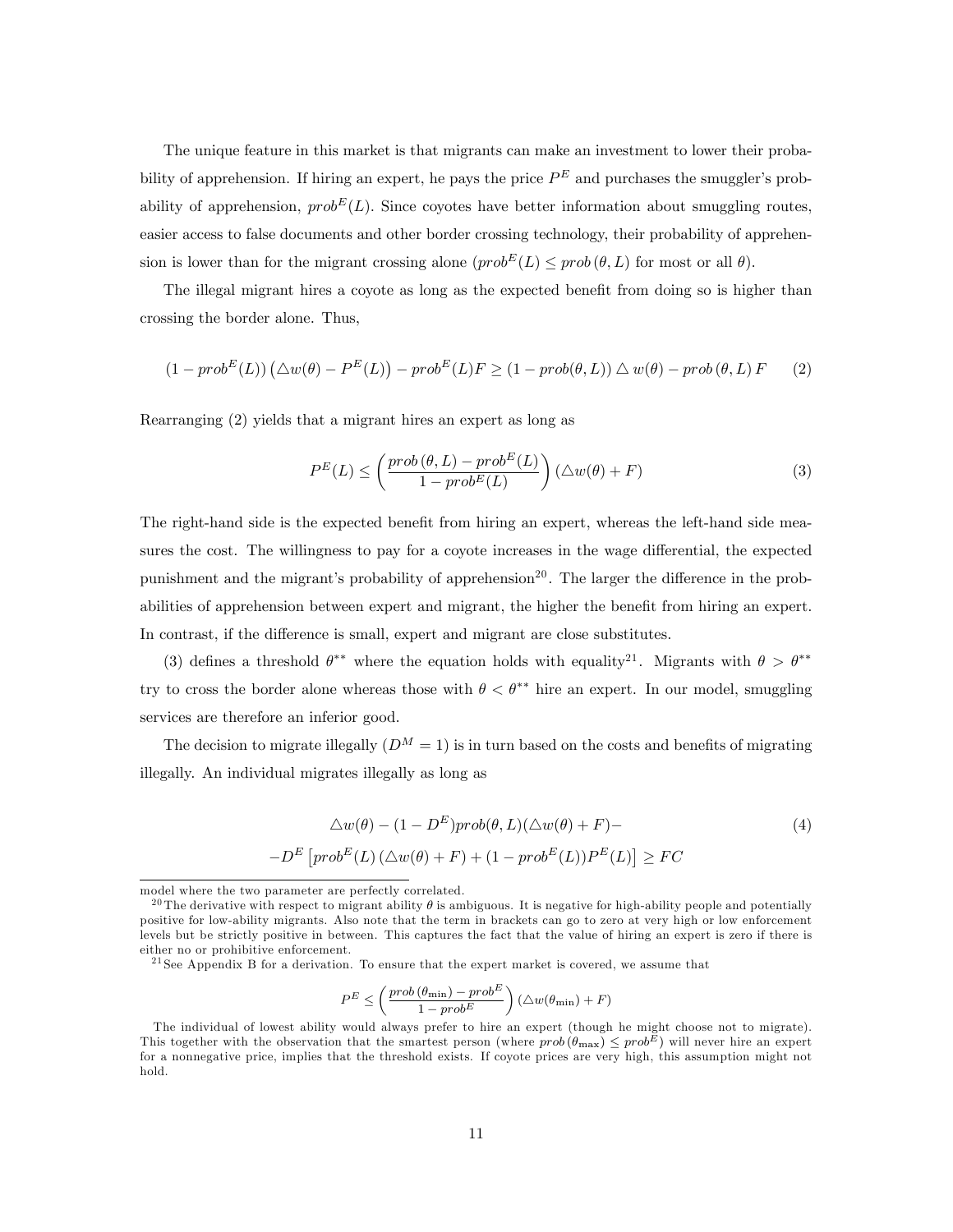The unique feature in this market is that migrants can make an investment to lower their probability of apprehension. If hiring an expert, he pays the price  $P<sup>E</sup>$  and purchases the smuggler's probability of apprehension,  $prob^{E}(L)$ . Since coyotes have better information about smuggling routes, easier access to false documents and other border crossing technology, their probability of apprehension is lower than for the migrant crossing alone  $(prob^{E}(L) \leq prob(\theta, L)$  for most or all  $\theta$ ).

The illegal migrant hires a coyote as long as the expected benefit from doing so is higher than crossing the border alone. Thus,

$$
(1 - prob^{E}(L)) (\triangle w(\theta) - P^{E}(L)) - prob^{E}(L)F \ge (1 - prob(\theta, L)) \triangle w(\theta) - prob(\theta, L)F
$$
 (2)

Rearranging (2) yields that a migrant hires an expert as long as

$$
P^{E}(L) \leq \left(\frac{prob(\theta, L) - prob^{E}(L)}{1 - prob^{E}(L)}\right) (\triangle w(\theta) + F)
$$
\n(3)

The right-hand side is the expected benefit from hiring an expert, whereas the left-hand side measures the cost. The willingness to pay for a coyote increases in the wage differential, the expected punishment and the migrant's probability of apprehension<sup>20</sup>. The larger the difference in the probabilities of apprehension between expert and migrant, the higher the benefit from hiring an expert. In contrast, if the difference is small, expert and migrant are close substitutes.

(3) defines a threshold  $\theta^{**}$  where the equation holds with equality<sup>21</sup>. Migrants with  $\theta > \theta^{**}$ try to cross the border alone whereas those with  $\theta < \theta^{**}$  hire an expert. In our model, smuggling services are therefore an inferior good.

The decision to migrate illegally  $(D^M = 1)$  is in turn based on the costs and benefits of migrating illegally. An individual migrates illegally as long as

$$
\Delta w(\theta) - (1 - D^E)prob(\theta, L)(\Delta w(\theta) + F) -
$$
  

$$
-D^E\left[prob^{E}(L)(\Delta w(\theta) + F) + (1 - prob^{E}(L))P^{E}(L)\right] \ge FC
$$
 (4)

<sup>21</sup> See Appendix B for a derivation. To ensure that the expert market is covered, we assume that

$$
P^{E} \leq \left(\frac{prob(\theta_{\min}) - prob^{E}}{1 - prob^{E}}\right) (\triangle w(\theta_{\min}) + F)
$$

model where the two parameter are perfectly correlated.

<sup>&</sup>lt;sup>20</sup> The derivative with respect to migrant ability  $\theta$  is ambiguous. It is negative for high-ability people and potentially positive for low-ability migrants. Also note that the term in brackets can go to zero at very high or low enforcement levels but be strictly positive in between. This captures the fact that the value of hiring an expert is zero if there is either no or prohibitive enforcement.

The individual of lowest ability would always prefer to hire an expert (though he might choose not to migrate). This together with the observation that the smartest person (where  $prob(\theta_{\text{max}}) \leq prob^E$ ) will never hire an expert for a nonnegative price, implies that the threshold exists. If coyote prices are very high, this assumption might not hold.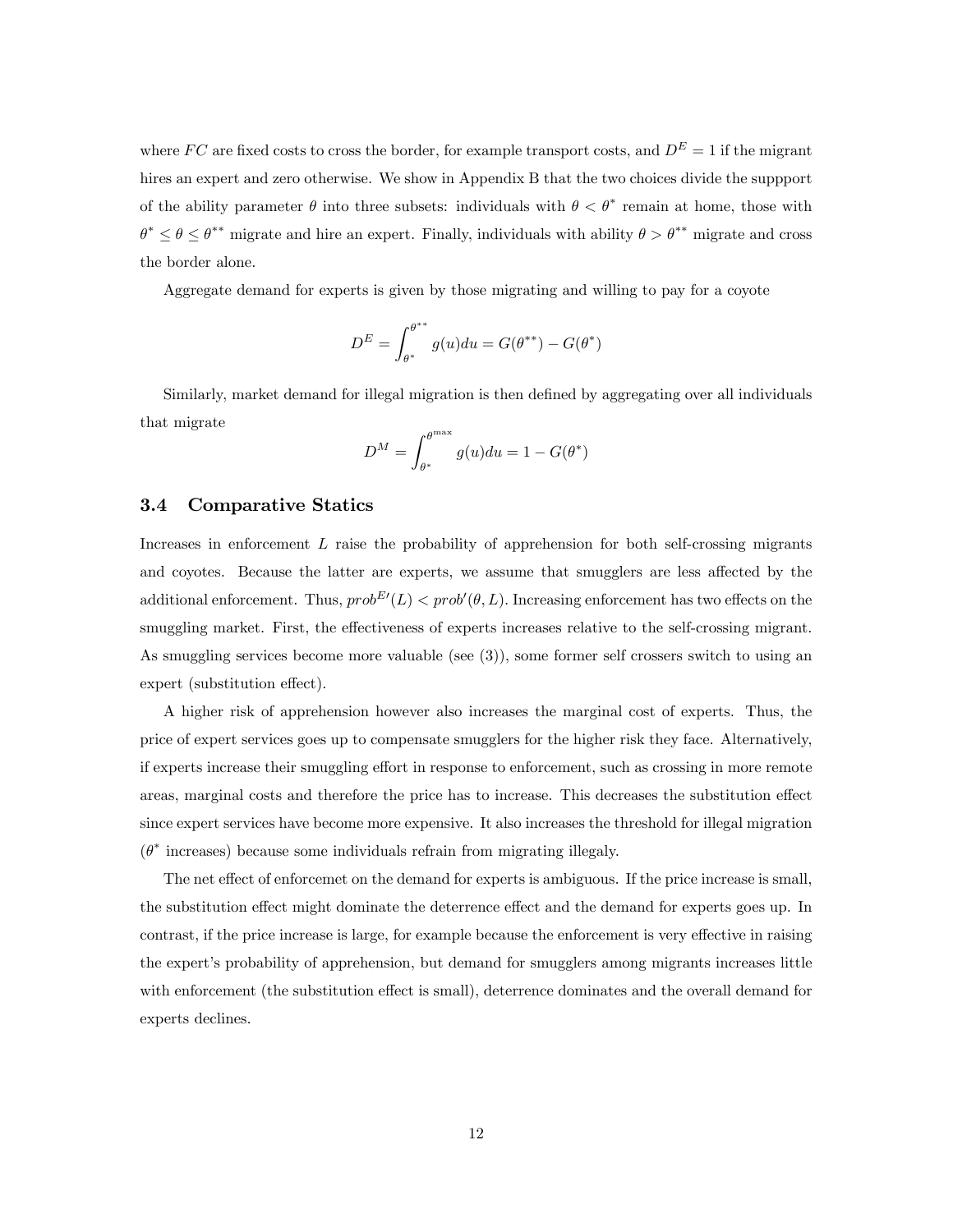where FC are fixed costs to cross the border, for example transport costs, and  $D<sup>E</sup> = 1$  if the migrant hires an expert and zero otherwise. We show in Appendix B that the two choices divide the suppport of the ability parameter  $\theta$  into three subsets: individuals with  $\theta < \theta^*$  remain at home, those with  $\theta^* \leq \theta \leq \theta^{**}$  migrate and hire an expert. Finally, individuals with ability  $\theta > \theta^{**}$  migrate and cross the border alone.

Aggregate demand for experts is given by those migrating and willing to pay for a coyote

$$
D^{E} = \int_{\theta^{*}}^{\theta^{**}} g(u) du = G(\theta^{**}) - G(\theta^{*})
$$

Similarly, market demand for illegal migration is then defined by aggregating over all individuals that migrate

$$
D^{M} = \int_{\theta^{*}}^{\theta^{max}} g(u) du = 1 - G(\theta^{*})
$$

#### 3.4 Comparative Statics

Increases in enforcement  $L$  raise the probability of apprehension for both self-crossing migrants and coyotes. Because the latter are experts, we assume that smugglers are less affected by the additional enforcement. Thus,  $prob^{E'}(L) < prob'(\theta, L)$ . Increasing enforcement has two effects on the smuggling market. First, the effectiveness of experts increases relative to the self-crossing migrant. As smuggling services become more valuable (see (3)), some former self crossers switch to using an expert (substitution effect).

A higher risk of apprehension however also increases the marginal cost of experts. Thus, the price of expert services goes up to compensate smugglers for the higher risk they face. Alternatively, if experts increase their smuggling effort in response to enforcement, such as crossing in more remote areas, marginal costs and therefore the price has to increase. This decreases the substitution effect since expert services have become more expensive. It also increases the threshold for illegal migration  $(\theta^*)$  increases) because some individuals refrain from migrating illegaly.

The net effect of enforcemet on the demand for experts is ambiguous. If the price increase is small, the substitution effect might dominate the deterrence effect and the demand for experts goes up. In contrast, if the price increase is large, for example because the enforcement is very effective in raising the expert's probability of apprehension, but demand for smugglers among migrants increases little with enforcement (the substitution effect is small), deterrence dominates and the overall demand for experts declines.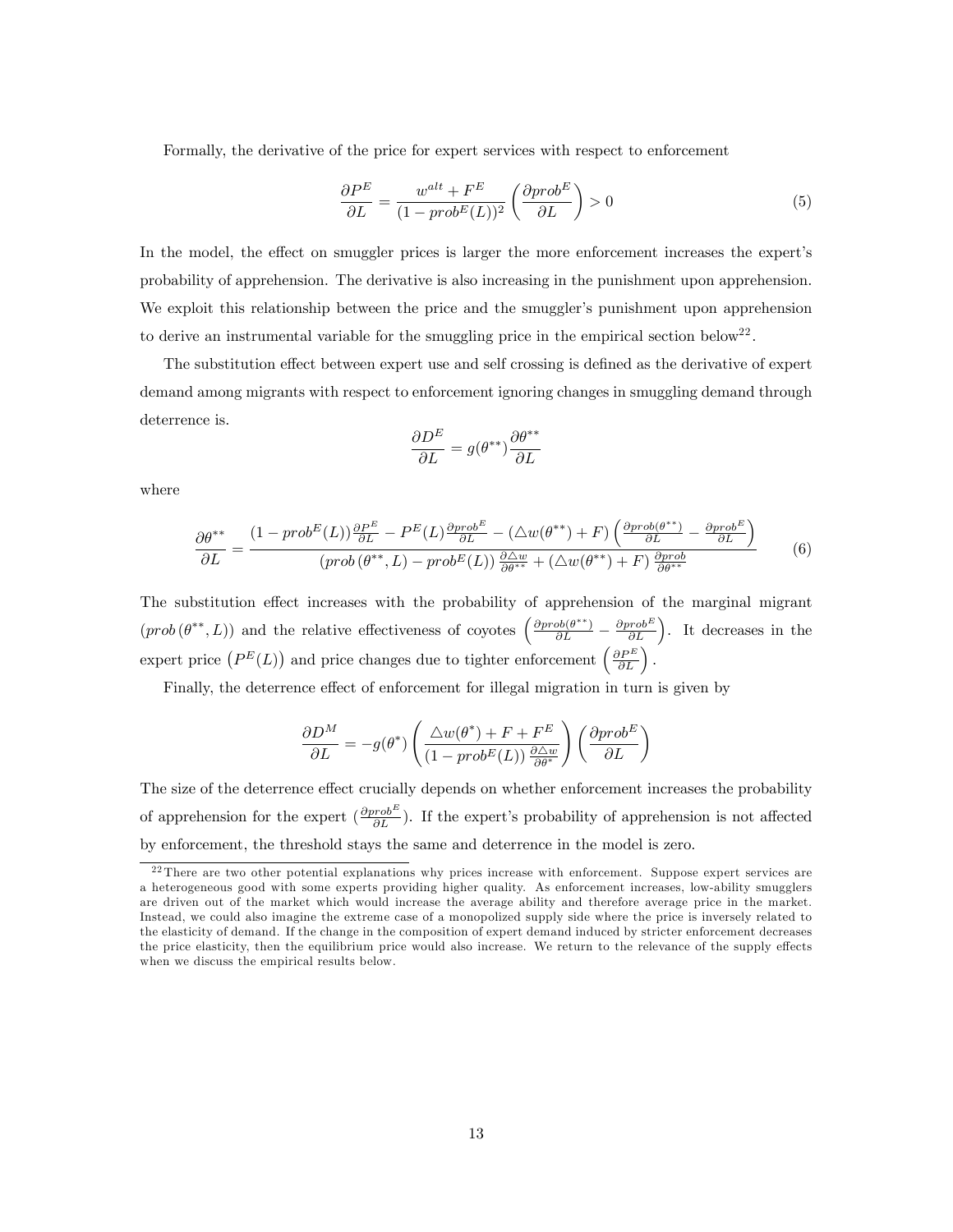Formally, the derivative of the price for expert services with respect to enforcement

$$
\frac{\partial P^E}{\partial L} = \frac{w^{alt} + F^E}{(1 - prob^E(L))^2} \left( \frac{\partial prob^E}{\partial L} \right) > 0 \tag{5}
$$

In the model, the effect on smuggler prices is larger the more enforcement increases the expert's probability of apprehension. The derivative is also increasing in the punishment upon apprehension. We exploit this relationship between the price and the smuggler's punishment upon apprehension to derive an instrumental variable for the smuggling price in the empirical section below<sup>22</sup>.

The substitution effect between expert use and self crossing is defined as the derivative of expert demand among migrants with respect to enforcement ignoring changes in smuggling demand through deterrence is.

$$
\frac{\partial D^E}{\partial L} = g(\theta^{**}) \frac{\partial \theta^{**}}{\partial L}
$$

where

$$
\frac{\partial \theta^{**}}{\partial L} = \frac{(1 - prob^{E}(L))\frac{\partial P^{E}}{\partial L} - P^{E}(L)\frac{\partial prob^{E}}{\partial L} - (\triangle w(\theta^{**}) + F)\left(\frac{\partial prob(\theta^{**})}{\partial L} - \frac{\partial prob^{E}}{\partial L}\right)}{(prob(\theta^{**}, L) - prob^{E}(L))\frac{\partial \triangle w}{\partial \theta^{**}} + (\triangle w(\theta^{**}) + F)\frac{\partial prob}{\partial \theta^{**}}}
$$
(6)

The substitution effect increases with the probability of apprehension of the marginal migrant  $(prob(\theta^{**}, L))$  and the relative effectiveness of coyotes  $\left(\frac{\partial prob(\theta^{**})}{\partial L} - \frac{\partial prob(\theta^{**})}{\partial L}\right)$ . It decreases in the expert price  $(P^{E}(L))$  and price changes due to tighter enforcement  $\left(\frac{\partial P^{E}}{\partial L}\right)$ .

Finally, the deterrence effect of enforcement for illegal migration in turn is given by

$$
\frac{\partial D^M}{\partial L} = -g(\theta^*) \left( \frac{\triangle w(\theta^*) + F + F^E}{(1 - prob^E(L))} \frac{\partial \triangle w}{\partial \theta^*} \right) \left( \frac{\partial prob^E}{\partial L} \right)
$$

The size of the deterrence effect crucially depends on whether enforcement increases the probability of apprehension for the expert  $(\frac{\partial prob^E}{\partial L})$ . If the expert's probability of apprehension is not affected by enforcement, the threshold stays the same and deterrence in the model is zero.

<sup>&</sup>lt;sup>22</sup> There are two other potential explanations why prices increase with enforcement. Suppose expert services are a heterogeneous good with some experts providing higher quality. As enforcement increases, low-ability smugglers are driven out of the market which would increase the average ability and therefore average price in the market. Instead, we could also imagine the extreme case of a monopolized supply side where the price is inversely related to the elasticity of demand. If the change in the composition of expert demand induced by stricter enforcement decreases the price elasticity, then the equilibrium price would also increase. We return to the relevance of the supply effects when we discuss the empirical results below.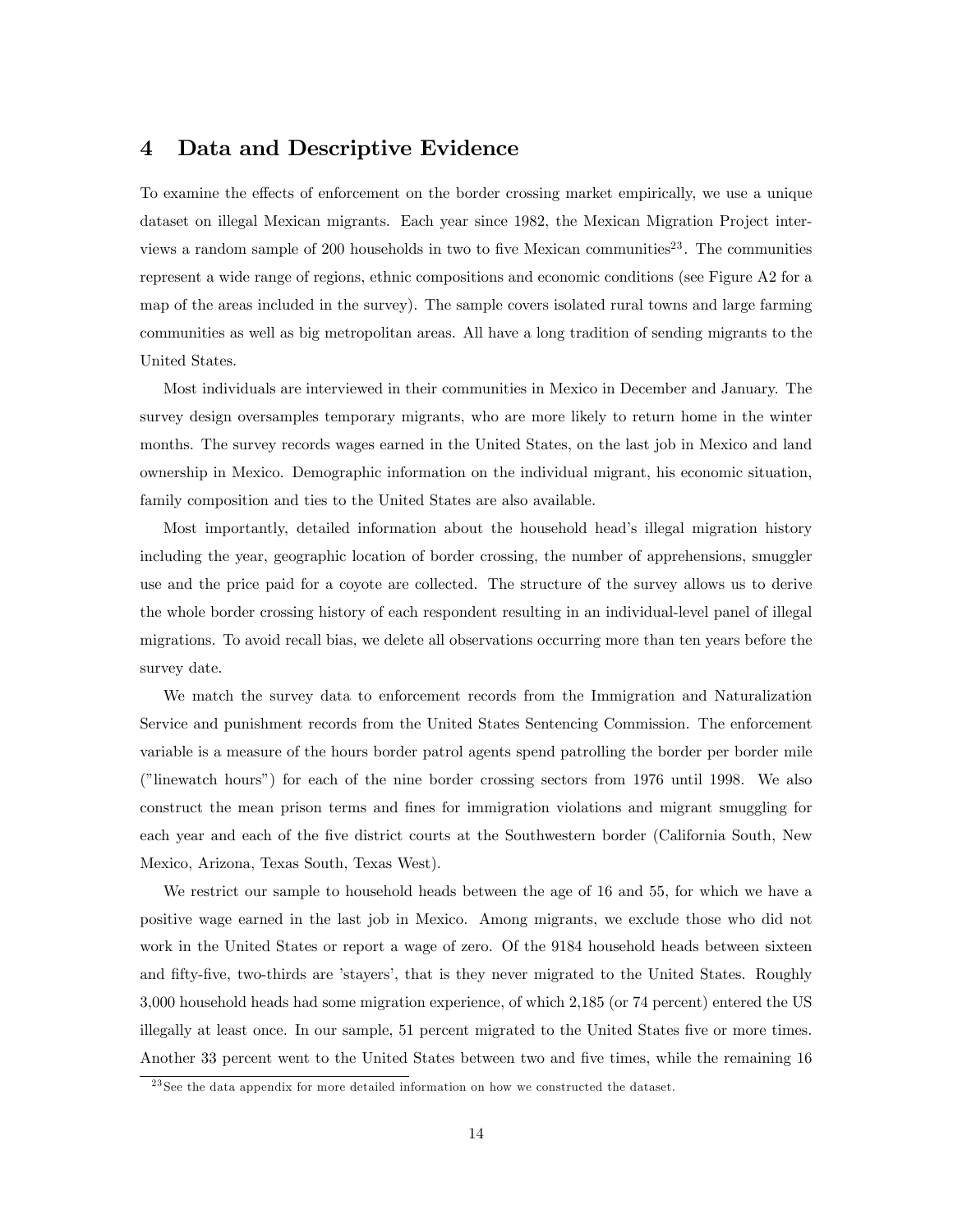## 4 Data and Descriptive Evidence

To examine the effects of enforcement on the border crossing market empirically, we use a unique dataset on illegal Mexican migrants. Each year since 1982, the Mexican Migration Project interviews a random sample of 200 households in two to five Mexican communities<sup>23</sup>. The communities represent a wide range of regions, ethnic compositions and economic conditions (see Figure A2 for a map of the areas included in the survey). The sample covers isolated rural towns and large farming communities as well as big metropolitan areas. All have a long tradition of sending migrants to the United States.

Most individuals are interviewed in their communities in Mexico in December and January. The survey design oversamples temporary migrants, who are more likely to return home in the winter months. The survey records wages earned in the United States, on the last job in Mexico and land ownership in Mexico. Demographic information on the individual migrant, his economic situation, family composition and ties to the United States are also available.

Most importantly, detailed information about the household head's illegal migration history including the year, geographic location of border crossing, the number of apprehensions, smuggler use and the price paid for a coyote are collected. The structure of the survey allows us to derive the whole border crossing history of each respondent resulting in an individual-level panel of illegal migrations. To avoid recall bias, we delete all observations occurring more than ten years before the survey date.

We match the survey data to enforcement records from the Immigration and Naturalization Service and punishment records from the United States Sentencing Commission. The enforcement variable is a measure of the hours border patrol agents spend patrolling the border per border mile (îlinewatch hoursî) for each of the nine border crossing sectors from 1976 until 1998. We also construct the mean prison terms and fines for immigration violations and migrant smuggling for each year and each of the Öve district courts at the Southwestern border (California South, New Mexico, Arizona, Texas South, Texas West).

We restrict our sample to household heads between the age of 16 and 55, for which we have a positive wage earned in the last job in Mexico. Among migrants, we exclude those who did not work in the United States or report a wage of zero. Of the 9184 household heads between sixteen and fifty-five, two-thirds are 'stayers', that is they never migrated to the United States. Roughly 3,000 household heads had some migration experience, of which 2,185 (or 74 percent) entered the US illegally at least once. In our sample, 51 percent migrated to the United States five or more times. Another 33 percent went to the United States between two and five times, while the remaining 16

<sup>&</sup>lt;sup>23</sup> See the data appendix for more detailed information on how we constructed the dataset.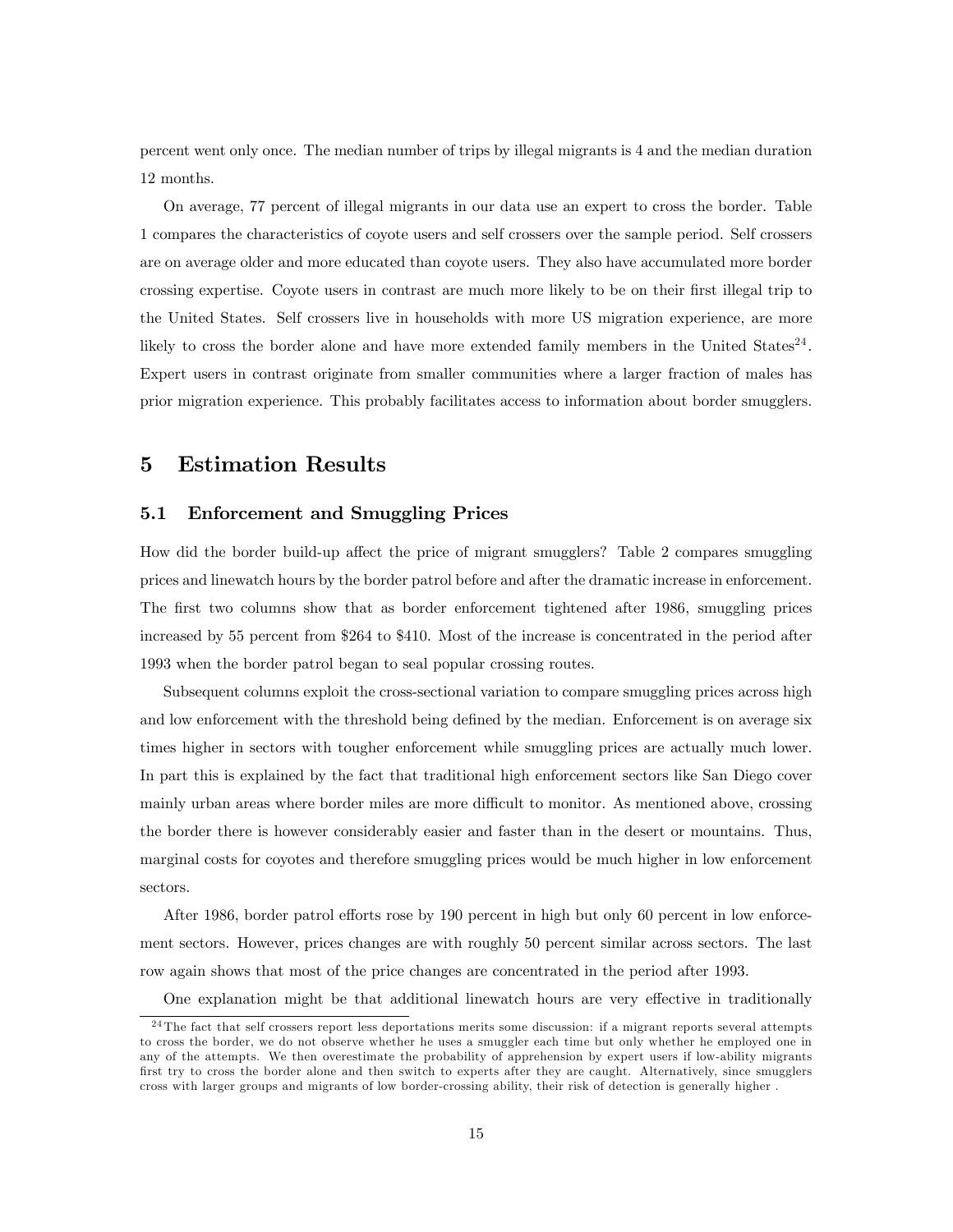percent went only once. The median number of trips by illegal migrants is 4 and the median duration 12 months.

On average, 77 percent of illegal migrants in our data use an expert to cross the border. Table 1 compares the characteristics of coyote users and self crossers over the sample period. Self crossers are on average older and more educated than coyote users. They also have accumulated more border crossing expertise. Coyote users in contrast are much more likely to be on their first illegal trip to the United States. Self crossers live in households with more US migration experience, are more likely to cross the border alone and have more extended family members in the United States<sup>24</sup>. Expert users in contrast originate from smaller communities where a larger fraction of males has prior migration experience. This probably facilitates access to information about border smugglers.

## 5 Estimation Results

#### 5.1 Enforcement and Smuggling Prices

How did the border build-up affect the price of migrant smugglers? Table 2 compares smuggling prices and linewatch hours by the border patrol before and after the dramatic increase in enforcement. The first two columns show that as border enforcement tightened after 1986, smuggling prices increased by 55 percent from \$264 to \$410. Most of the increase is concentrated in the period after 1993 when the border patrol began to seal popular crossing routes.

Subsequent columns exploit the cross-sectional variation to compare smuggling prices across high and low enforcement with the threshold being defined by the median. Enforcement is on average six times higher in sectors with tougher enforcement while smuggling prices are actually much lower. In part this is explained by the fact that traditional high enforcement sectors like San Diego cover mainly urban areas where border miles are more difficult to monitor. As mentioned above, crossing the border there is however considerably easier and faster than in the desert or mountains. Thus, marginal costs for coyotes and therefore smuggling prices would be much higher in low enforcement sectors.

After 1986, border patrol efforts rose by 190 percent in high but only 60 percent in low enforcement sectors. However, prices changes are with roughly 50 percent similar across sectors. The last row again shows that most of the price changes are concentrated in the period after 1993.

One explanation might be that additional linewatch hours are very effective in traditionally

 $24$ The fact that self crossers report less deportations merits some discussion: if a migrant reports several attempts to cross the border, we do not observe whether he uses a smuggler each time but only whether he employed one in any of the attempts. We then overestimate the probability of apprehension by expert users if low-ability migrants first try to cross the border alone and then switch to experts after they are caught. Alternatively, since smugglers cross with larger groups and migrants of low border-crossing ability, their risk of detection is generally higher .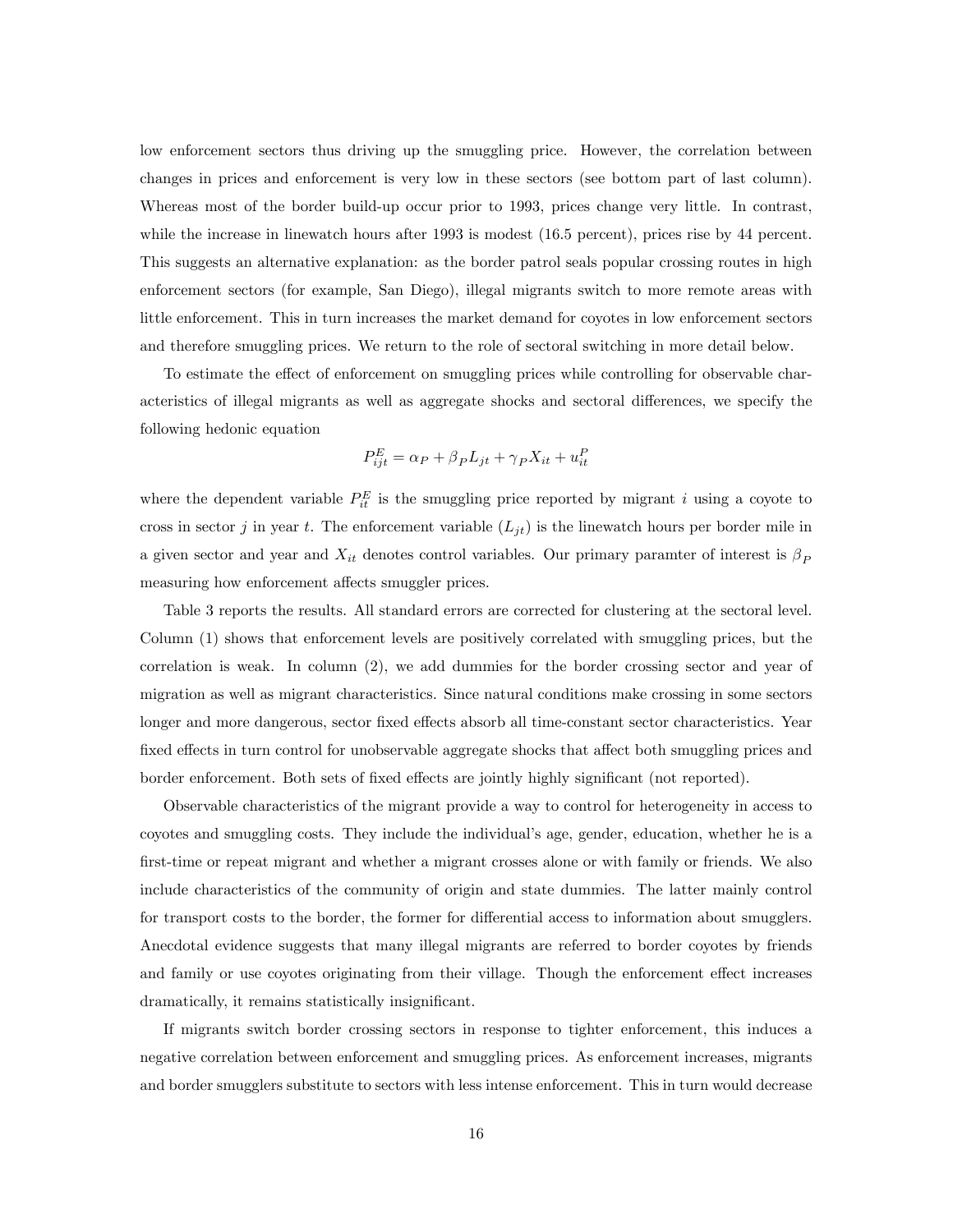low enforcement sectors thus driving up the smuggling price. However, the correlation between changes in prices and enforcement is very low in these sectors (see bottom part of last column). Whereas most of the border build-up occur prior to 1993, prices change very little. In contrast, while the increase in linewatch hours after 1993 is modest (16.5 percent), prices rise by 44 percent. This suggests an alternative explanation: as the border patrol seals popular crossing routes in high enforcement sectors (for example, San Diego), illegal migrants switch to more remote areas with little enforcement. This in turn increases the market demand for coyotes in low enforcement sectors and therefore smuggling prices. We return to the role of sectoral switching in more detail below.

To estimate the effect of enforcement on smuggling prices while controlling for observable characteristics of illegal migrants as well as aggregate shocks and sectoral differences, we specify the following hedonic equation

$$
P_{ijt}^{E} = \alpha_P + \beta_P L_{jt} + \gamma_P X_{it} + u_{it}^{P}
$$

where the dependent variable  $P_{it}^E$  is the smuggling price reported by migrant i using a coyote to cross in sector j in year t. The enforcement variable  $(L_{jt})$  is the linewatch hours per border mile in a given sector and year and  $X_{it}$  denotes control variables. Our primary paramter of interest is  $\beta_P$ measuring how enforcement affects smuggler prices.

Table 3 reports the results. All standard errors are corrected for clustering at the sectoral level. Column (1) shows that enforcement levels are positively correlated with smuggling prices, but the correlation is weak. In column (2), we add dummies for the border crossing sector and year of migration as well as migrant characteristics. Since natural conditions make crossing in some sectors longer and more dangerous, sector fixed effects absorb all time-constant sector characteristics. Year fixed effects in turn control for unobservable aggregate shocks that affect both smuggling prices and border enforcement. Both sets of fixed effects are jointly highly significant (not reported).

Observable characteristics of the migrant provide a way to control for heterogeneity in access to coyotes and smuggling costs. They include the individual's age, gender, education, whether he is a first-time or repeat migrant and whether a migrant crosses alone or with family or friends. We also include characteristics of the community of origin and state dummies. The latter mainly control for transport costs to the border, the former for differential access to information about smugglers. Anecdotal evidence suggests that many illegal migrants are referred to border coyotes by friends and family or use coyotes originating from their village. Though the enforcement effect increases dramatically, it remains statistically insignificant.

If migrants switch border crossing sectors in response to tighter enforcement, this induces a negative correlation between enforcement and smuggling prices. As enforcement increases, migrants and border smugglers substitute to sectors with less intense enforcement. This in turn would decrease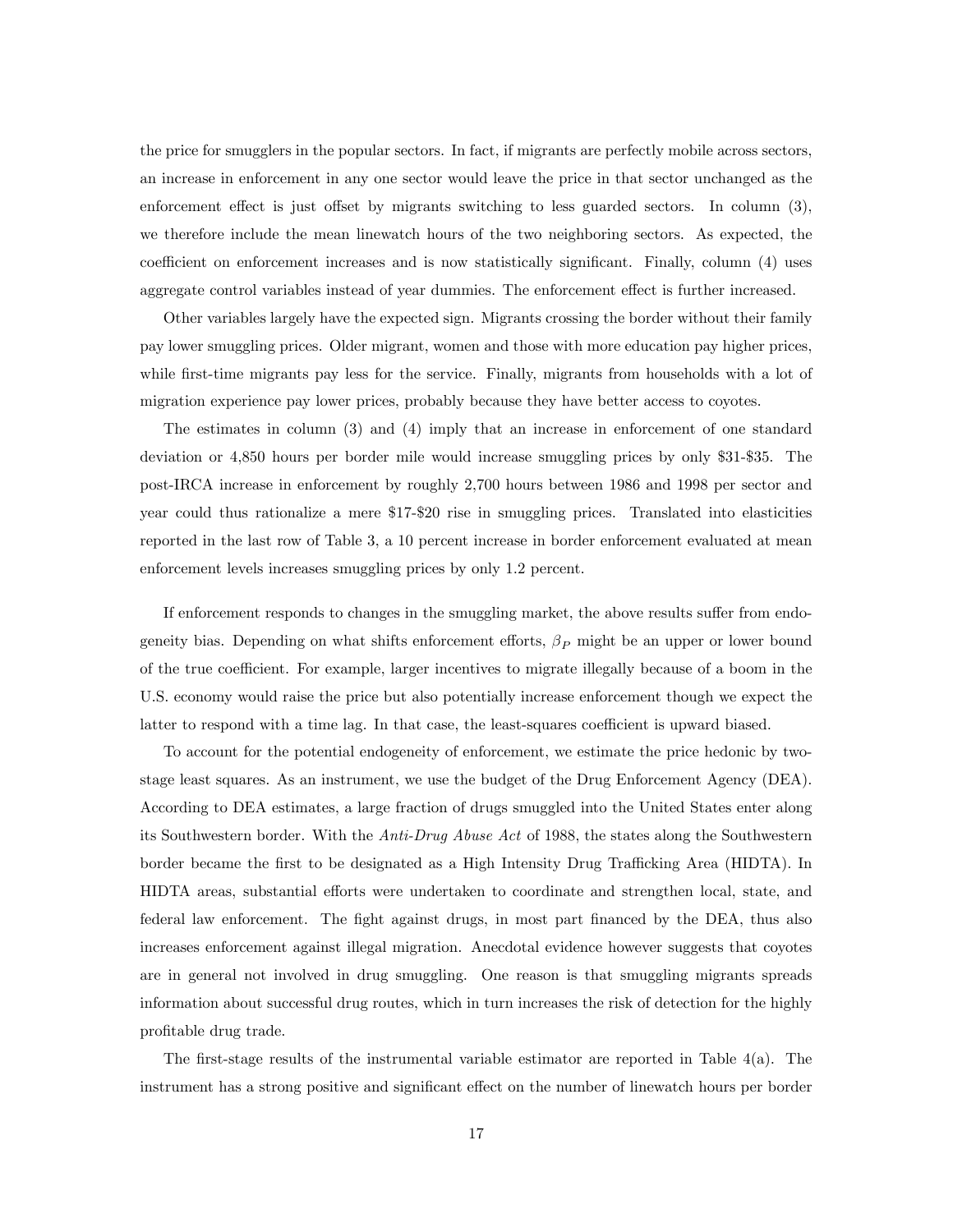the price for smugglers in the popular sectors. In fact, if migrants are perfectly mobile across sectors, an increase in enforcement in any one sector would leave the price in that sector unchanged as the enforcement effect is just offset by migrants switching to less guarded sectors. In column  $(3)$ , we therefore include the mean linewatch hours of the two neighboring sectors. As expected, the coefficient on enforcement increases and is now statistically significant. Finally, column  $(4)$  uses aggregate control variables instead of year dummies. The enforcement effect is further increased.

Other variables largely have the expected sign. Migrants crossing the border without their family pay lower smuggling prices. Older migrant, women and those with more education pay higher prices, while first-time migrants pay less for the service. Finally, migrants from households with a lot of migration experience pay lower prices, probably because they have better access to coyotes.

The estimates in column (3) and (4) imply that an increase in enforcement of one standard deviation or 4,850 hours per border mile would increase smuggling prices by only \$31-\$35. The post-IRCA increase in enforcement by roughly 2,700 hours between 1986 and 1998 per sector and year could thus rationalize a mere \$17-\$20 rise in smuggling prices. Translated into elasticities reported in the last row of Table 3, a 10 percent increase in border enforcement evaluated at mean enforcement levels increases smuggling prices by only 1.2 percent.

If enforcement responds to changes in the smuggling market, the above results suffer from endogeneity bias. Depending on what shifts enforcement efforts,  $\beta_P$  might be an upper or lower bound of the true coefficient. For example, larger incentives to migrate illegally because of a boom in the U.S. economy would raise the price but also potentially increase enforcement though we expect the latter to respond with a time lag. In that case, the least-squares coefficient is upward biased.

To account for the potential endogeneity of enforcement, we estimate the price hedonic by twostage least squares. As an instrument, we use the budget of the Drug Enforcement Agency (DEA). According to DEA estimates, a large fraction of drugs smuggled into the United States enter along its Southwestern border. With the *Anti-Drug Abuse Act* of 1988, the states along the Southwestern border became the first to be designated as a High Intensity Drug Trafficking Area (HIDTA). In HIDTA areas, substantial efforts were undertaken to coordinate and strengthen local, state, and federal law enforcement. The fight against drugs, in most part financed by the DEA, thus also increases enforcement against illegal migration. Anecdotal evidence however suggests that coyotes are in general not involved in drug smuggling. One reason is that smuggling migrants spreads information about successful drug routes, which in turn increases the risk of detection for the highly profitable drug trade.

The first-stage results of the instrumental variable estimator are reported in Table  $4(a)$ . The instrument has a strong positive and significant effect on the number of linewatch hours per border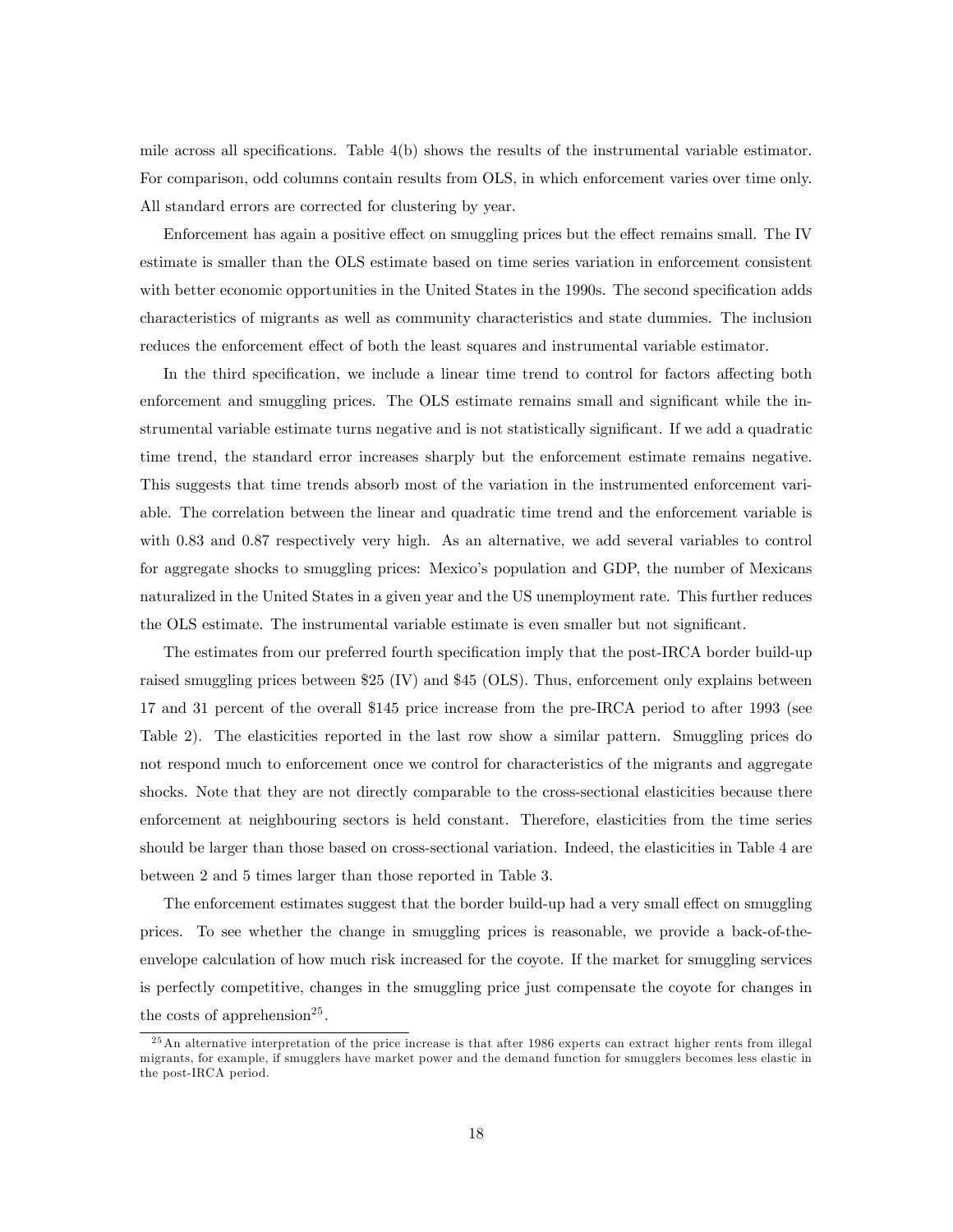mile across all specifications. Table  $4(b)$  shows the results of the instrumental variable estimator. For comparison, odd columns contain results from OLS, in which enforcement varies over time only. All standard errors are corrected for clustering by year.

Enforcement has again a positive effect on smuggling prices but the effect remains small. The IV estimate is smaller than the OLS estimate based on time series variation in enforcement consistent with better economic opportunities in the United States in the 1990s. The second specification adds characteristics of migrants as well as community characteristics and state dummies. The inclusion reduces the enforcement effect of both the least squares and instrumental variable estimator.

In the third specification, we include a linear time trend to control for factors affecting both enforcement and smuggling prices. The OLS estimate remains small and significant while the instrumental variable estimate turns negative and is not statistically significant. If we add a quadratic time trend, the standard error increases sharply but the enforcement estimate remains negative. This suggests that time trends absorb most of the variation in the instrumented enforcement variable. The correlation between the linear and quadratic time trend and the enforcement variable is with 0.83 and 0.87 respectively very high. As an alternative, we add several variables to control for aggregate shocks to smuggling prices: Mexicoís population and GDP, the number of Mexicans naturalized in the United States in a given year and the US unemployment rate. This further reduces the OLS estimate. The instrumental variable estimate is even smaller but not significant.

The estimates from our preferred fourth specification imply that the post-IRCA border build-up raised smuggling prices between \$25 (IV) and \$45 (OLS). Thus, enforcement only explains between 17 and 31 percent of the overall \$145 price increase from the pre-IRCA period to after 1993 (see Table 2). The elasticities reported in the last row show a similar pattern. Smuggling prices do not respond much to enforcement once we control for characteristics of the migrants and aggregate shocks. Note that they are not directly comparable to the cross-sectional elasticities because there enforcement at neighbouring sectors is held constant. Therefore, elasticities from the time series should be larger than those based on cross-sectional variation. Indeed, the elasticities in Table 4 are between 2 and 5 times larger than those reported in Table 3.

The enforcement estimates suggest that the border build-up had a very small effect on smuggling prices. To see whether the change in smuggling prices is reasonable, we provide a back-of-theenvelope calculation of how much risk increased for the coyote. If the market for smuggling services is perfectly competitive, changes in the smuggling price just compensate the coyote for changes in the costs of apprehension<sup>25</sup>.

 $^{25}$ An alternative interpretation of the price increase is that after 1986 experts can extract higher rents from illegal migrants, for example, if smugglers have market power and the demand function for smugglers becomes less elastic in the post-IRCA period.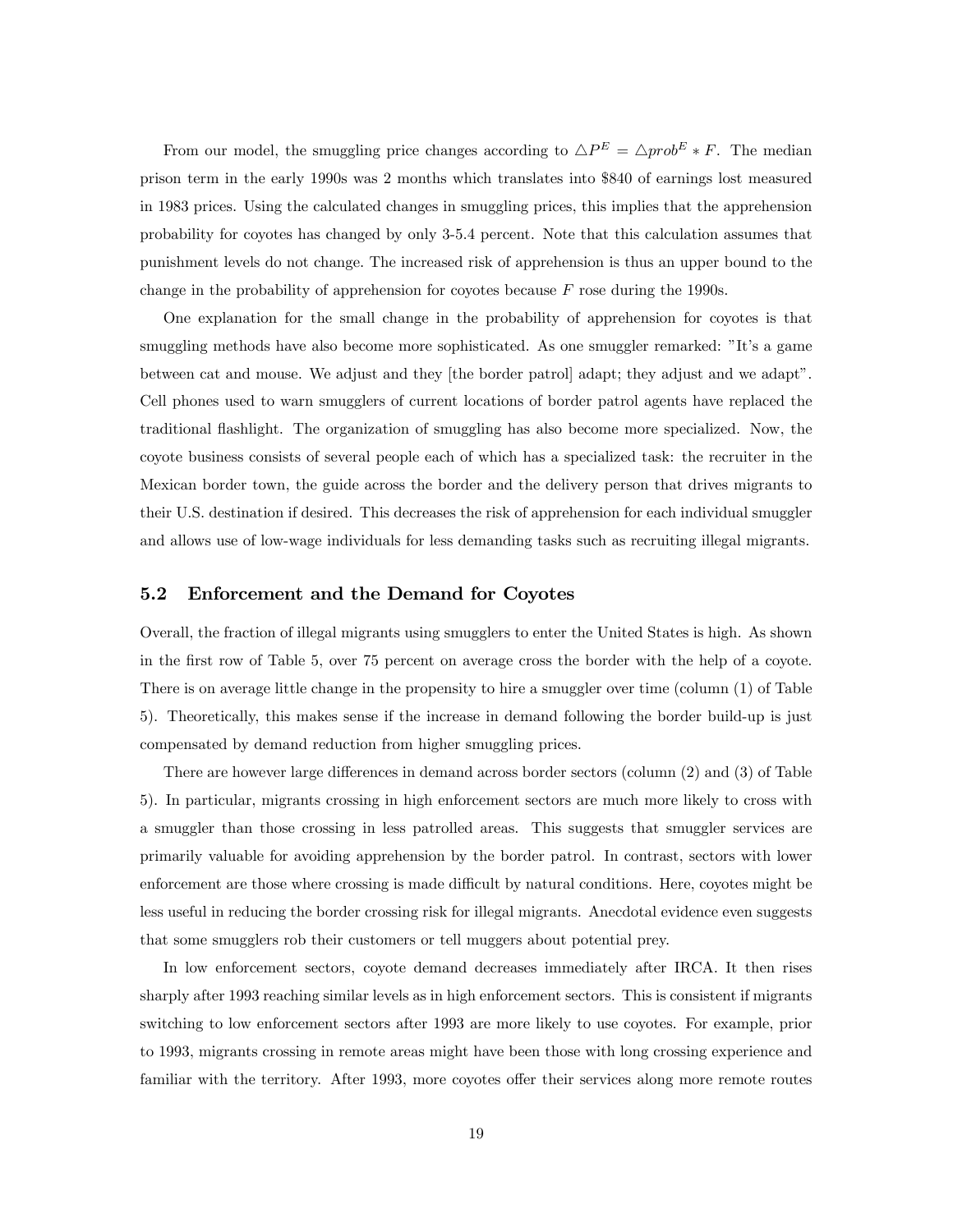From our model, the smuggling price changes according to  $\Delta P^{E} = \Delta prob^{E} * F$ . The median prison term in the early 1990s was 2 months which translates into \$840 of earnings lost measured in 1983 prices. Using the calculated changes in smuggling prices, this implies that the apprehension probability for coyotes has changed by only 3-5.4 percent. Note that this calculation assumes that punishment levels do not change. The increased risk of apprehension is thus an upper bound to the change in the probability of apprehension for coyotes because  $F$  rose during the 1990s.

One explanation for the small change in the probability of apprehension for coyotes is that smuggling methods have also become more sophisticated. As one smuggler remarked: "It's a game between cat and mouse. We adjust and they [the border patrol] adapt; they adjust and we adaptî. Cell phones used to warn smugglers of current locations of border patrol agents have replaced the traditional áashlight. The organization of smuggling has also become more specialized. Now, the coyote business consists of several people each of which has a specialized task: the recruiter in the Mexican border town, the guide across the border and the delivery person that drives migrants to their U.S. destination if desired. This decreases the risk of apprehension for each individual smuggler and allows use of low-wage individuals for less demanding tasks such as recruiting illegal migrants.

#### 5.2 Enforcement and the Demand for Coyotes

Overall, the fraction of illegal migrants using smugglers to enter the United States is high. As shown in the first row of Table 5, over 75 percent on average cross the border with the help of a coyote. There is on average little change in the propensity to hire a smuggler over time (column (1) of Table 5). Theoretically, this makes sense if the increase in demand following the border build-up is just compensated by demand reduction from higher smuggling prices.

There are however large differences in demand across border sectors (column  $(2)$ ) and  $(3)$  of Table 5). In particular, migrants crossing in high enforcement sectors are much more likely to cross with a smuggler than those crossing in less patrolled areas. This suggests that smuggler services are primarily valuable for avoiding apprehension by the border patrol. In contrast, sectors with lower enforcement are those where crossing is made difficult by natural conditions. Here, coyotes might be less useful in reducing the border crossing risk for illegal migrants. Anecdotal evidence even suggests that some smugglers rob their customers or tell muggers about potential prey.

In low enforcement sectors, coyote demand decreases immediately after IRCA. It then rises sharply after 1993 reaching similar levels as in high enforcement sectors. This is consistent if migrants switching to low enforcement sectors after 1993 are more likely to use coyotes. For example, prior to 1993, migrants crossing in remote areas might have been those with long crossing experience and familiar with the territory. After 1993, more coyotes offer their services along more remote routes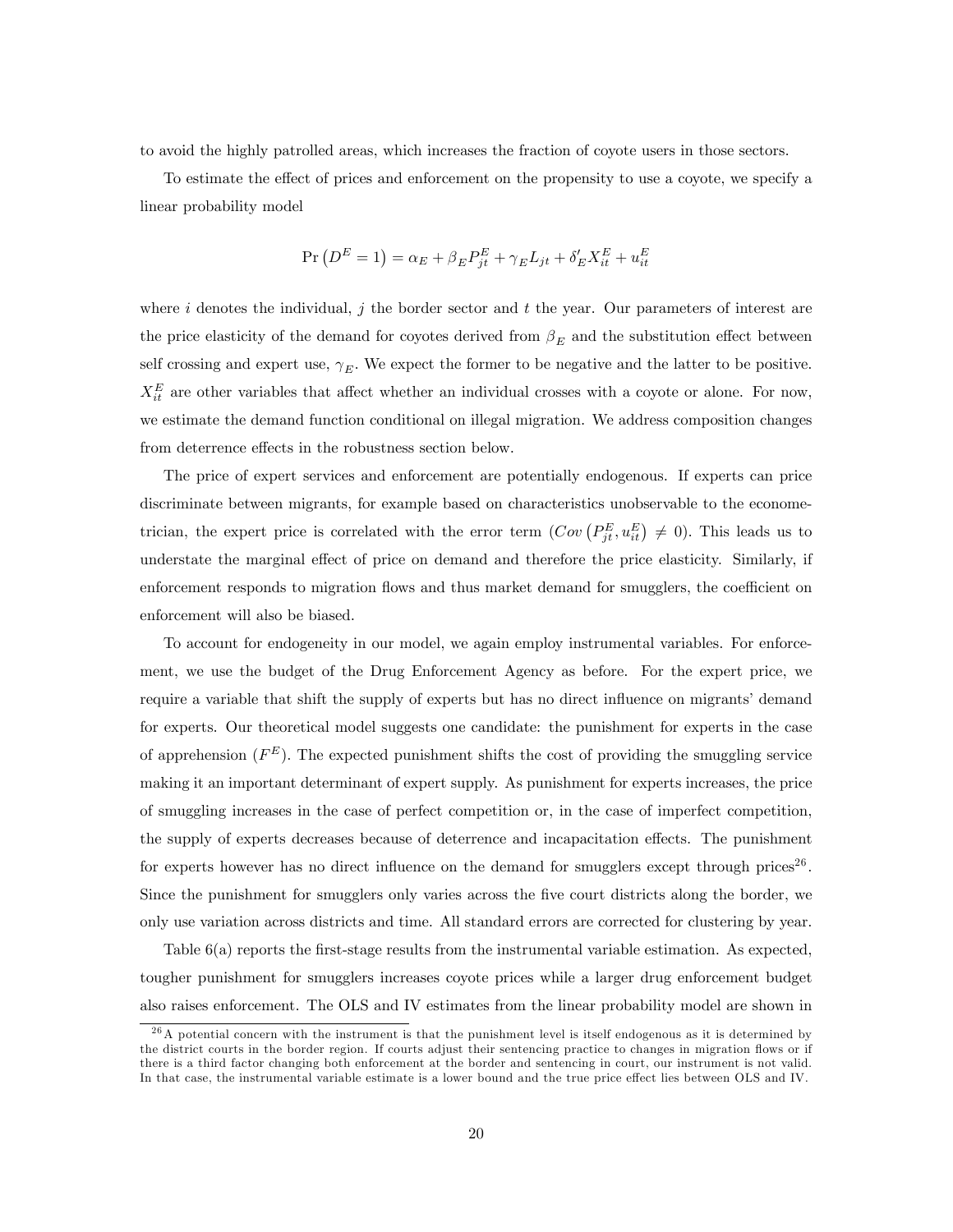to avoid the highly patrolled areas, which increases the fraction of coyote users in those sectors.

To estimate the effect of prices and enforcement on the propensity to use a coyote, we specify a linear probability model

$$
\Pr(D^{E} = 1) = \alpha_E + \beta_E P_{jt}^E + \gamma_E L_{jt} + \delta'_E X_{it}^E + u_{it}^E
$$

where i denotes the individual, j the border sector and t the year. Our parameters of interest are the price elasticity of the demand for coyotes derived from  $\beta_E$  and the substitution effect between self crossing and expert use,  $\gamma_E$ . We expect the former to be negative and the latter to be positive.  $X_{it}^E$  are other variables that affect whether an individual crosses with a coyote or alone. For now, we estimate the demand function conditional on illegal migration. We address composition changes from deterrence effects in the robustness section below.

The price of expert services and enforcement are potentially endogenous. If experts can price discriminate between migrants, for example based on characteristics unobservable to the econometrician, the expert price is correlated with the error term  $(Cov(P_{jt}^E, u_{it}^E) \neq 0)$ . This leads us to understate the marginal effect of price on demand and therefore the price elasticity. Similarly, if enforcement responds to migration flows and thus market demand for smugglers, the coefficient on enforcement will also be biased.

To account for endogeneity in our model, we again employ instrumental variables. For enforcement, we use the budget of the Drug Enforcement Agency as before. For the expert price, we require a variable that shift the supply of experts but has no direct influence on migrants' demand for experts. Our theoretical model suggests one candidate: the punishment for experts in the case of apprehension  $(F^{E})$ . The expected punishment shifts the cost of providing the smuggling service making it an important determinant of expert supply. As punishment for experts increases, the price of smuggling increases in the case of perfect competition or, in the case of imperfect competition, the supply of experts decreases because of deterrence and incapacitation effects. The punishment for experts however has no direct influence on the demand for smugglers except through prices<sup>26</sup>. Since the punishment for smugglers only varies across the Öve court districts along the border, we only use variation across districts and time. All standard errors are corrected for clustering by year.

Table 6(a) reports the first-stage results from the instrumental variable estimation. As expected, tougher punishment for smugglers increases coyote prices while a larger drug enforcement budget also raises enforcement. The OLS and IV estimates from the linear probability model are shown in

 $26A$  potential concern with the instrument is that the punishment level is itself endogenous as it is determined by the district courts in the border region. If courts adjust their sentencing practice to changes in migration flows or if there is a third factor changing both enforcement at the border and sentencing in court, our instrument is not valid. In that case, the instrumental variable estimate is a lower bound and the true price effect lies between OLS and IV.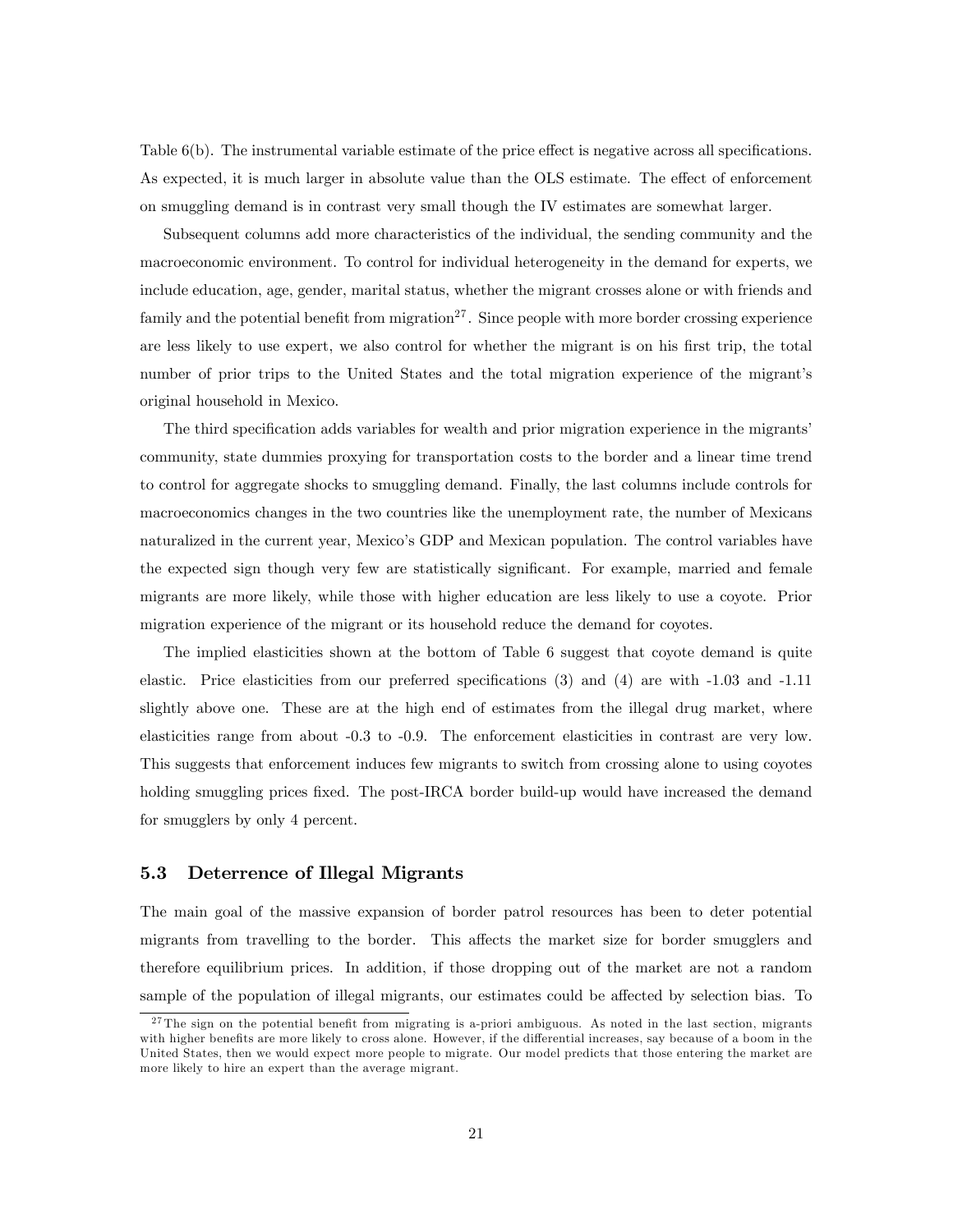Table  $6(b)$ . The instrumental variable estimate of the price effect is negative across all specifications. As expected, it is much larger in absolute value than the OLS estimate. The effect of enforcement on smuggling demand is in contrast very small though the IV estimates are somewhat larger.

Subsequent columns add more characteristics of the individual, the sending community and the macroeconomic environment. To control for individual heterogeneity in the demand for experts, we include education, age, gender, marital status, whether the migrant crosses alone or with friends and family and the potential benefit from migration<sup>27</sup>. Since people with more border crossing experience are less likely to use expert, we also control for whether the migrant is on his first trip, the total number of prior trips to the United States and the total migration experience of the migrant's original household in Mexico.

The third specification adds variables for wealth and prior migration experience in the migrants' community, state dummies proxying for transportation costs to the border and a linear time trend to control for aggregate shocks to smuggling demand. Finally, the last columns include controls for macroeconomics changes in the two countries like the unemployment rate, the number of Mexicans naturalized in the current year, Mexico's GDP and Mexican population. The control variables have the expected sign though very few are statistically significant. For example, married and female migrants are more likely, while those with higher education are less likely to use a coyote. Prior migration experience of the migrant or its household reduce the demand for coyotes.

The implied elasticities shown at the bottom of Table 6 suggest that coyote demand is quite elastic. Price elasticities from our preferred specifications  $(3)$  and  $(4)$  are with  $-1.03$  and  $-1.11$ slightly above one. These are at the high end of estimates from the illegal drug market, where elasticities range from about -0.3 to -0.9. The enforcement elasticities in contrast are very low. This suggests that enforcement induces few migrants to switch from crossing alone to using coyotes holding smuggling prices fixed. The post-IRCA border build-up would have increased the demand for smugglers by only 4 percent.

#### 5.3 Deterrence of Illegal Migrants

The main goal of the massive expansion of border patrol resources has been to deter potential migrants from travelling to the border. This affects the market size for border smugglers and therefore equilibrium prices. In addition, if those dropping out of the market are not a random sample of the population of illegal migrants, our estimates could be affected by selection bias. To

 $27$ The sign on the potential benefit from migrating is a-priori ambiguous. As noted in the last section, migrants with higher benefits are more likely to cross alone. However, if the differential increases, say because of a boom in the United States, then we would expect more people to migrate. Our model predicts that those entering the market are more likely to hire an expert than the average migrant.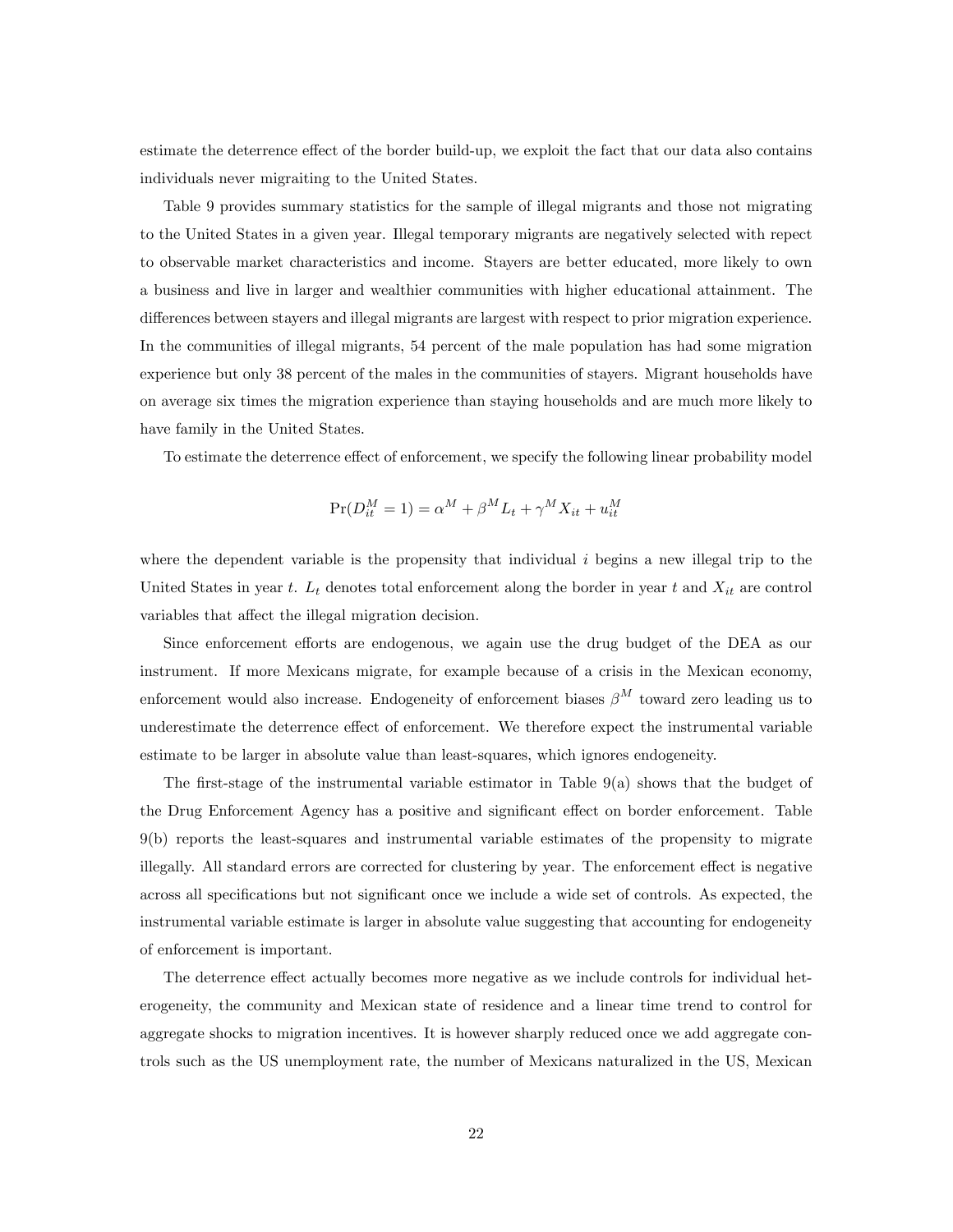estimate the deterrence effect of the border build-up, we exploit the fact that our data also contains individuals never migraiting to the United States.

Table 9 provides summary statistics for the sample of illegal migrants and those not migrating to the United States in a given year. Illegal temporary migrants are negatively selected with repect to observable market characteristics and income. Stayers are better educated, more likely to own a business and live in larger and wealthier communities with higher educational attainment. The differences between stayers and illegal migrants are largest with respect to prior migration experience. In the communities of illegal migrants, 54 percent of the male population has had some migration experience but only 38 percent of the males in the communities of stayers. Migrant households have on average six times the migration experience than staying households and are much more likely to have family in the United States.

To estimate the deterrence effect of enforcement, we specify the following linear probability model

$$
Pr(D_{it}^M = 1) = \alpha^M + \beta^M L_t + \gamma^M X_{it} + u_{it}^M
$$

where the dependent variable is the propensity that individual  $i$  begins a new illegal trip to the United States in year t.  $L_t$  denotes total enforcement along the border in year t and  $X_{it}$  are control variables that affect the illegal migration decision.

Since enforcement efforts are endogenous, we again use the drug budget of the DEA as our instrument. If more Mexicans migrate, for example because of a crisis in the Mexican economy, enforcement would also increase. Endogeneity of enforcement biases  $\beta^{M}$  toward zero leading us to underestimate the deterrence effect of enforcement. We therefore expect the instrumental variable estimate to be larger in absolute value than least-squares, which ignores endogeneity.

The first-stage of the instrumental variable estimator in Table  $9(a)$  shows that the budget of the Drug Enforcement Agency has a positive and significant effect on border enforcement. Table 9(b) reports the least-squares and instrumental variable estimates of the propensity to migrate illegally. All standard errors are corrected for clustering by year. The enforcement effect is negative across all specifications but not significant once we include a wide set of controls. As expected, the instrumental variable estimate is larger in absolute value suggesting that accounting for endogeneity of enforcement is important.

The deterrence effect actually becomes more negative as we include controls for individual heterogeneity, the community and Mexican state of residence and a linear time trend to control for aggregate shocks to migration incentives. It is however sharply reduced once we add aggregate controls such as the US unemployment rate, the number of Mexicans naturalized in the US, Mexican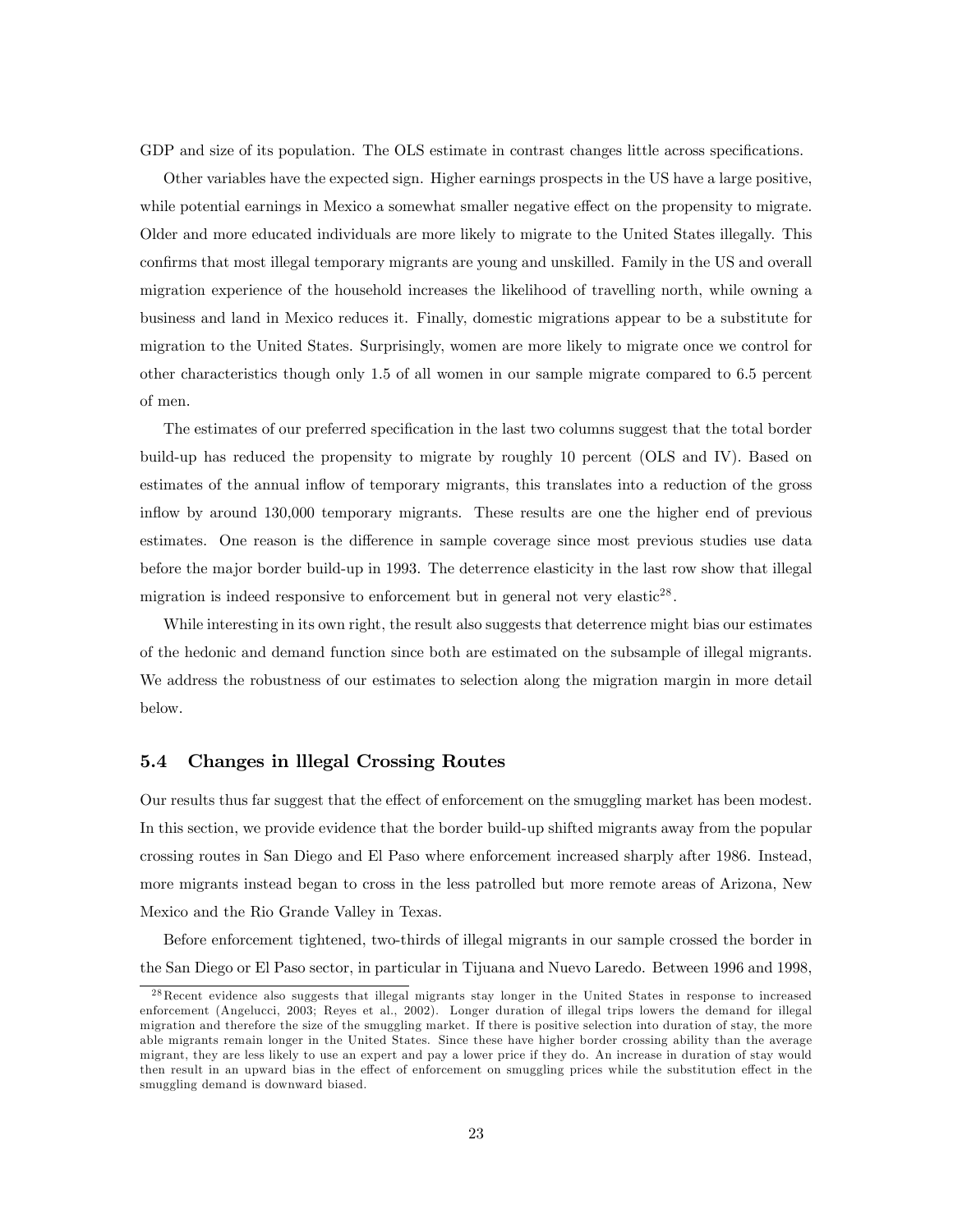GDP and size of its population. The OLS estimate in contrast changes little across specifications.

Other variables have the expected sign. Higher earnings prospects in the US have a large positive, while potential earnings in Mexico a somewhat smaller negative effect on the propensity to migrate. Older and more educated individuals are more likely to migrate to the United States illegally. This confirms that most illegal temporary migrants are young and unskilled. Family in the US and overall migration experience of the household increases the likelihood of travelling north, while owning a business and land in Mexico reduces it. Finally, domestic migrations appear to be a substitute for migration to the United States. Surprisingly, women are more likely to migrate once we control for other characteristics though only 1.5 of all women in our sample migrate compared to 6.5 percent of men.

The estimates of our preferred specification in the last two columns suggest that the total border build-up has reduced the propensity to migrate by roughly 10 percent (OLS and IV). Based on estimates of the annual inflow of temporary migrants, this translates into a reduction of the gross inflow by around 130,000 temporary migrants. These results are one the higher end of previous estimates. One reason is the difference in sample coverage since most previous studies use data before the major border build-up in 1993. The deterrence elasticity in the last row show that illegal migration is indeed responsive to enforcement but in general not very elastic<sup>28</sup>.

While interesting in its own right, the result also suggests that deterrence might bias our estimates of the hedonic and demand function since both are estimated on the subsample of illegal migrants. We address the robustness of our estimates to selection along the migration margin in more detail below.

#### 5.4 Changes in lllegal Crossing Routes

Our results thus far suggest that the effect of enforcement on the smuggling market has been modest. In this section, we provide evidence that the border build-up shifted migrants away from the popular crossing routes in San Diego and El Paso where enforcement increased sharply after 1986. Instead, more migrants instead began to cross in the less patrolled but more remote areas of Arizona, New Mexico and the Rio Grande Valley in Texas.

Before enforcement tightened, two-thirds of illegal migrants in our sample crossed the border in the San Diego or El Paso sector, in particular in Tijuana and Nuevo Laredo. Between 1996 and 1998,

<sup>&</sup>lt;sup>28</sup> Recent evidence also suggests that illegal migrants stay longer in the United States in response to increased enforcement (Angelucci, 2003; Reyes et al., 2002). Longer duration of illegal trips lowers the demand for illegal migration and therefore the size of the smuggling market. If there is positive selection into duration of stay, the more able migrants remain longer in the United States. Since these have higher border crossing ability than the average migrant, they are less likely to use an expert and pay a lower price if they do. An increase in duration of stay would then result in an upward bias in the effect of enforcement on smuggling prices while the substitution effect in the smuggling demand is downward biased.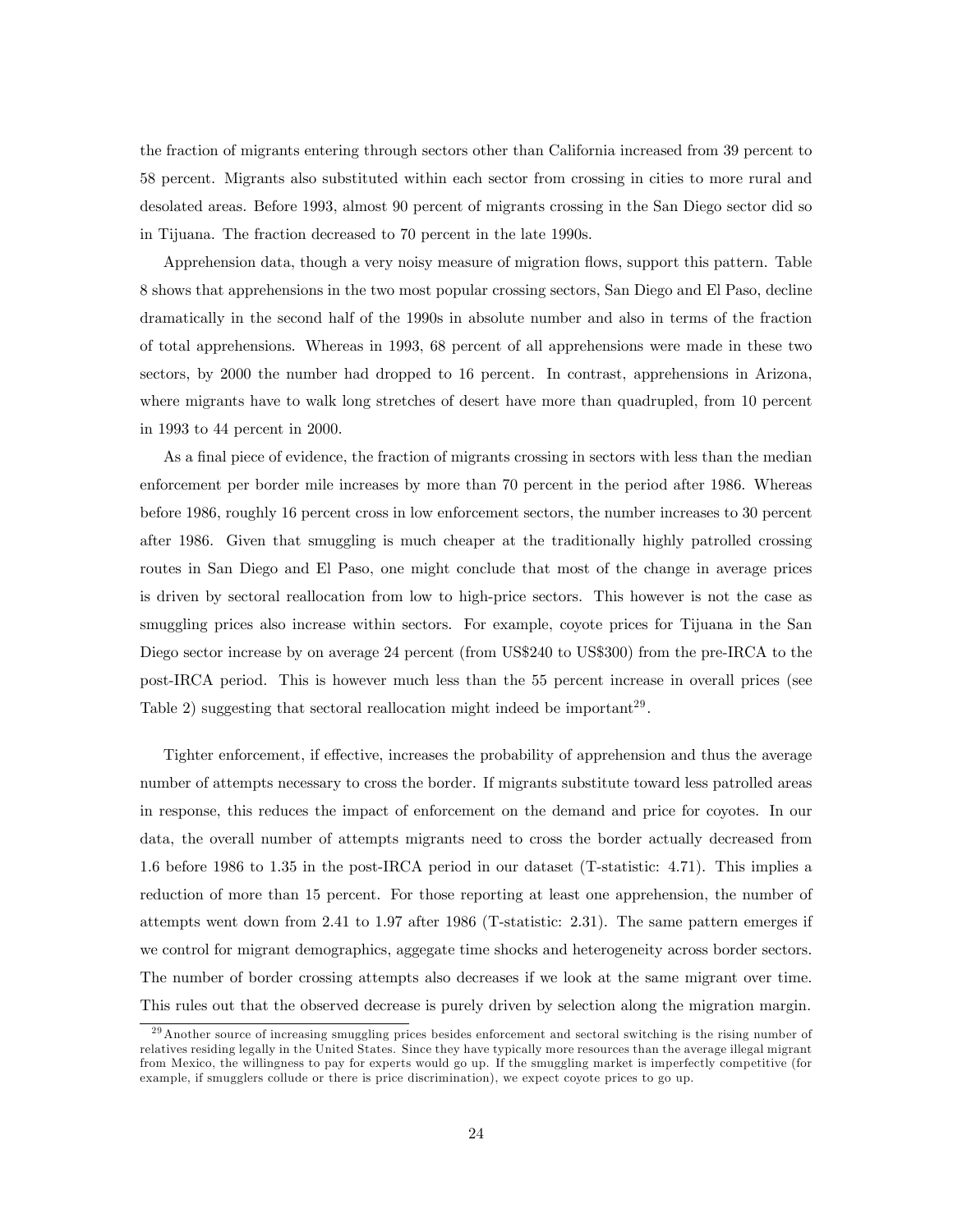the fraction of migrants entering through sectors other than California increased from 39 percent to 58 percent. Migrants also substituted within each sector from crossing in cities to more rural and desolated areas. Before 1993, almost 90 percent of migrants crossing in the San Diego sector did so in Tijuana. The fraction decreased to 70 percent in the late 1990s.

Apprehension data, though a very noisy measure of migration flows, support this pattern. Table 8 shows that apprehensions in the two most popular crossing sectors, San Diego and El Paso, decline dramatically in the second half of the 1990s in absolute number and also in terms of the fraction of total apprehensions. Whereas in 1993, 68 percent of all apprehensions were made in these two sectors, by 2000 the number had dropped to 16 percent. In contrast, apprehensions in Arizona, where migrants have to walk long stretches of desert have more than quadrupled, from 10 percent in 1993 to 44 percent in 2000.

As a final piece of evidence, the fraction of migrants crossing in sectors with less than the median enforcement per border mile increases by more than 70 percent in the period after 1986. Whereas before 1986, roughly 16 percent cross in low enforcement sectors, the number increases to 30 percent after 1986. Given that smuggling is much cheaper at the traditionally highly patrolled crossing routes in San Diego and El Paso, one might conclude that most of the change in average prices is driven by sectoral reallocation from low to high-price sectors. This however is not the case as smuggling prices also increase within sectors. For example, coyote prices for Tijuana in the San Diego sector increase by on average 24 percent (from US\$240 to US\$300) from the pre-IRCA to the post-IRCA period. This is however much less than the 55 percent increase in overall prices (see Table 2) suggesting that sectoral reallocation might indeed be important<sup>29</sup>.

Tighter enforcement, if effective, increases the probability of apprehension and thus the average number of attempts necessary to cross the border. If migrants substitute toward less patrolled areas in response, this reduces the impact of enforcement on the demand and price for coyotes. In our data, the overall number of attempts migrants need to cross the border actually decreased from 1.6 before 1986 to 1.35 in the post-IRCA period in our dataset (T-statistic: 4.71). This implies a reduction of more than 15 percent. For those reporting at least one apprehension, the number of attempts went down from 2.41 to 1.97 after 1986 (T-statistic: 2.31). The same pattern emerges if we control for migrant demographics, aggegate time shocks and heterogeneity across border sectors. The number of border crossing attempts also decreases if we look at the same migrant over time. This rules out that the observed decrease is purely driven by selection along the migration margin.

<sup>&</sup>lt;sup>29</sup> Another source of increasing smuggling prices besides enforcement and sectoral switching is the rising number of relatives residing legally in the United States. Since they have typically more resources than the average illegal migrant from Mexico, the willingness to pay for experts would go up. If the smuggling market is imperfectly competitive (for example, if smugglers collude or there is price discrimination), we expect coyote prices to go up.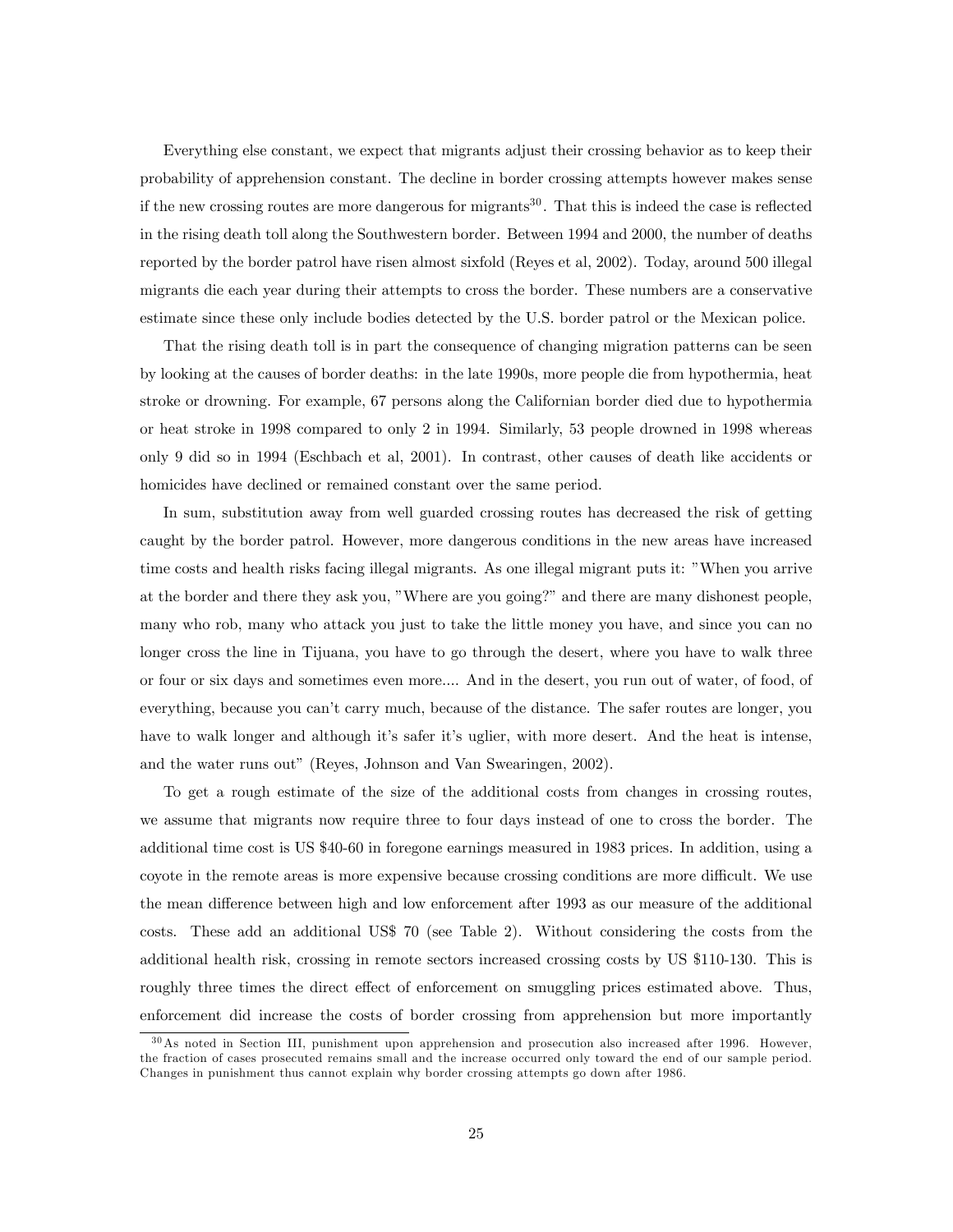Everything else constant, we expect that migrants adjust their crossing behavior as to keep their probability of apprehension constant. The decline in border crossing attempts however makes sense if the new crossing routes are more dangerous for migrants<sup>30</sup>. That this is indeed the case is reflected in the rising death toll along the Southwestern border. Between 1994 and 2000, the number of deaths reported by the border patrol have risen almost sixfold (Reyes et al, 2002). Today, around 500 illegal migrants die each year during their attempts to cross the border. These numbers are a conservative estimate since these only include bodies detected by the U.S. border patrol or the Mexican police.

That the rising death toll is in part the consequence of changing migration patterns can be seen by looking at the causes of border deaths: in the late 1990s, more people die from hypothermia, heat stroke or drowning. For example, 67 persons along the Californian border died due to hypothermia or heat stroke in 1998 compared to only 2 in 1994. Similarly, 53 people drowned in 1998 whereas only 9 did so in 1994 (Eschbach et al, 2001). In contrast, other causes of death like accidents or homicides have declined or remained constant over the same period.

In sum, substitution away from well guarded crossing routes has decreased the risk of getting caught by the border patrol. However, more dangerous conditions in the new areas have increased time costs and health risks facing illegal migrants. As one illegal migrant puts it: "When you arrive at the border and there they ask you, "Where are you going?" and there are many dishonest people, many who rob, many who attack you just to take the little money you have, and since you can no longer cross the line in Tijuana, you have to go through the desert, where you have to walk three or four or six days and sometimes even more.... And in the desert, you run out of water, of food, of everything, because you canít carry much, because of the distance. The safer routes are longer, you have to walk longer and although it's safer it's uglier, with more desert. And the heat is intense, and the water runs out" (Reyes, Johnson and Van Swearingen, 2002).

To get a rough estimate of the size of the additional costs from changes in crossing routes, we assume that migrants now require three to four days instead of one to cross the border. The additional time cost is US \$40-60 in foregone earnings measured in 1983 prices. In addition, using a coyote in the remote areas is more expensive because crossing conditions are more difficult. We use the mean difference between high and low enforcement after 1993 as our measure of the additional costs. These add an additional US\$ 70 (see Table 2). Without considering the costs from the additional health risk, crossing in remote sectors increased crossing costs by US \$110-130. This is roughly three times the direct effect of enforcement on smuggling prices estimated above. Thus, enforcement did increase the costs of border crossing from apprehension but more importantly

<sup>&</sup>lt;sup>30</sup>As noted in Section III, punishment upon apprehension and prosecution also increased after 1996. However, the fraction of cases prosecuted remains small and the increase occurred only toward the end of our sample period. Changes in punishment thus cannot explain why border crossing attempts go down after 1986.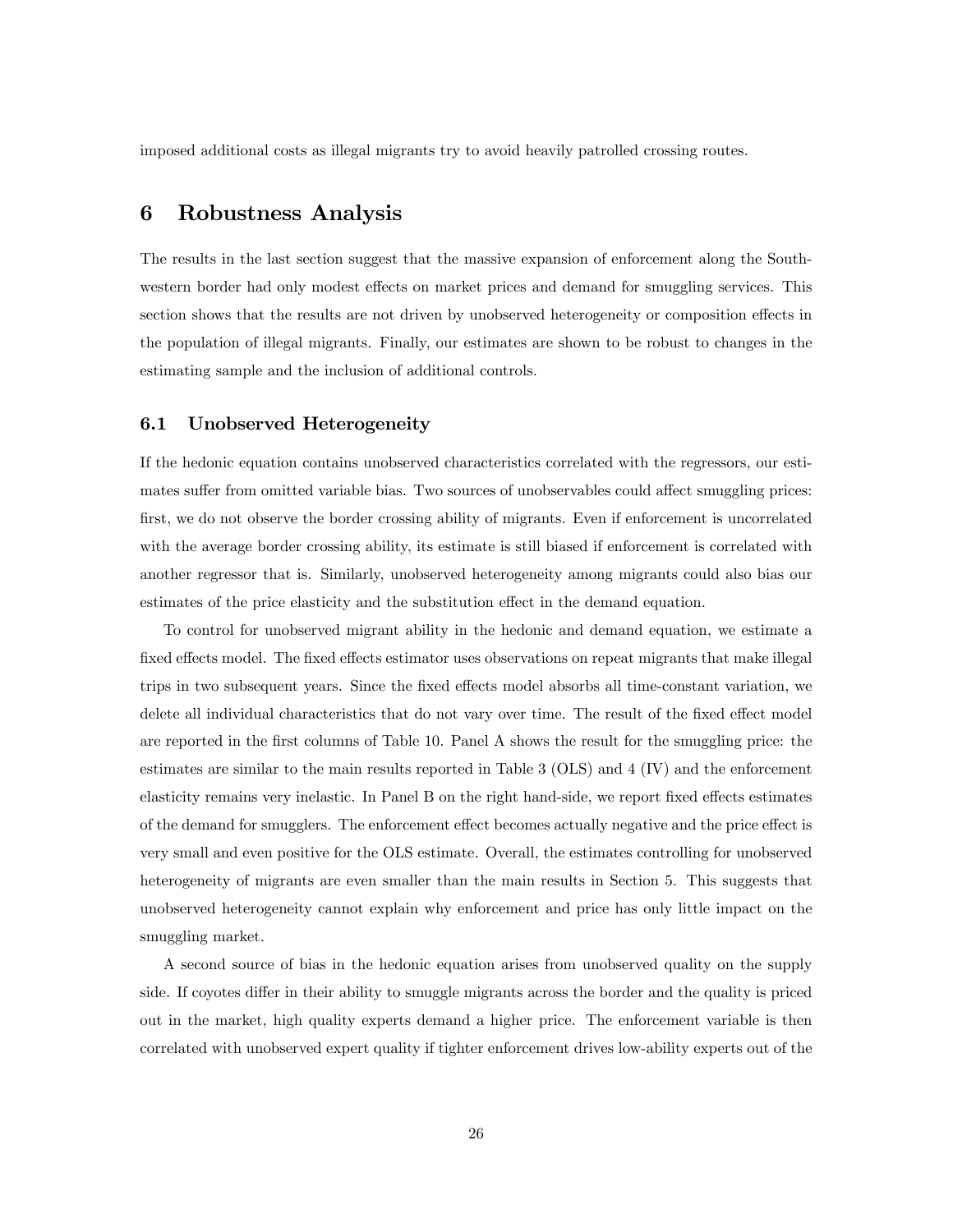imposed additional costs as illegal migrants try to avoid heavily patrolled crossing routes.

## 6 Robustness Analysis

The results in the last section suggest that the massive expansion of enforcement along the Southwestern border had only modest effects on market prices and demand for smuggling services. This section shows that the results are not driven by unobserved heterogeneity or composition effects in the population of illegal migrants. Finally, our estimates are shown to be robust to changes in the estimating sample and the inclusion of additional controls.

#### 6.1 Unobserved Heterogeneity

If the hedonic equation contains unobserved characteristics correlated with the regressors, our estimates suffer from omitted variable bias. Two sources of unobservables could affect smuggling prices: first, we do not observe the border crossing ability of migrants. Even if enforcement is uncorrelated with the average border crossing ability, its estimate is still biased if enforcement is correlated with another regressor that is. Similarly, unobserved heterogeneity among migrants could also bias our estimates of the price elasticity and the substitution effect in the demand equation.

To control for unobserved migrant ability in the hedonic and demand equation, we estimate a fixed effects model. The fixed effects estimator uses observations on repeat migrants that make illegal trips in two subsequent years. Since the fixed effects model absorbs all time-constant variation, we delete all individual characteristics that do not vary over time. The result of the fixed effect model are reported in the first columns of Table 10. Panel A shows the result for the smuggling price: the estimates are similar to the main results reported in Table 3 (OLS) and 4 (IV) and the enforcement elasticity remains very inelastic. In Panel B on the right hand-side, we report fixed effects estimates of the demand for smugglers. The enforcement effect becomes actually negative and the price effect is very small and even positive for the OLS estimate. Overall, the estimates controlling for unobserved heterogeneity of migrants are even smaller than the main results in Section 5. This suggests that unobserved heterogeneity cannot explain why enforcement and price has only little impact on the smuggling market.

A second source of bias in the hedonic equation arises from unobserved quality on the supply side. If coyotes differ in their ability to smuggle migrants across the border and the quality is priced out in the market, high quality experts demand a higher price. The enforcement variable is then correlated with unobserved expert quality if tighter enforcement drives low-ability experts out of the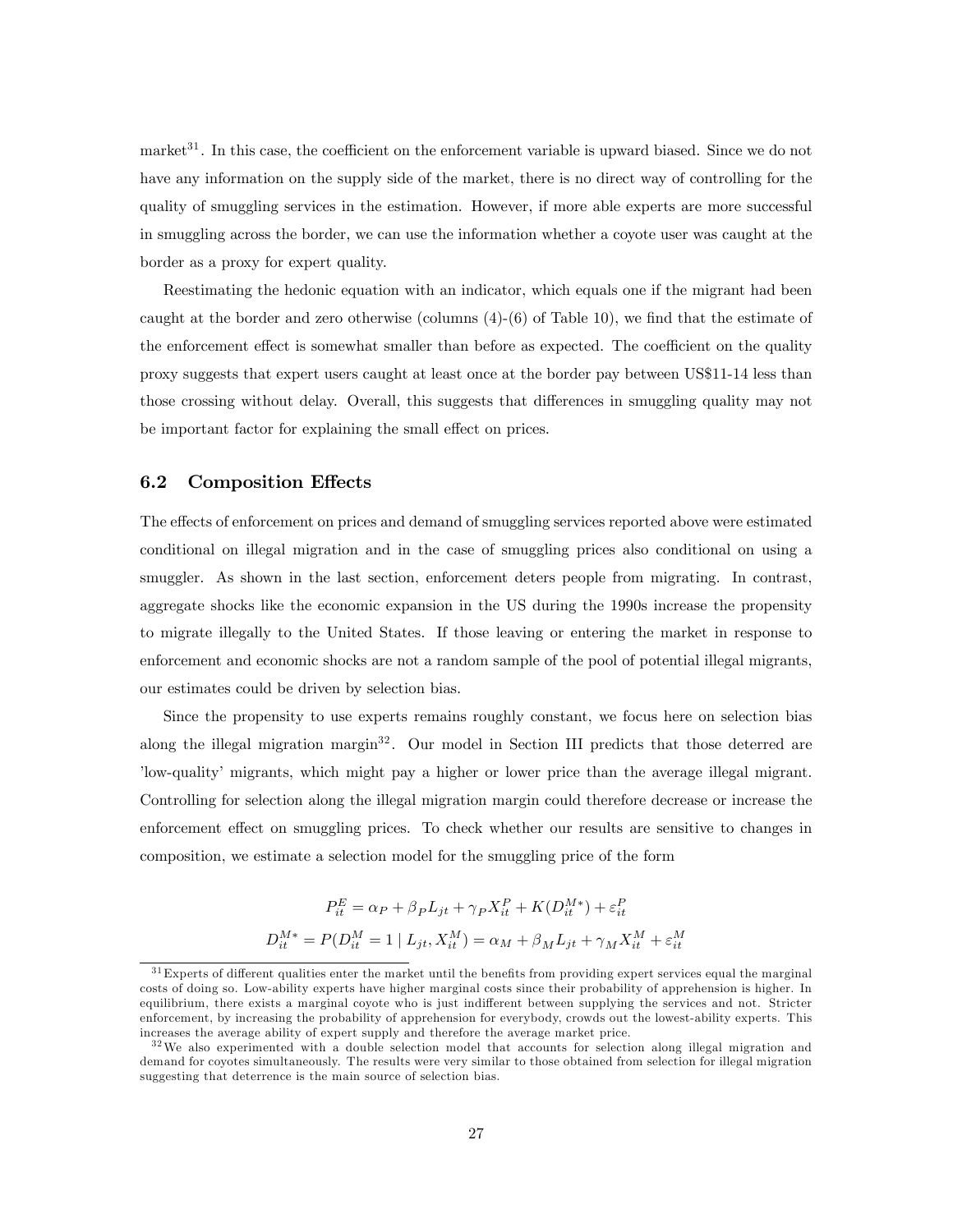market<sup>31</sup>. In this case, the coefficient on the enforcement variable is upward biased. Since we do not have any information on the supply side of the market, there is no direct way of controlling for the quality of smuggling services in the estimation. However, if more able experts are more successful in smuggling across the border, we can use the information whether a coyote user was caught at the border as a proxy for expert quality.

Reestimating the hedonic equation with an indicator, which equals one if the migrant had been caught at the border and zero otherwise (columns  $(4)-(6)$  of Table 10), we find that the estimate of the enforcement effect is somewhat smaller than before as expected. The coefficient on the quality proxy suggests that expert users caught at least once at the border pay between US\$11-14 less than those crossing without delay. Overall, this suggests that differences in smuggling quality may not be important factor for explaining the small effect on prices.

#### 6.2 Composition Effects

The effects of enforcement on prices and demand of smuggling services reported above were estimated conditional on illegal migration and in the case of smuggling prices also conditional on using a smuggler. As shown in the last section, enforcement deters people from migrating. In contrast, aggregate shocks like the economic expansion in the US during the 1990s increase the propensity to migrate illegally to the United States. If those leaving or entering the market in response to enforcement and economic shocks are not a random sample of the pool of potential illegal migrants, our estimates could be driven by selection bias.

Since the propensity to use experts remains roughly constant, we focus here on selection bias along the illegal migration margin $32$ . Our model in Section III predicts that those deterred are ílow-qualityí migrants, which might pay a higher or lower price than the average illegal migrant. Controlling for selection along the illegal migration margin could therefore decrease or increase the enforcement effect on smuggling prices. To check whether our results are sensitive to changes in composition, we estimate a selection model for the smuggling price of the form

$$
P_{it}^E = \alpha_P + \beta_P L_{jt} + \gamma_P X_{it}^P + K(D_{it}^{M*}) + \varepsilon_{it}^P
$$
  

$$
D_{it}^{M*} = P(D_{it}^M = 1 | L_{jt}, X_{it}^M) = \alpha_M + \beta_M L_{jt} + \gamma_M X_{it}^M + \varepsilon_{it}^M
$$

 $31$  Experts of different qualities enter the market until the benefits from providing expert services equal the marginal costs of doing so. Low-ability experts have higher marginal costs since their probability of apprehension is higher. In equilibrium, there exists a marginal coyote who is just indifferent between supplying the services and not. Stricter enforcement, by increasing the probability of apprehension for everybody, crowds out the lowest-ability experts. This increases the average ability of expert supply and therefore the average market price.

<sup>&</sup>lt;sup>32</sup>We also experimented with a double selection model that accounts for selection along illegal migration and demand for coyotes simultaneously. The results were very similar to those obtained from selection for illegal migration suggesting that deterrence is the main source of selection bias.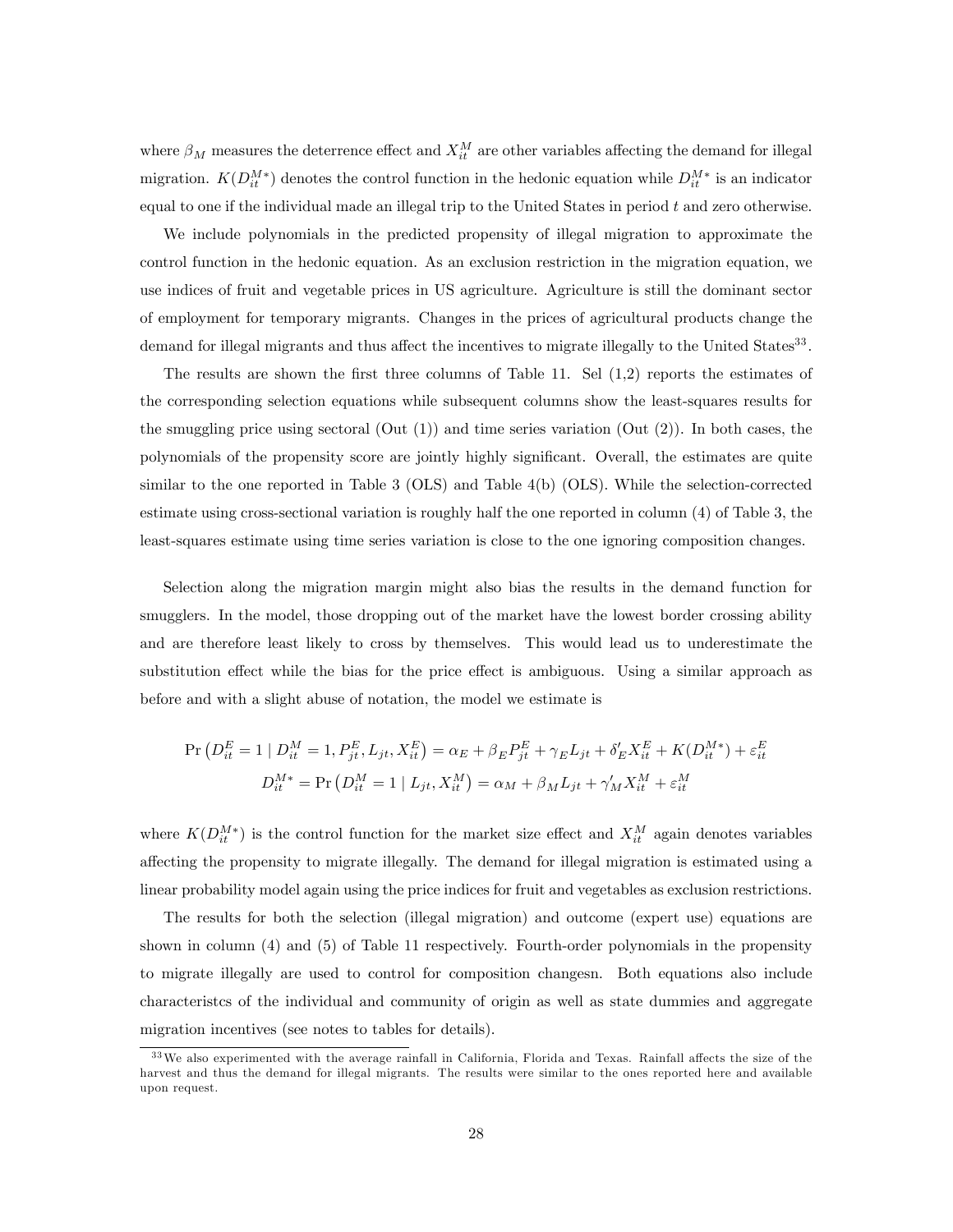where  $\beta_M$  measures the deterrence effect and  $X_{it}^M$  are other variables affecting the demand for illegal migration.  $K(D_{it}^{M*})$  denotes the control function in the hedonic equation while  $D_{it}^{M*}$  is an indicator equal to one if the individual made an illegal trip to the United States in period  $t$  and zero otherwise.

We include polynomials in the predicted propensity of illegal migration to approximate the control function in the hedonic equation. As an exclusion restriction in the migration equation, we use indices of fruit and vegetable prices in US agriculture. Agriculture is still the dominant sector of employment for temporary migrants. Changes in the prices of agricultural products change the demand for illegal migrants and thus affect the incentives to migrate illegally to the United States<sup>33</sup>.

The results are shown the first three columns of Table 11. Sel  $(1,2)$  reports the estimates of the corresponding selection equations while subsequent columns show the least-squares results for the smuggling price using sectoral  $(Out (1))$  and time series variation  $(Out (2))$ . In both cases, the polynomials of the propensity score are jointly highly significant. Overall, the estimates are quite similar to the one reported in Table 3 (OLS) and Table 4(b) (OLS). While the selection-corrected estimate using cross-sectional variation is roughly half the one reported in column (4) of Table 3, the least-squares estimate using time series variation is close to the one ignoring composition changes.

Selection along the migration margin might also bias the results in the demand function for smugglers. In the model, those dropping out of the market have the lowest border crossing ability and are therefore least likely to cross by themselves. This would lead us to underestimate the substitution effect while the bias for the price effect is ambiguous. Using a similar approach as before and with a slight abuse of notation, the model we estimate is

$$
\Pr\left(D_{it}^{E} = 1 \mid D_{it}^{M} = 1, P_{jt}^{E}, L_{jt}, X_{it}^{E}\right) = \alpha_{E} + \beta_{E} P_{jt}^{E} + \gamma_{E} L_{jt} + \delta'_{E} X_{it}^{E} + K(D_{it}^{M*}) + \varepsilon_{it}^{E}
$$
\n
$$
D_{it}^{M*} = \Pr\left(D_{it}^{M} = 1 \mid L_{jt}, X_{it}^{M}\right) = \alpha_{M} + \beta_{M} L_{jt} + \gamma'_{M} X_{it}^{M} + \varepsilon_{it}^{M}
$$

where  $K(D_{it}^{M*})$  is the control function for the market size effect and  $X_{it}^{M}$  again denotes variables a§ecting the propensity to migrate illegally. The demand for illegal migration is estimated using a linear probability model again using the price indices for fruit and vegetables as exclusion restrictions.

The results for both the selection (illegal migration) and outcome (expert use) equations are shown in column (4) and (5) of Table 11 respectively. Fourth-order polynomials in the propensity to migrate illegally are used to control for composition changesn. Both equations also include characteristcs of the individual and community of origin as well as state dummies and aggregate migration incentives (see notes to tables for details).

<sup>&</sup>lt;sup>33</sup> We also experimented with the average rainfall in California, Florida and Texas. Rainfall affects the size of the harvest and thus the demand for illegal migrants. The results were similar to the ones reported here and available upon request.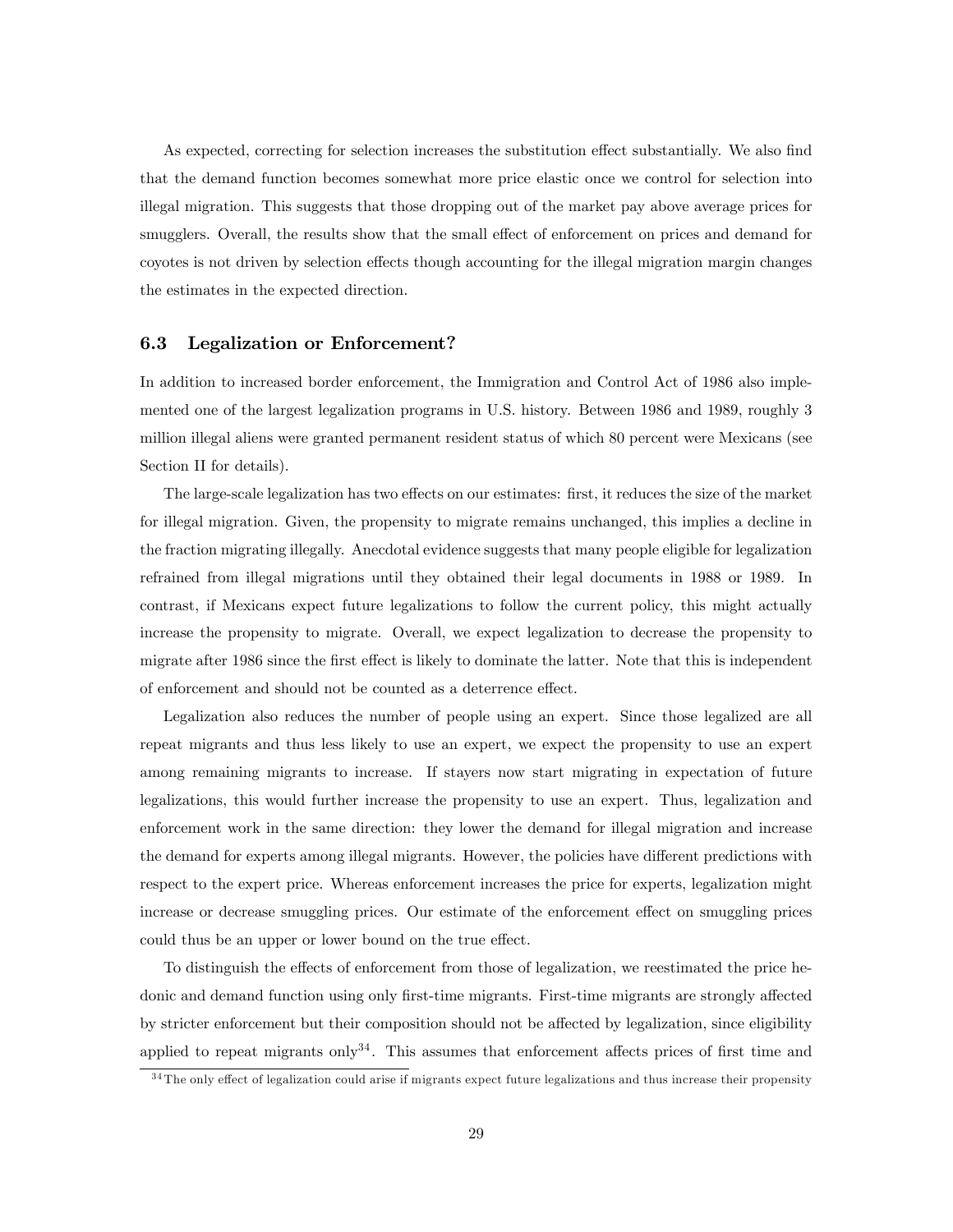As expected, correcting for selection increases the substitution effect substantially. We also find that the demand function becomes somewhat more price elastic once we control for selection into illegal migration. This suggests that those dropping out of the market pay above average prices for smugglers. Overall, the results show that the small effect of enforcement on prices and demand for coyotes is not driven by selection effects though accounting for the illegal migration margin changes the estimates in the expected direction.

### 6.3 Legalization or Enforcement?

In addition to increased border enforcement, the Immigration and Control Act of 1986 also implemented one of the largest legalization programs in U.S. history. Between 1986 and 1989, roughly 3 million illegal aliens were granted permanent resident status of which 80 percent were Mexicans (see Section II for details).

The large-scale legalization has two effects on our estimates: first, it reduces the size of the market for illegal migration. Given, the propensity to migrate remains unchanged, this implies a decline in the fraction migrating illegally. Anecdotal evidence suggests that many people eligible for legalization refrained from illegal migrations until they obtained their legal documents in 1988 or 1989. In contrast, if Mexicans expect future legalizations to follow the current policy, this might actually increase the propensity to migrate. Overall, we expect legalization to decrease the propensity to migrate after 1986 since the first effect is likely to dominate the latter. Note that this is independent of enforcement and should not be counted as a deterrence effect.

Legalization also reduces the number of people using an expert. Since those legalized are all repeat migrants and thus less likely to use an expert, we expect the propensity to use an expert among remaining migrants to increase. If stayers now start migrating in expectation of future legalizations, this would further increase the propensity to use an expert. Thus, legalization and enforcement work in the same direction: they lower the demand for illegal migration and increase the demand for experts among illegal migrants. However, the policies have different predictions with respect to the expert price. Whereas enforcement increases the price for experts, legalization might increase or decrease smuggling prices. Our estimate of the enforcement effect on smuggling prices could thus be an upper or lower bound on the true effect.

To distinguish the effects of enforcement from those of legalization, we reestimated the price hedonic and demand function using only first-time migrants. First-time migrants are strongly affected by stricter enforcement but their composition should not be affected by legalization, since eligibility applied to repeat migrants only<sup>34</sup>. This assumes that enforcement affects prices of first time and

 $34$  The only effect of legalization could arise if migrants expect future legalizations and thus increase their propensity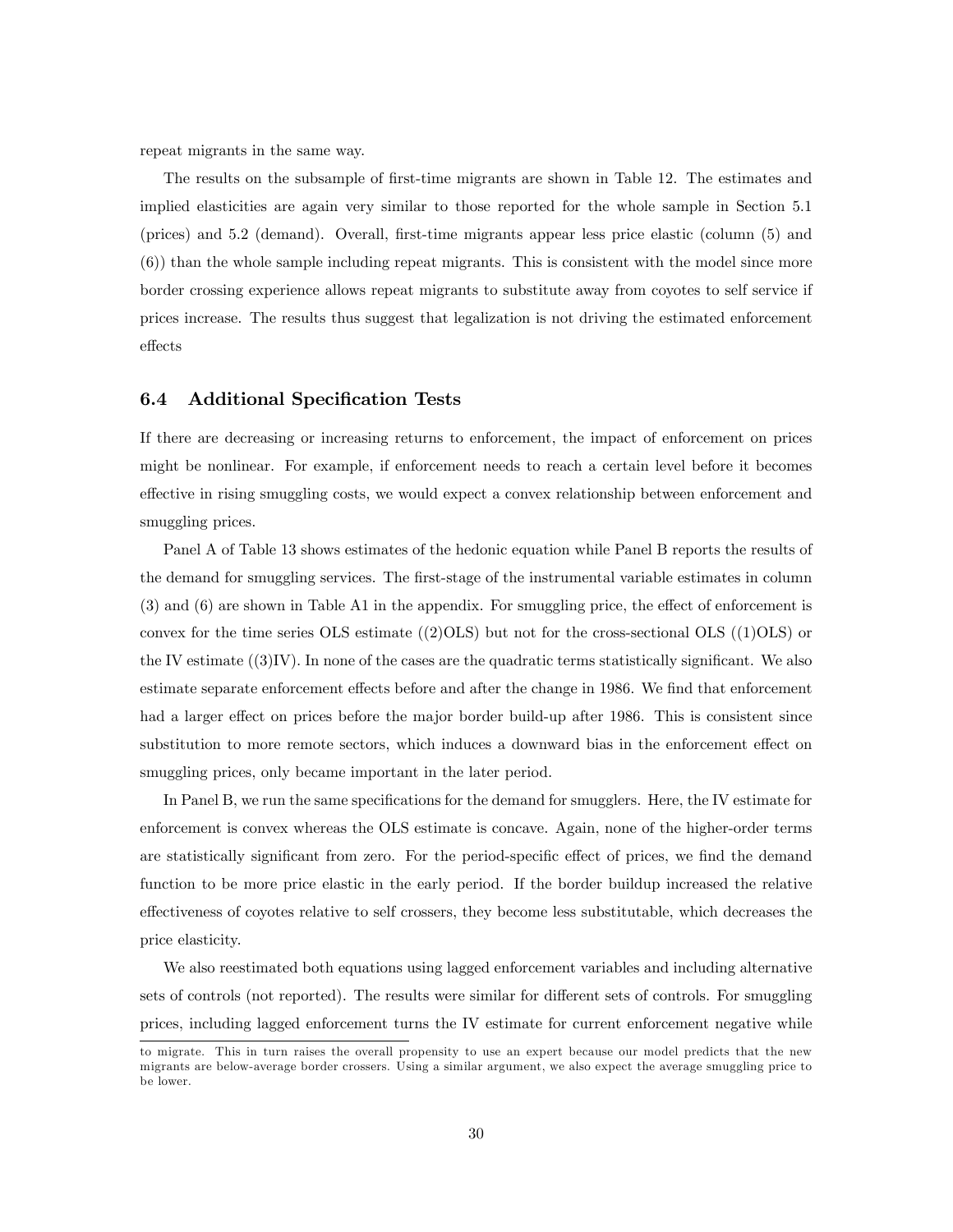repeat migrants in the same way.

The results on the subsample of first-time migrants are shown in Table 12. The estimates and implied elasticities are again very similar to those reported for the whole sample in Section 5.1 (prices) and 5.2 (demand). Overall, Örst-time migrants appear less price elastic (column (5) and (6)) than the whole sample including repeat migrants. This is consistent with the model since more border crossing experience allows repeat migrants to substitute away from coyotes to self service if prices increase. The results thus suggest that legalization is not driving the estimated enforcement effects

#### 6.4 Additional Specification Tests

If there are decreasing or increasing returns to enforcement, the impact of enforcement on prices might be nonlinear. For example, if enforcement needs to reach a certain level before it becomes effective in rising smuggling costs, we would expect a convex relationship between enforcement and smuggling prices.

Panel A of Table 13 shows estimates of the hedonic equation while Panel B reports the results of the demand for smuggling services. The first-stage of the instrumental variable estimates in column  $(3)$  and  $(6)$  are shown in Table A1 in the appendix. For smuggling price, the effect of enforcement is convex for the time series OLS estimate  $((2)OLS)$  but not for the cross-sectional OLS  $((1)OLS)$  or the IV estimate  $((3)$ IV). In none of the cases are the quadratic terms statistically significant. We also estimate separate enforcement effects before and after the change in 1986. We find that enforcement had a larger effect on prices before the major border build-up after 1986. This is consistent since substitution to more remote sectors, which induces a downward bias in the enforcement effect on smuggling prices, only became important in the later period.

In Panel B, we run the same specifications for the demand for smugglers. Here, the IV estimate for enforcement is convex whereas the OLS estimate is concave. Again, none of the higher-order terms are statistically significant from zero. For the period-specific effect of prices, we find the demand function to be more price elastic in the early period. If the border buildup increased the relative effectiveness of coyotes relative to self crossers, they become less substitutable, which decreases the price elasticity.

We also reestimated both equations using lagged enforcement variables and including alternative sets of controls (not reported). The results were similar for different sets of controls. For smuggling prices, including lagged enforcement turns the IV estimate for current enforcement negative while

to migrate. This in turn raises the overall propensity to use an expert because our model predicts that the new migrants are below-average border crossers. Using a similar argument, we also expect the average smuggling price to be lower.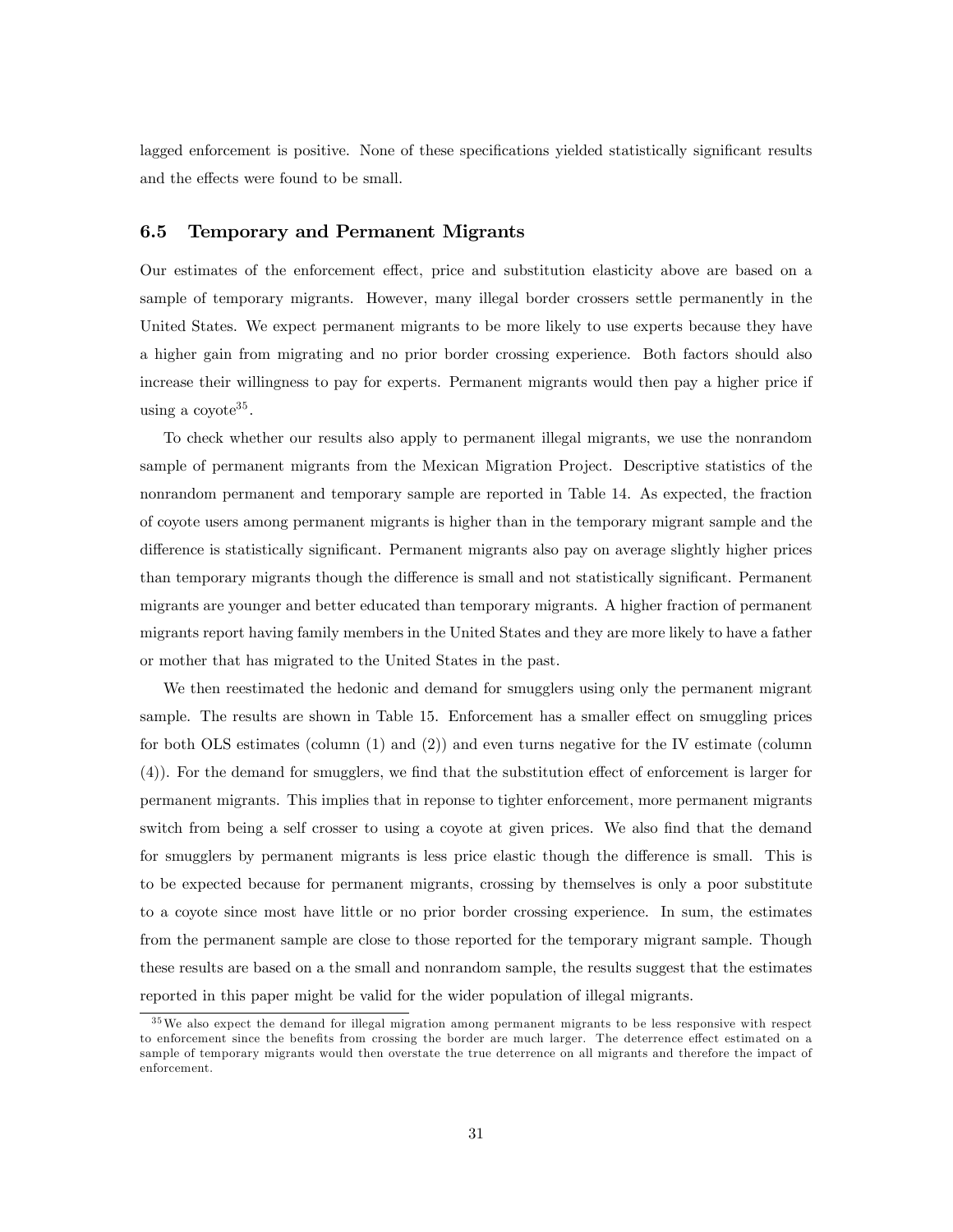lagged enforcement is positive. None of these specifications yielded statistically significant results and the effects were found to be small.

#### 6.5 Temporary and Permanent Migrants

Our estimates of the enforcement effect, price and substitution elasticity above are based on a sample of temporary migrants. However, many illegal border crossers settle permanently in the United States. We expect permanent migrants to be more likely to use experts because they have a higher gain from migrating and no prior border crossing experience. Both factors should also increase their willingness to pay for experts. Permanent migrants would then pay a higher price if using a coyote<sup>35</sup>.

To check whether our results also apply to permanent illegal migrants, we use the nonrandom sample of permanent migrants from the Mexican Migration Project. Descriptive statistics of the nonrandom permanent and temporary sample are reported in Table 14. As expected, the fraction of coyote users among permanent migrants is higher than in the temporary migrant sample and the difference is statistically significant. Permanent migrants also pay on average slightly higher prices than temporary migrants though the difference is small and not statistically significant. Permanent migrants are younger and better educated than temporary migrants. A higher fraction of permanent migrants report having family members in the United States and they are more likely to have a father or mother that has migrated to the United States in the past.

We then reestimated the hedonic and demand for smugglers using only the permanent migrant sample. The results are shown in Table 15. Enforcement has a smaller effect on smuggling prices for both OLS estimates (column (1) and (2)) and even turns negative for the IV estimate (column  $(4)$ ). For the demand for smugglers, we find that the substitution effect of enforcement is larger for permanent migrants. This implies that in reponse to tighter enforcement, more permanent migrants switch from being a self crosser to using a coyote at given prices. We also find that the demand for smugglers by permanent migrants is less price elastic though the difference is small. This is to be expected because for permanent migrants, crossing by themselves is only a poor substitute to a coyote since most have little or no prior border crossing experience. In sum, the estimates from the permanent sample are close to those reported for the temporary migrant sample. Though these results are based on a the small and nonrandom sample, the results suggest that the estimates reported in this paper might be valid for the wider population of illegal migrants.

<sup>3 5</sup>We also expect the demand for illegal migration among permanent migrants to be less responsive with respect to enforcement since the benefits from crossing the border are much larger. The deterrence effect estimated on a sample of temporary migrants would then overstate the true deterrence on all migrants and therefore the impact of enforcement.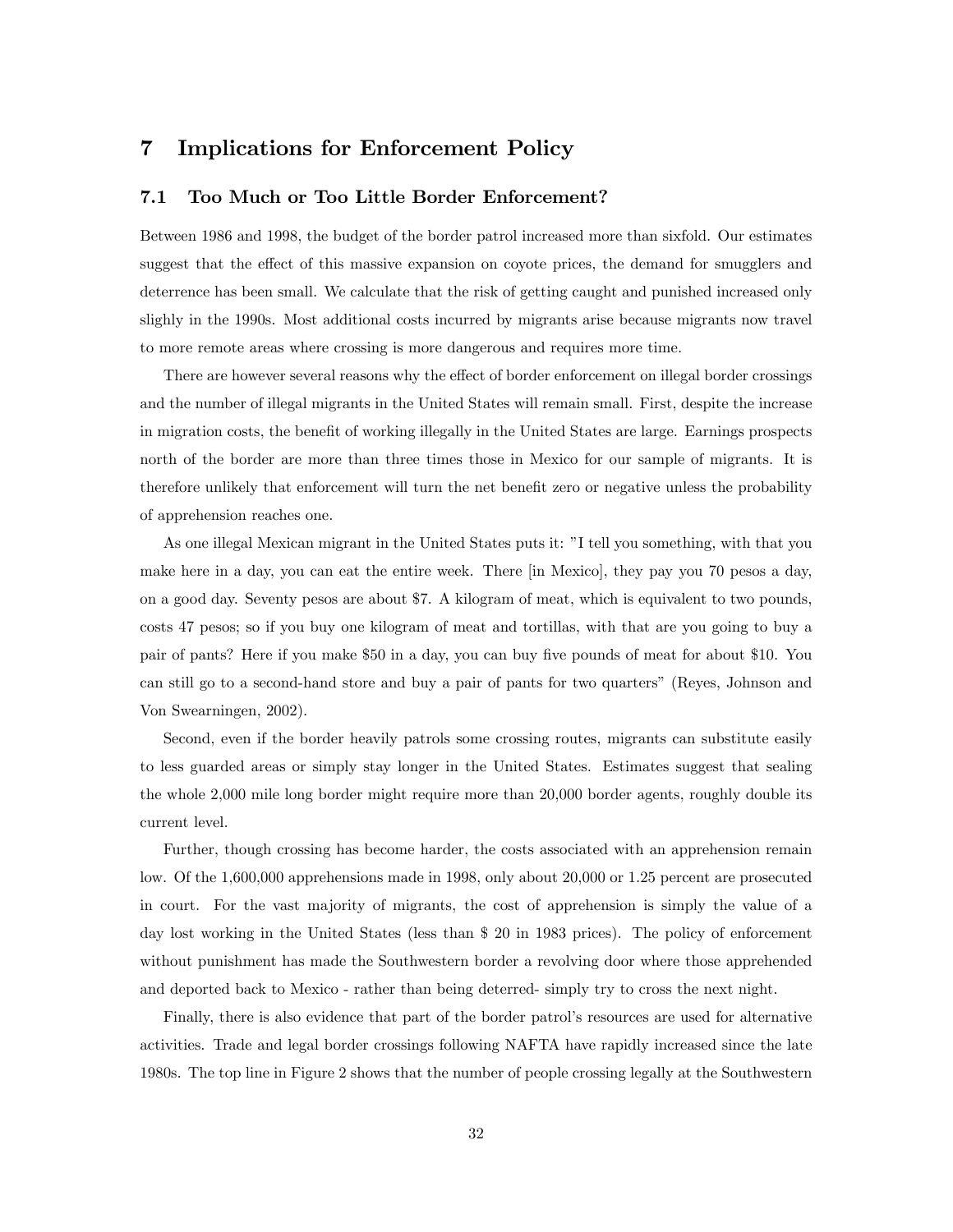# 7 Implications for Enforcement Policy

#### 7.1 Too Much or Too Little Border Enforcement?

Between 1986 and 1998, the budget of the border patrol increased more than sixfold. Our estimates suggest that the effect of this massive expansion on coyote prices, the demand for smugglers and deterrence has been small. We calculate that the risk of getting caught and punished increased only slighly in the 1990s. Most additional costs incurred by migrants arise because migrants now travel to more remote areas where crossing is more dangerous and requires more time.

There are however several reasons why the effect of border enforcement on illegal border crossings and the number of illegal migrants in the United States will remain small. First, despite the increase in migration costs, the benefit of working illegally in the United States are large. Earnings prospects north of the border are more than three times those in Mexico for our sample of migrants. It is therefore unlikely that enforcement will turn the net benefit zero or negative unless the probability of apprehension reaches one.

As one illegal Mexican migrant in the United States puts it: îI tell you something, with that you make here in a day, you can eat the entire week. There [in Mexico], they pay you 70 pesos a day, on a good day. Seventy pesos are about \$7. A kilogram of meat, which is equivalent to two pounds, costs 47 pesos; so if you buy one kilogram of meat and tortillas, with that are you going to buy a pair of pants? Here if you make \$50 in a day, you can buy Öve pounds of meat for about \$10. You can still go to a second-hand store and buy a pair of pants for two quartersî (Reyes, Johnson and Von Swearningen, 2002).

Second, even if the border heavily patrols some crossing routes, migrants can substitute easily to less guarded areas or simply stay longer in the United States. Estimates suggest that sealing the whole 2,000 mile long border might require more than 20,000 border agents, roughly double its current level.

Further, though crossing has become harder, the costs associated with an apprehension remain low. Of the 1,600,000 apprehensions made in 1998, only about 20,000 or 1.25 percent are prosecuted in court. For the vast majority of migrants, the cost of apprehension is simply the value of a day lost working in the United States (less than \$ 20 in 1983 prices). The policy of enforcement without punishment has made the Southwestern border a revolving door where those apprehended and deported back to Mexico - rather than being deterred- simply try to cross the next night.

Finally, there is also evidence that part of the border patrolís resources are used for alternative activities. Trade and legal border crossings following NAFTA have rapidly increased since the late 1980s. The top line in Figure 2 shows that the number of people crossing legally at the Southwestern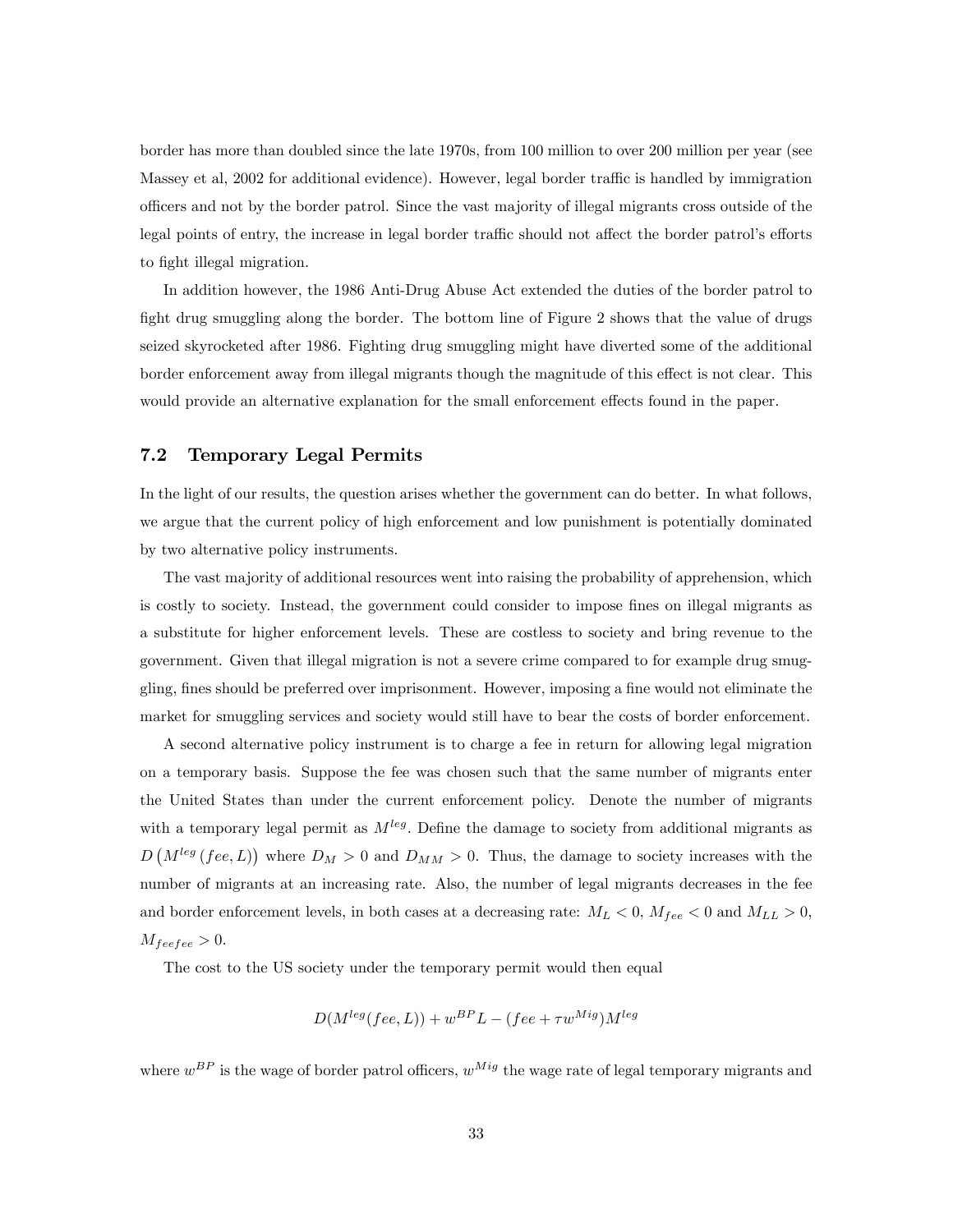border has more than doubled since the late 1970s, from 100 million to over 200 million per year (see Massey et al, 2002 for additional evidence). However, legal border traffic is handled by immigration o¢ cers and not by the border patrol. Since the vast majority of illegal migrants cross outside of the legal points of entry, the increase in legal border traffic should not affect the border patrol's efforts to fight illegal migration.

In addition however, the 1986 Anti-Drug Abuse Act extended the duties of the border patrol to fight drug smuggling along the border. The bottom line of Figure 2 shows that the value of drugs seized skyrocketed after 1986. Fighting drug smuggling might have diverted some of the additional border enforcement away from illegal migrants though the magnitude of this effect is not clear. This would provide an alternative explanation for the small enforcement effects found in the paper.

#### 7.2 Temporary Legal Permits

In the light of our results, the question arises whether the government can do better. In what follows, we argue that the current policy of high enforcement and low punishment is potentially dominated by two alternative policy instruments.

The vast majority of additional resources went into raising the probability of apprehension, which is costly to society. Instead, the government could consider to impose fines on illegal migrants as a substitute for higher enforcement levels. These are costless to society and bring revenue to the government. Given that illegal migration is not a severe crime compared to for example drug smuggling, fines should be preferred over imprisonment. However, imposing a fine would not eliminate the market for smuggling services and society would still have to bear the costs of border enforcement.

A second alternative policy instrument is to charge a fee in return for allowing legal migration on a temporary basis. Suppose the fee was chosen such that the same number of migrants enter the United States than under the current enforcement policy. Denote the number of migrants with a temporary legal permit as  $M^{leg}$ . Define the damage to society from additional migrants as  $D(M^{leg}(fee, L))$  where  $D_M > 0$  and  $D_{MM} > 0$ . Thus, the damage to society increases with the number of migrants at an increasing rate. Also, the number of legal migrants decreases in the fee and border enforcement levels, in both cases at a decreasing rate:  $M_L < 0$ ,  $M_{fee} < 0$  and  $M_{LL} > 0$ ,  $M_{feefe} > 0.$ 

The cost to the US society under the temporary permit would then equal

$$
D(M^{leg}(fee, L)) + w^{BP}L - (fee + \tau w^{Mig})M^{leg}
$$

where  $w^{BP}$  is the wage of border patrol officers,  $w^{Mig}$  the wage rate of legal temporary migrants and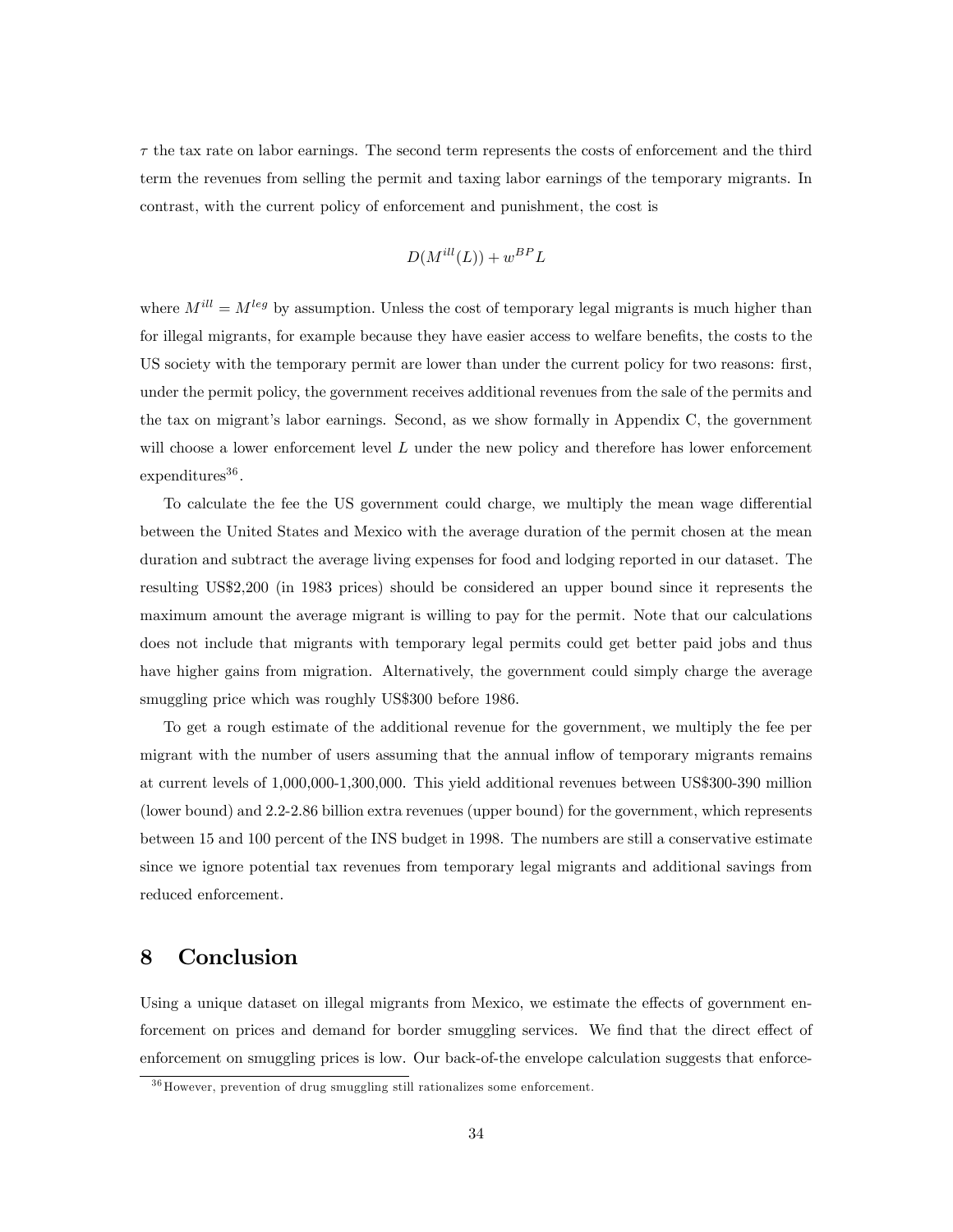$\tau$  the tax rate on labor earnings. The second term represents the costs of enforcement and the third term the revenues from selling the permit and taxing labor earnings of the temporary migrants. In contrast, with the current policy of enforcement and punishment, the cost is

$$
D(M^{ill}(L)) + w^{BP}L
$$

where  $M^{ill} = M^{leg}$  by assumption. Unless the cost of temporary legal migrants is much higher than for illegal migrants, for example because they have easier access to welfare benefits, the costs to the US society with the temporary permit are lower than under the current policy for two reasons: first, under the permit policy, the government receives additional revenues from the sale of the permits and the tax on migrant's labor earnings. Second, as we show formally in Appendix C, the government will choose a lower enforcement level  $L$  under the new policy and therefore has lower enforcement  $expenditures<sup>36</sup>$ .

To calculate the fee the US government could charge, we multiply the mean wage differential between the United States and Mexico with the average duration of the permit chosen at the mean duration and subtract the average living expenses for food and lodging reported in our dataset. The resulting US\$2,200 (in 1983 prices) should be considered an upper bound since it represents the maximum amount the average migrant is willing to pay for the permit. Note that our calculations does not include that migrants with temporary legal permits could get better paid jobs and thus have higher gains from migration. Alternatively, the government could simply charge the average smuggling price which was roughly US\$300 before 1986.

To get a rough estimate of the additional revenue for the government, we multiply the fee per migrant with the number of users assuming that the annual inflow of temporary migrants remains at current levels of 1,000,000-1,300,000. This yield additional revenues between US\$300-390 million (lower bound) and 2.2-2.86 billion extra revenues (upper bound) for the government, which represents between 15 and 100 percent of the INS budget in 1998. The numbers are still a conservative estimate since we ignore potential tax revenues from temporary legal migrants and additional savings from reduced enforcement.

## 8 Conclusion

Using a unique dataset on illegal migrants from Mexico, we estimate the effects of government enforcement on prices and demand for border smuggling services. We find that the direct effect of enforcement on smuggling prices is low. Our back-of-the envelope calculation suggests that enforce-

<sup>&</sup>lt;sup>36</sup> However, prevention of drug smuggling still rationalizes some enforcement.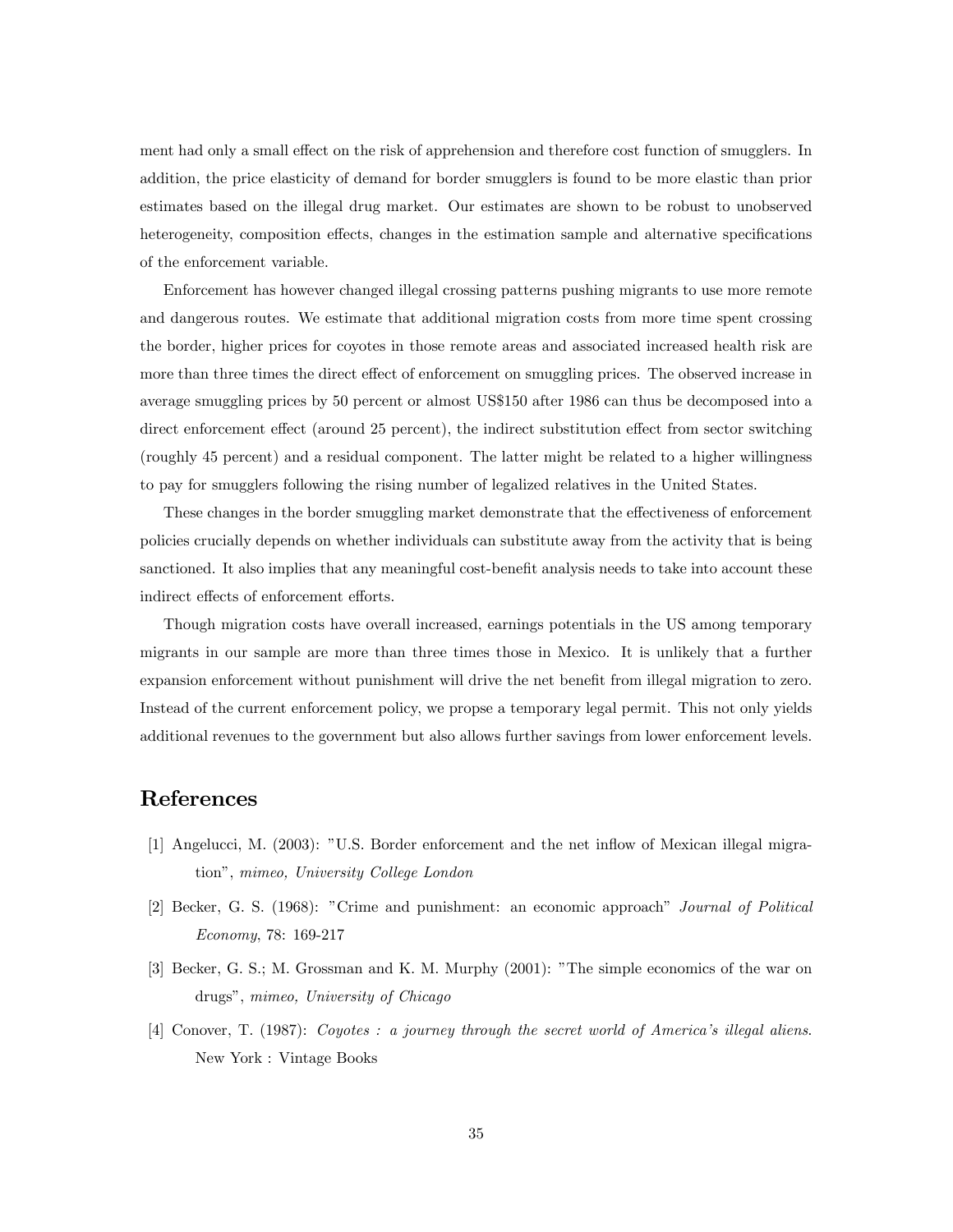ment had only a small effect on the risk of apprehension and therefore cost function of smugglers. In addition, the price elasticity of demand for border smugglers is found to be more elastic than prior estimates based on the illegal drug market. Our estimates are shown to be robust to unobserved heterogeneity, composition effects, changes in the estimation sample and alternative specifications of the enforcement variable.

Enforcement has however changed illegal crossing patterns pushing migrants to use more remote and dangerous routes. We estimate that additional migration costs from more time spent crossing the border, higher prices for coyotes in those remote areas and associated increased health risk are more than three times the direct effect of enforcement on smuggling prices. The observed increase in average smuggling prices by 50 percent or almost US\$150 after 1986 can thus be decomposed into a direct enforcement effect (around 25 percent), the indirect substitution effect from sector switching (roughly 45 percent) and a residual component. The latter might be related to a higher willingness to pay for smugglers following the rising number of legalized relatives in the United States.

These changes in the border smuggling market demonstrate that the effectiveness of enforcement policies crucially depends on whether individuals can substitute away from the activity that is being sanctioned. It also implies that any meaningful cost-benefit analysis needs to take into account these indirect effects of enforcement efforts.

Though migration costs have overall increased, earnings potentials in the US among temporary migrants in our sample are more than three times those in Mexico. It is unlikely that a further expansion enforcement without punishment will drive the net benefit from illegal migration to zero. Instead of the current enforcement policy, we propse a temporary legal permit. This not only yields additional revenues to the government but also allows further savings from lower enforcement levels.

## References

- [1] Angelucci, M. (2003): îU.S. Border enforcement and the net ináow of Mexican illegal migrationî, mimeo, University College London
- [2] Becker, G. S. (1968): "Crime and punishment: an economic approach" Journal of Political Economy, 78: 169-217
- [3] Becker, G. S.; M. Grossman and K. M. Murphy (2001): "The simple economics of the war on drugs", mimeo, University of Chicago
- [4] Conover, T. (1987): Coyotes : a journey through the secret world of America's illegal aliens. New York : Vintage Books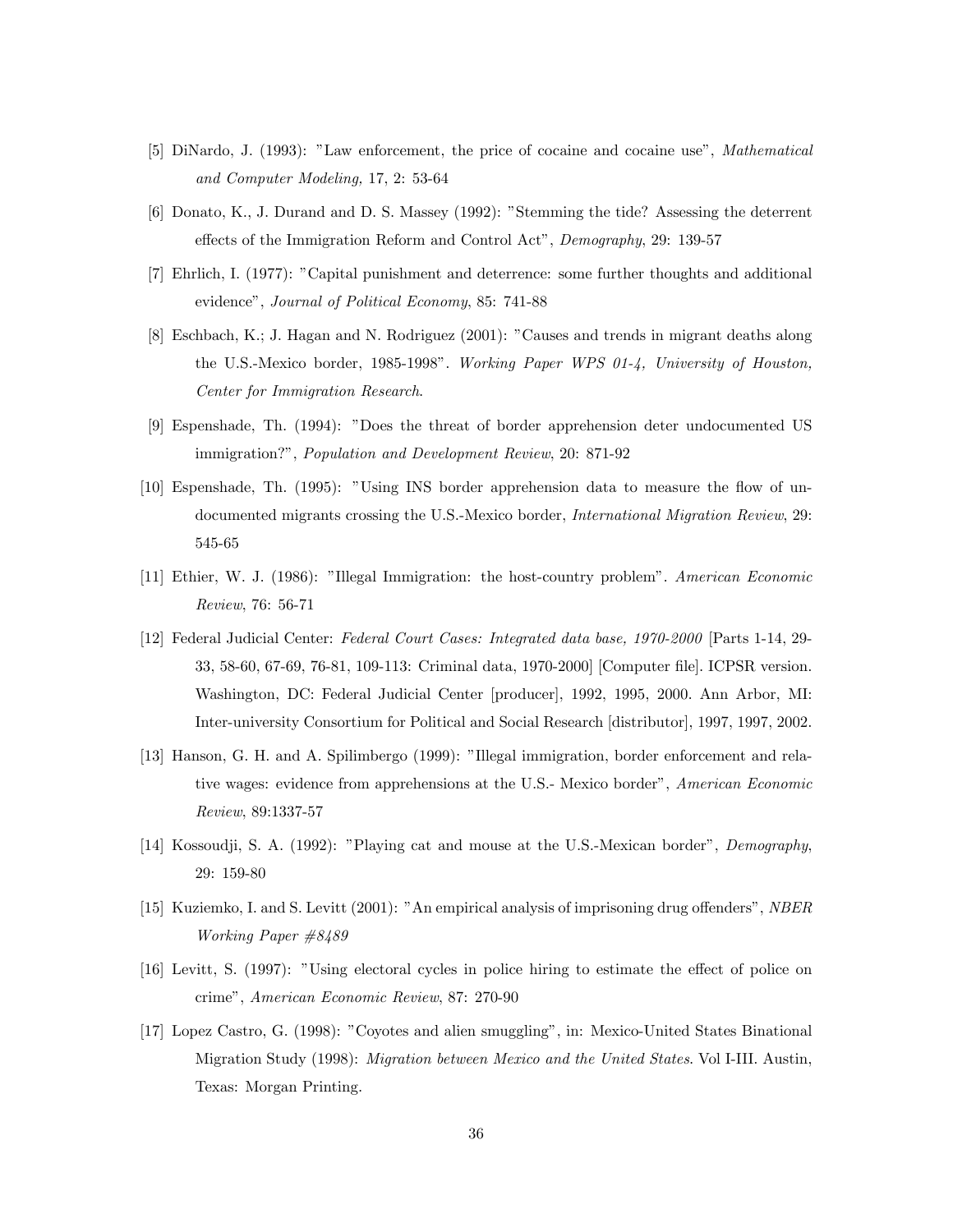- [5] DiNardo, J. (1993): "Law enforcement, the price of cocaine and cocaine use", *Mathematical* and Computer Modeling, 17, 2: 53-64
- [6] Donato, K., J. Durand and D. S. Massey (1992): "Stemming the tide? Assessing the deterrent effects of the Immigration Reform and Control Act", Demography, 29: 139-57
- [7] Ehrlich, I. (1977): îCapital punishment and deterrence: some further thoughts and additional evidence", Journal of Political Economy, 85: 741-88
- [8] Eschbach, K.; J. Hagan and N. Rodriguez (2001): îCauses and trends in migrant deaths along the U.S.-Mexico border, 1985-1998î. Working Paper WPS 01-4, University of Houston, Center for Immigration Research.
- [9] Espenshade, Th. (1994): îDoes the threat of border apprehension deter undocumented US immigration?", Population and Development Review, 20: 871-92
- [10] Espenshade, Th. (1995): "Using INS border apprehension data to measure the flow of undocumented migrants crossing the U.S.-Mexico border, *International Migration Review*, 29: 545-65
- [11] Ethier, W. J. (1986): îIllegal Immigration: the host-country problemî. American Economic Review, 76: 56-71
- [12] Federal Judicial Center: Federal Court Cases: Integrated data base, 1970-2000 [Parts 1-14, 29- 33, 58-60, 67-69, 76-81, 109-113: Criminal data, 1970-2000] [Computer Öle]. ICPSR version. Washington, DC: Federal Judicial Center [producer], 1992, 1995, 2000. Ann Arbor, MI: Inter-university Consortium for Political and Social Research [distributor], 1997, 1997, 2002.
- [13] Hanson, G. H. and A. Spilimbergo (1999): "Illegal immigration, border enforcement and relative wages: evidence from apprehensions at the U.S.- Mexico border", American Economic Review, 89:1337-57
- [14] Kossoudji, S. A. (1992): "Playing cat and mouse at the U.S.-Mexican border", Demography, 29: 159-80
- [15] Kuziemko, I. and S. Levitt (2001): "An empirical analysis of imprisoning drug offenders", NBER Working Paper #8489
- [16] Levitt, S. (1997): "Using electoral cycles in police hiring to estimate the effect of police on crimeî, American Economic Review, 87: 270-90
- [17] Lopez Castro, G. (1998): îCoyotes and alien smugglingî, in: Mexico-United States Binational Migration Study (1998): Migration between Mexico and the United States. Vol I-III. Austin, Texas: Morgan Printing.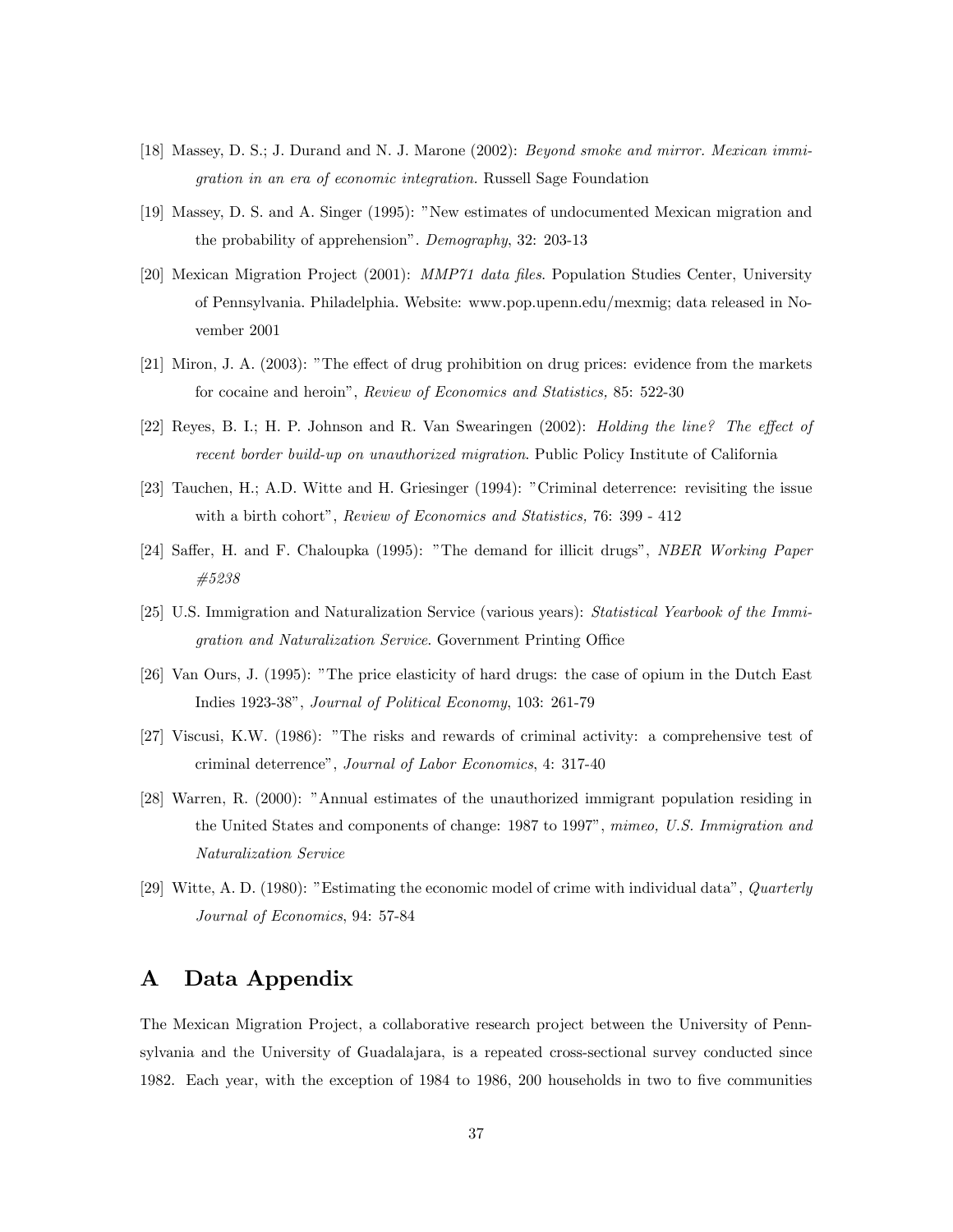- [18] Massey, D. S.; J. Durand and N. J. Marone (2002): Beyond smoke and mirror. Mexican immigration in an era of economic integration. Russell Sage Foundation
- [19] Massey, D. S. and A. Singer (1995): "New estimates of undocumented Mexican migration and the probability of apprehension". Demography, 32: 203-13
- [20] Mexican Migration Project (2001): *MMP71 data files*. Population Studies Center, University of Pennsylvania. Philadelphia. Website: www.pop.upenn.edu/mexmig; data released in November 2001
- $[21]$  Miron, J. A.  $(2003)$ : "The effect of drug prohibition on drug prices: evidence from the markets for cocaine and heroin", Review of Economics and Statistics, 85: 522-30
- [22] Reyes, B. I.; H. P. Johnson and R. Van Swearingen (2002): *Holding the line? The effect of* recent border build-up on unauthorized migration. Public Policy Institute of California
- [23] Tauchen, H.; A.D. Witte and H. Griesinger (1994): "Criminal deterrence: revisiting the issue with a birth cohort", Review of Economics and Statistics, 76: 399 - 412
- [24] Saffer, H. and F. Chaloupka (1995): "The demand for illicit drugs", NBER Working Paper #5238
- [25] U.S. Immigration and Naturalization Service (various years): Statistical Yearbook of the Immigration and Naturalization Service. Government Printing Office
- [26] Van Ours, J. (1995): îThe price elasticity of hard drugs: the case of opium in the Dutch East Indies 1923-38î, Journal of Political Economy, 103: 261-79
- [27] Viscusi, K.W. (1986): "The risks and rewards of criminal activity: a comprehensive test of criminal deterrenceî, Journal of Labor Economics, 4: 317-40
- [28] Warren, R. (2000): "Annual estimates of the unauthorized immigrant population residing in the United States and components of change: 1987 to 1997", mimeo, U.S. Immigration and Naturalization Service
- [29] Witte, A. D. (1980): "Estimating the economic model of crime with individual data", Quarterly Journal of Economics, 94: 57-84

## A Data Appendix

The Mexican Migration Project, a collaborative research project between the University of Pennsylvania and the University of Guadalajara, is a repeated cross-sectional survey conducted since 1982. Each year, with the exception of 1984 to 1986, 200 households in two to five communities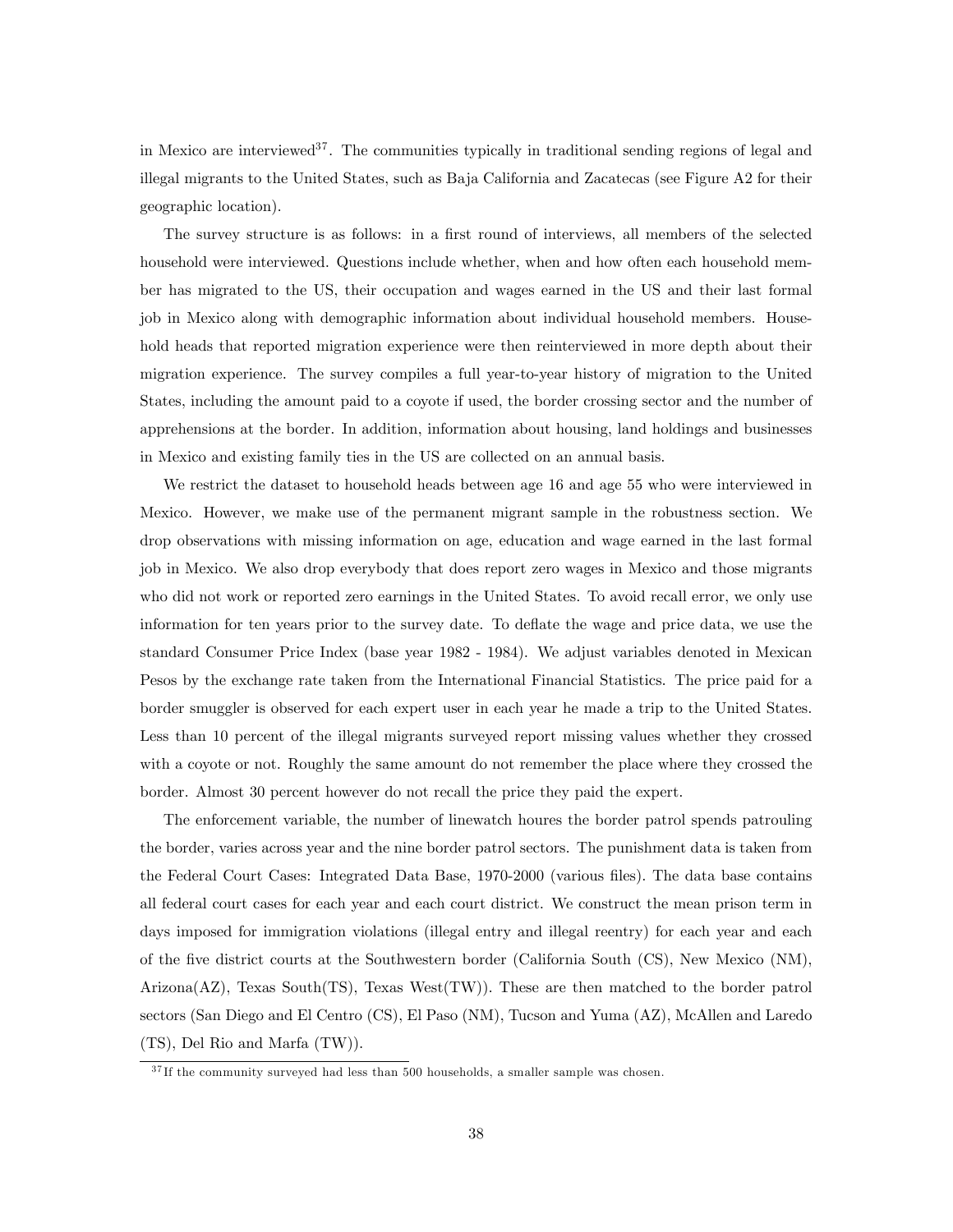in Mexico are interviewed<sup>37</sup>. The communities typically in traditional sending regions of legal and illegal migrants to the United States, such as Baja California and Zacatecas (see Figure A2 for their geographic location).

The survey structure is as follows: in a first round of interviews, all members of the selected household were interviewed. Questions include whether, when and how often each household member has migrated to the US, their occupation and wages earned in the US and their last formal job in Mexico along with demographic information about individual household members. Household heads that reported migration experience were then reinterviewed in more depth about their migration experience. The survey compiles a full year-to-year history of migration to the United States, including the amount paid to a coyote if used, the border crossing sector and the number of apprehensions at the border. In addition, information about housing, land holdings and businesses in Mexico and existing family ties in the US are collected on an annual basis.

We restrict the dataset to household heads between age 16 and age 55 who were interviewed in Mexico. However, we make use of the permanent migrant sample in the robustness section. We drop observations with missing information on age, education and wage earned in the last formal job in Mexico. We also drop everybody that does report zero wages in Mexico and those migrants who did not work or reported zero earnings in the United States. To avoid recall error, we only use information for ten years prior to the survey date. To deflate the wage and price data, we use the standard Consumer Price Index (base year 1982 - 1984). We adjust variables denoted in Mexican Pesos by the exchange rate taken from the International Financial Statistics. The price paid for a border smuggler is observed for each expert user in each year he made a trip to the United States. Less than 10 percent of the illegal migrants surveyed report missing values whether they crossed with a coyote or not. Roughly the same amount do not remember the place where they crossed the border. Almost 30 percent however do not recall the price they paid the expert.

The enforcement variable, the number of linewatch houres the border patrol spends patrouling the border, varies across year and the nine border patrol sectors. The punishment data is taken from the Federal Court Cases: Integrated Data Base, 1970-2000 (various files). The data base contains all federal court cases for each year and each court district. We construct the mean prison term in days imposed for immigration violations (illegal entry and illegal reentry) for each year and each of the Öve district courts at the Southwestern border (California South (CS), New Mexico (NM), Arizona(AZ), Texas South(TS), Texas West(TW)). These are then matched to the border patrol sectors (San Diego and El Centro (CS), El Paso (NM), Tucson and Yuma (AZ), McAllen and Laredo (TS), Del Rio and Marfa (TW)).

 $37$  If the community surveyed had less than 500 households, a smaller sample was chosen.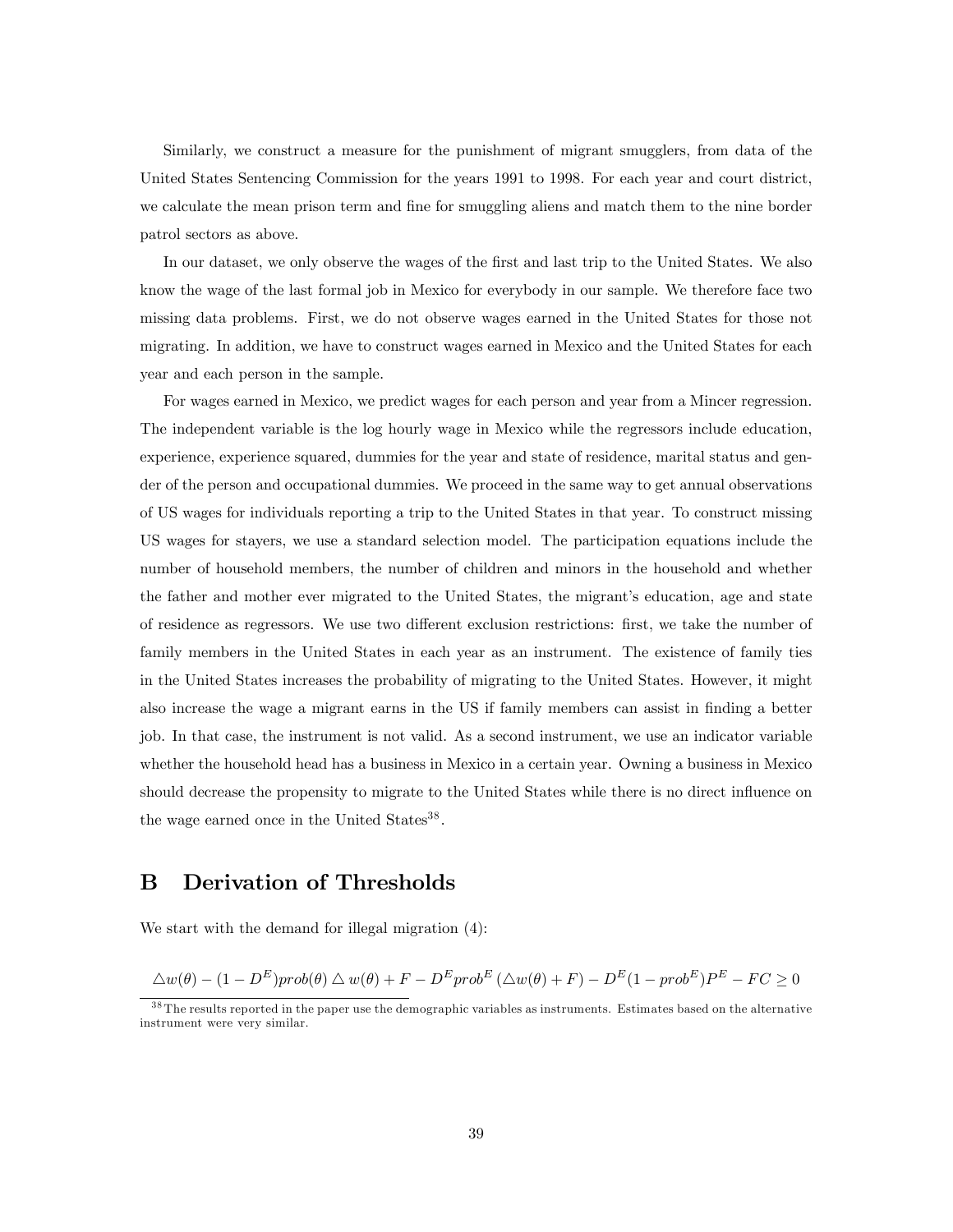Similarly, we construct a measure for the punishment of migrant smugglers, from data of the United States Sentencing Commission for the years 1991 to 1998. For each year and court district, we calculate the mean prison term and fine for smuggling aliens and match them to the nine border patrol sectors as above.

In our dataset, we only observe the wages of the first and last trip to the United States. We also know the wage of the last formal job in Mexico for everybody in our sample. We therefore face two missing data problems. First, we do not observe wages earned in the United States for those not migrating. In addition, we have to construct wages earned in Mexico and the United States for each year and each person in the sample.

For wages earned in Mexico, we predict wages for each person and year from a Mincer regression. The independent variable is the log hourly wage in Mexico while the regressors include education, experience, experience squared, dummies for the year and state of residence, marital status and gender of the person and occupational dummies. We proceed in the same way to get annual observations of US wages for individuals reporting a trip to the United States in that year. To construct missing US wages for stayers, we use a standard selection model. The participation equations include the number of household members, the number of children and minors in the household and whether the father and mother ever migrated to the United States, the migrant's education, age and state of residence as regressors. We use two different exclusion restrictions: first, we take the number of family members in the United States in each year as an instrument. The existence of family ties in the United States increases the probability of migrating to the United States. However, it might also increase the wage a migrant earns in the US if family members can assist in Önding a better job. In that case, the instrument is not valid. As a second instrument, we use an indicator variable whether the household head has a business in Mexico in a certain year. Owning a business in Mexico should decrease the propensity to migrate to the United States while there is no direct ináuence on the wage earned once in the United States<sup>38</sup>.

## B Derivation of Thresholds

We start with the demand for illegal migration (4):

$$
\Delta w(\theta) - (1 - D^{E}) \text{prob}(\theta) \Delta w(\theta) + F - D^{E} \text{prob}^{E} (\Delta w(\theta) + F) - D^{E} (1 - \text{prob}^{E}) P^{E} - F C \ge 0
$$

<sup>&</sup>lt;sup>38</sup> The results reported in the paper use the demographic variables as instruments. Estimates based on the alternative instrument were very similar.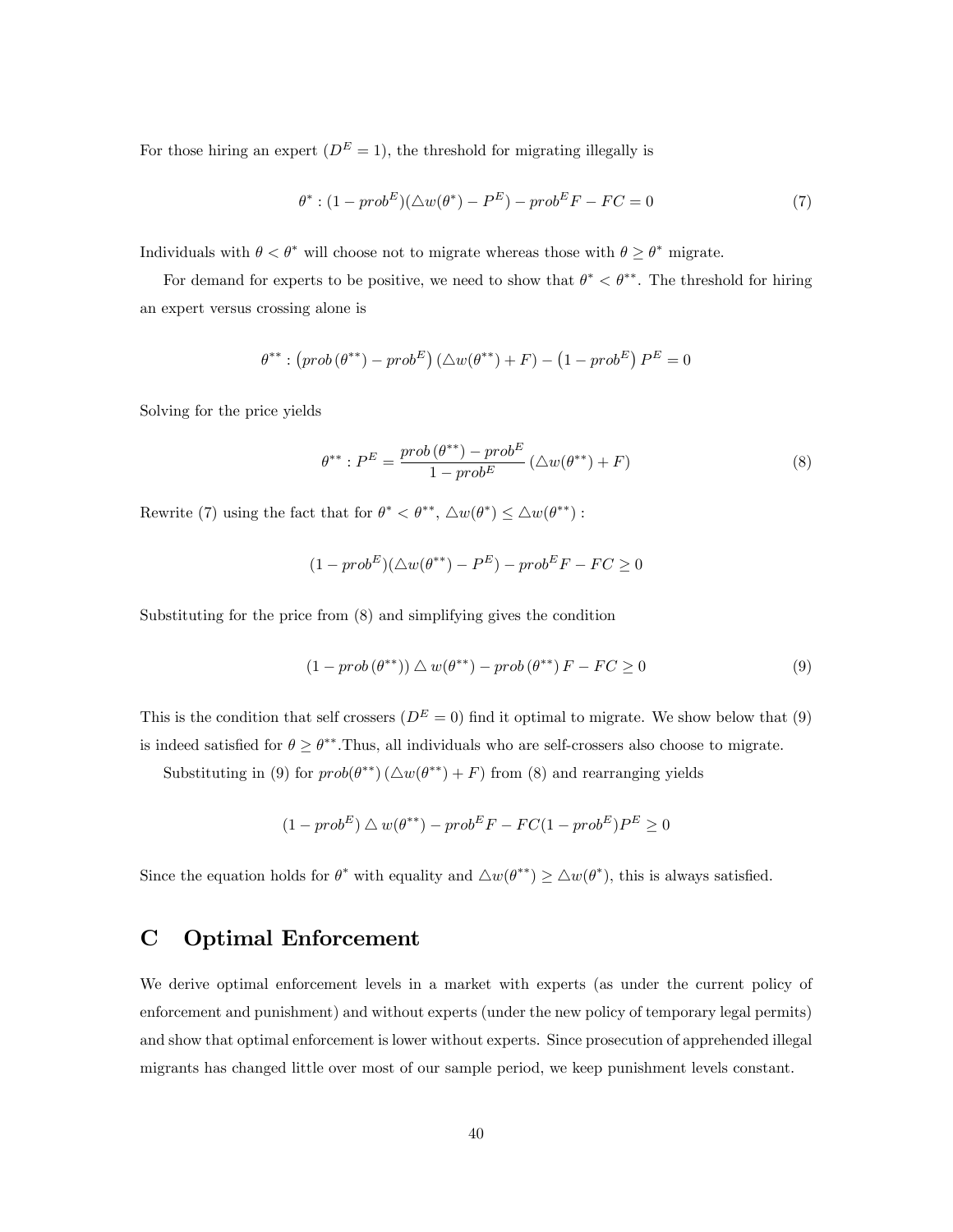For those hiring an expert  $(D^E = 1)$ , the threshold for migrating illegally is

$$
\theta^* : (1 - prob^E)(\triangle w(\theta^*) - P^E) - prob^E F - FC = 0 \tag{7}
$$

Individuals with  $\theta < \theta^*$  will choose not to migrate whereas those with  $\theta \geq \theta^*$  migrate.

For demand for experts to be positive, we need to show that  $\theta^* < \theta^{**}$ . The threshold for hiring an expert versus crossing alone is

$$
\theta^{**} : (prob(\theta^{**}) - prob^{E}) (\triangle w(\theta^{**}) + F) - (1 - prob^{E}) P^{E} = 0
$$

Solving for the price yields

$$
\theta^{**}: P^E = \frac{prob(\theta^{**}) - prob^E}{1 - prob^E} (\triangle w(\theta^{**}) + F)
$$
\n
$$
(8)
$$

Rewrite (7) using the fact that for  $\theta^* < \theta^{**}$ ,  $\Delta w(\theta^*) \leq \Delta w(\theta^{**})$ :

$$
(1 - prob^{E})(\triangle w(\theta^{**}) - P^{E}) - prob^{E}F - FC \ge 0
$$

Substituting for the price from (8) and simplifying gives the condition

$$
(1 - prob(\theta^{**})) \triangle w(\theta^{**}) - prob(\theta^{**})F - FC \ge 0
$$
\n
$$
(9)
$$

This is the condition that self crossers  $(D^E = 0)$  find it optimal to migrate. We show below that (9) is indeed satisfied for  $\theta \ge \theta^{**}$ . Thus, all individuals who are self-crossers also choose to migrate.

Substituting in (9) for  $prob(\theta^{**}) (\triangle w(\theta^{**}) + F)$  from (8) and rearranging yields

$$
(1 - prob^{E}) \triangle w(\theta^{**}) - prob^{E}F - FC(1 - prob^{E})P^{E} \ge 0
$$

Since the equation holds for  $\theta^*$  with equality and  $\Delta w(\theta^{**}) \ge \Delta w(\theta^*)$ , this is always satisfied.

## C Optimal Enforcement

We derive optimal enforcement levels in a market with experts (as under the current policy of enforcement and punishment) and without experts (under the new policy of temporary legal permits) and show that optimal enforcement is lower without experts. Since prosecution of apprehended illegal migrants has changed little over most of our sample period, we keep punishment levels constant.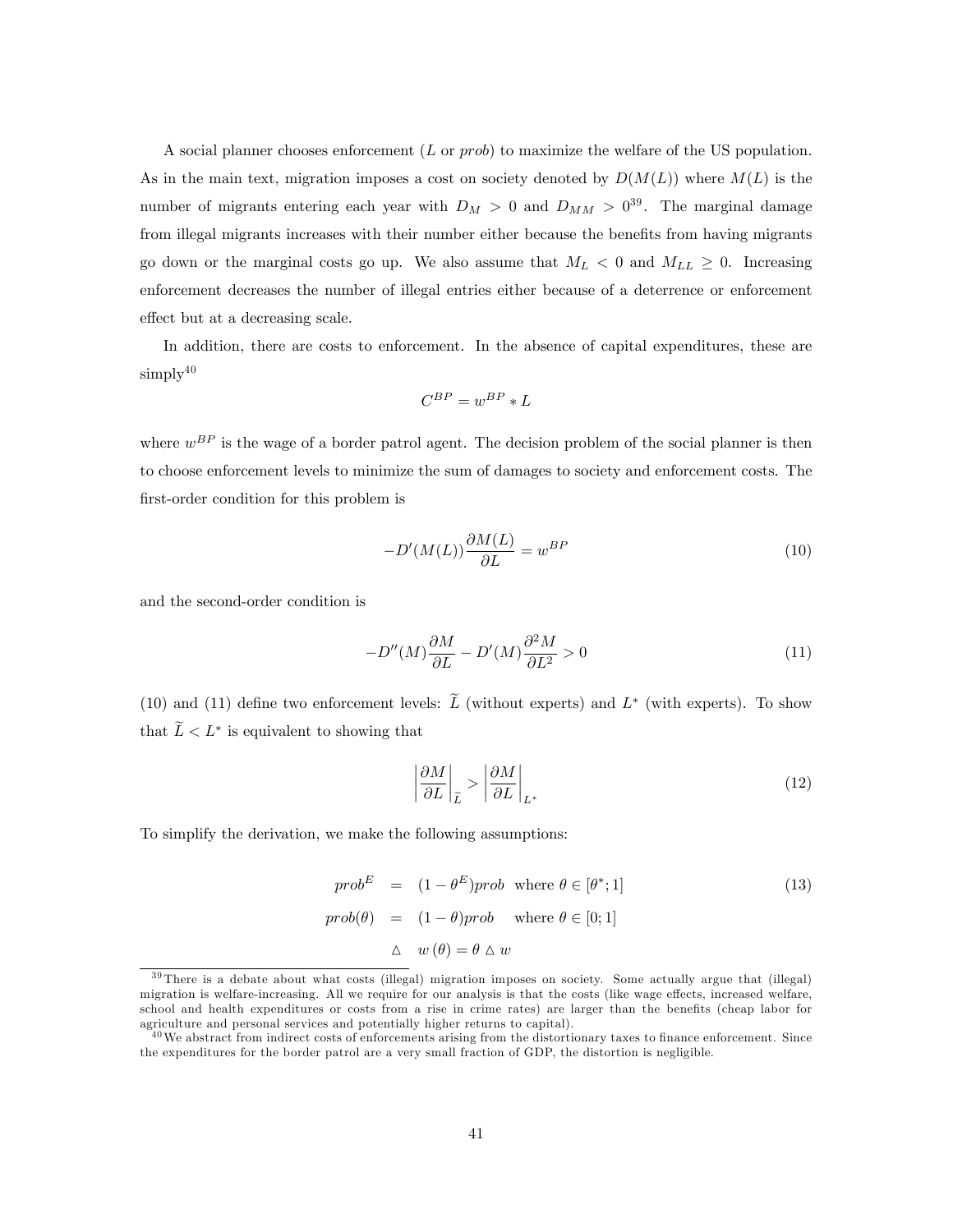A social planner chooses enforcement (L or prob) to maximize the welfare of the US population. As in the main text, migration imposes a cost on society denoted by  $D(M(L))$  where  $M(L)$  is the number of migrants entering each year with  $D_M > 0$  and  $D_{MM} > 0^{39}$ . The marginal damage from illegal migrants increases with their number either because the benefits from having migrants go down or the marginal costs go up. We also assume that  $M_L < 0$  and  $M_{LL} \geq 0$ . Increasing enforcement decreases the number of illegal entries either because of a deterrence or enforcement effect but at a decreasing scale.

In addition, there are costs to enforcement. In the absence of capital expenditures, these are  $\text{simply}^{40}$ 

$$
C^{BP} = w^{BP} * L
$$

where  $w^{BP}$  is the wage of a border patrol agent. The decision problem of the social planner is then to choose enforcement levels to minimize the sum of damages to society and enforcement costs. The first-order condition for this problem is

$$
-D'(M(L))\frac{\partial M(L)}{\partial L} = w^{BP} \tag{10}
$$

and the second-order condition is

$$
-D''(M)\frac{\partial M}{\partial L} - D'(M)\frac{\partial^2 M}{\partial L^2} > 0\tag{11}
$$

(10) and (11) define two enforcement levels: L (without experts) and  $L^*$  (with experts). To show that  $L < L^*$  is equivalent to showing that

$$
\left|\frac{\partial M}{\partial L}\right|_{\widetilde{L}} > \left|\frac{\partial M}{\partial L}\right|_{L^*} \tag{12}
$$

To simplify the derivation, we make the following assumptions:

$$
prob^{E} = (1 - \theta^{E})prob \text{ where } \theta \in [\theta^{*}; 1]
$$
  
\n
$$
prob(\theta) = (1 - \theta)prob \text{ where } \theta \in [0; 1]
$$
  
\n
$$
\Delta w(\theta) = \theta \Delta w
$$
\n(13)

<sup>&</sup>lt;sup>39</sup> There is a debate about what costs (illegal) migration imposes on society. Some actually argue that (illegal) migration is welfare-increasing. All we require for our analysis is that the costs (like wage effects, increased welfare, school and health expenditures or costs from a rise in crime rates) are larger than the benefits (cheap labor for agriculture and personal services and potentially higher returns to capital).

 $^{40}$ We abstract from indirect costs of enforcements arising from the distortionary taxes to finance enforcement. Since the expenditures for the border patrol are a very small fraction of GDP, the distortion is negligible.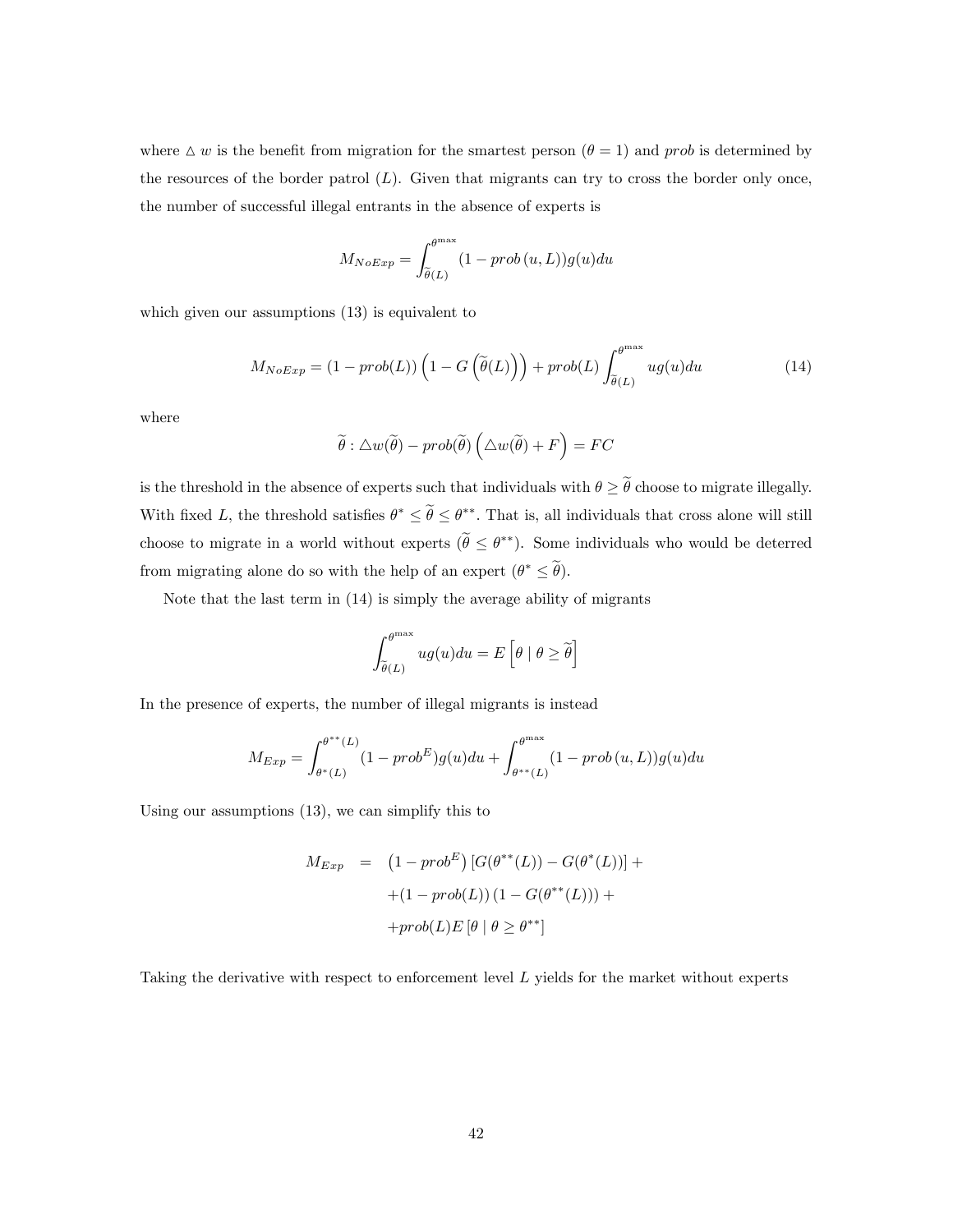where  $\Delta w$  is the benefit from migration for the smartest person  $(\theta = 1)$  and prob is determined by the resources of the border patrol  $(L)$ . Given that migrants can try to cross the border only once, the number of successful illegal entrants in the absence of experts is

$$
M_{NoExp} = \int_{\tilde{\theta}(L)}^{\theta^{\max}} (1 - prob(u, L)) g(u) du
$$

which given our assumptions (13) is equivalent to

$$
M_{NoExp} = (1 - prob(L)) \left( 1 - G\left(\tilde{\theta}(L)\right) \right) + prob(L) \int_{\tilde{\theta}(L)}^{\theta^{\max}} ug(u) du \tag{14}
$$

where

$$
\widetilde{\theta} : \triangle w(\widetilde{\theta}) - prob(\widetilde{\theta}) \left( \triangle w(\widetilde{\theta}) + F \right) = FC
$$

is the threshold in the absence of experts such that individuals with  $\theta \geq \tilde{\theta}$  choose to migrate illegally. With fixed L, the threshold satisfies  $\theta^* \le \theta \le \theta^{**}$ . That is, all individuals that cross alone will still choose to migrate in a world without experts  $(\theta \leq \theta^{**})$ . Some individuals who would be deterred from migrating alone do so with the help of an expert  $(\theta^* \leq \theta)$ .

Note that the last term in (14) is simply the average ability of migrants

$$
\int_{\widetilde{\theta}(L)}^{\theta^{\max}} ug(u) du = E\left[\theta \mid \theta \geq \widetilde{\theta}\right]
$$

In the presence of experts, the number of illegal migrants is instead

$$
M_{Exp} = \int_{\theta^*(L)}^{\theta^{**}(L)} (1 - prob^E)g(u)du + \int_{\theta^{**}(L)}^{\theta^{max}} (1 - prob(u, L))g(u)du
$$

Using our assumptions (13), we can simplify this to

$$
M_{Exp} = (1 - prob^{E}) [G(\theta^{**}(L)) - G(\theta^{*}(L))] ++(1 - prob(L)) (1 - G(\theta^{**}(L))) ++ prob(L)E [\theta | \theta \ge \theta^{**}]
$$

Taking the derivative with respect to enforcement level L yields for the market without experts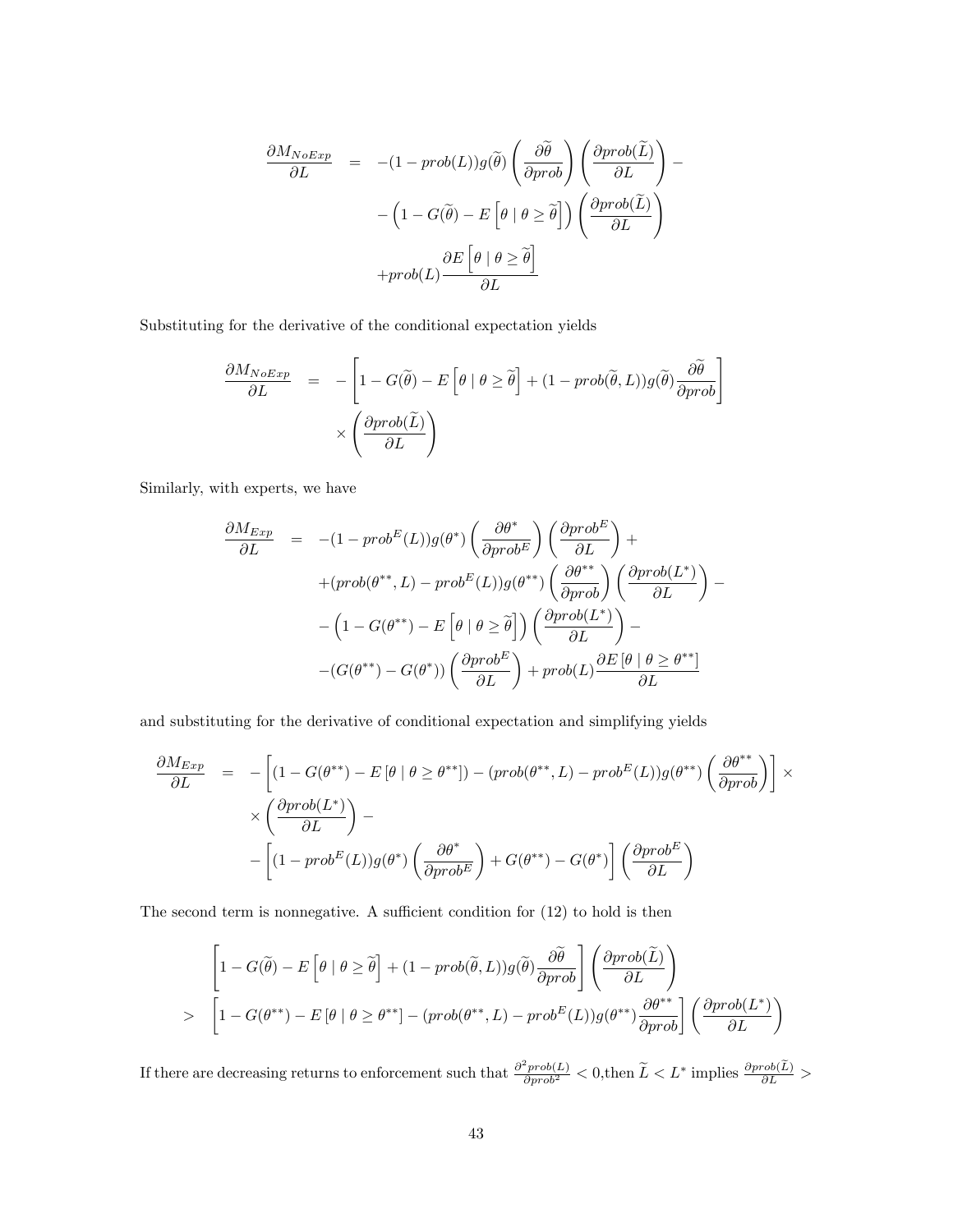$$
\frac{\partial M_{NoExp}}{\partial L} = -(1 - prob(L))g(\widetilde{\theta}) \left( \frac{\partial \widetilde{\theta}}{\partial prob} \right) \left( \frac{\partial prob(\widetilde{L})}{\partial L} \right) - \left( 1 - G(\widetilde{\theta}) - E \left[ \theta \mid \theta \ge \widetilde{\theta} \right] \right) \left( \frac{\partial prob(\widetilde{L})}{\partial L} \right) + \text{prob}(L) \frac{\partial E \left[ \theta \mid \theta \ge \widetilde{\theta} \right]}{\partial L}
$$

Substituting for the derivative of the conditional expectation yields

$$
\frac{\partial M_{NoExp}}{\partial L} = -\left[1 - G(\tilde{\theta}) - E\left[\theta \mid \theta \ge \tilde{\theta}\right] + (1 - prob(\tilde{\theta}, L))g(\tilde{\theta})\frac{\partial \tilde{\theta}}{\partial prob}\right] \times \left(\frac{\partial prob(\tilde{L})}{\partial L}\right)
$$

Similarly, with experts, we have

$$
\frac{\partial M_{Exp}}{\partial L} = -(1 - prob^{E}(L))g(\theta^{*}) \left(\frac{\partial \theta^{*}}{\partial prob^{E}}\right) \left(\frac{\partial prob^{E}}{\partial L}\right) +
$$
  
+
$$
(prob(\theta^{**}, L) - prob^{E}(L))g(\theta^{**}) \left(\frac{\partial \theta^{**}}{\partial prob}\right) \left(\frac{\partial prob(L^{*})}{\partial L}\right) -
$$
  
-
$$
\left(1 - G(\theta^{**}) - E\left[\theta \mid \theta \geq \tilde{\theta}\right]\right) \left(\frac{\partial prob(L^{*})}{\partial L}\right) -
$$
  
-
$$
-(G(\theta^{**}) - G(\theta^{*})) \left(\frac{\partial prob^{E}}{\partial L}\right) + prob(L) \frac{\partial E\left[\theta \mid \theta \geq \theta^{**}\right]}{\partial L}
$$

and substituting for the derivative of conditional expectation and simplifying yields

$$
\frac{\partial M_{Exp}}{\partial L} = -\left[ (1 - G(\theta^{**}) - E[\theta | \theta \ge \theta^{**}]) - (prob(\theta^{**}, L) - prob^{E}(L))g(\theta^{**}) \left( \frac{\partial \theta^{**}}{\partial prob} \right) \right] \times \times \left( \frac{\partial prob(L^*)}{\partial L} \right) - \left[ (1 - prob^{E}(L))g(\theta^{*}) \left( \frac{\partial \theta^{*}}{\partial prob^{E}} \right) + G(\theta^{**}) - G(\theta^{*}) \right] \left( \frac{\partial prob^{E}}{\partial L} \right)
$$

The second term is nonnegative. A sufficient condition for  $(12)$  to hold is then

$$
\begin{bmatrix} 1 - G(\widetilde{\theta}) - E\left[\theta \mid \theta \geq \widetilde{\theta}\right] + (1 - prob(\widetilde{\theta}, L))g(\widetilde{\theta})\frac{\partial \widetilde{\theta}}{\partial prob} \end{bmatrix} \left(\frac{\partial prob(\widetilde{L})}{\partial L}\right)
$$
  
> 
$$
\begin{bmatrix} 1 - G(\theta^{**}) - E\left[\theta \mid \theta \geq \theta^{**}\right] - (prob(\theta^{**}, L) - prob^{E}(L))g(\theta^{**})\frac{\partial \theta^{**}}{\partial prob} \end{bmatrix} \left(\frac{\partial prob(L^*)}{\partial L}\right)
$$

If there are decreasing returns to enforcement such that  $\frac{\partial^2 prob(L)}{\partial prob^2} < 0$ , then  $\widetilde{L} < L^*$  implies  $\frac{\partial prob(\widetilde{L})}{\partial L} >$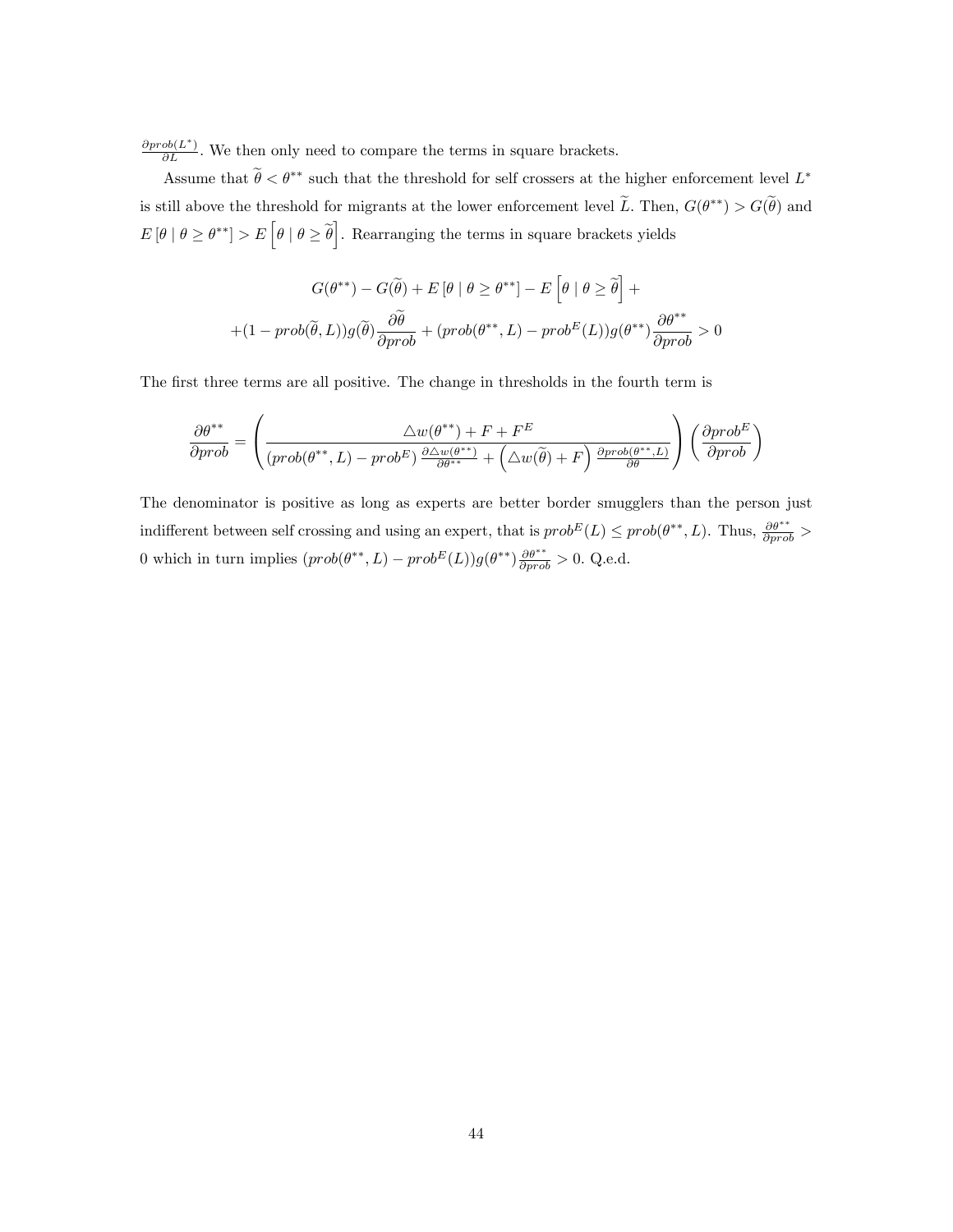$\frac{\partial prob(L^*)}{\partial L}$ . We then only need to compare the terms in square brackets.

Assume that  $\theta < \theta^{**}$  such that the threshold for self crossers at the higher enforcement level  $L^*$ is still above the threshold for migrants at the lower enforcement level L. Then,  $G(\theta^{**}) > G(\theta)$  and  $E[\theta | \theta \geq \theta^{**}] > E[\theta | \theta \geq \tilde{\theta}]$ . Rearranging the terms in square brackets yields

$$
G(\theta^{**}) - G(\widetilde{\theta}) + E[\theta | \theta \ge \theta^{**}] - E[\theta | \theta \ge \widetilde{\theta}] +
$$
  
+
$$
(1 - prob(\widetilde{\theta}, L))g(\widetilde{\theta})\frac{\partial \widetilde{\theta}}{\partial prob} + (prob(\theta^{**}, L) - prob^{E}(L))g(\theta^{**})\frac{\partial \theta^{**}}{\partial prob} > 0
$$

The first three terms are all positive. The change in thresholds in the fourth term is

$$
\frac{\partial \theta^{**}}{\partial prob} = \left(\frac{\triangle w(\theta^{**}) + F + F^E}{(prob(\theta^{**}, L) - prob^E) \frac{\partial \triangle w(\theta^{**})}{\partial \theta^{**}} + (\triangle w(\tilde{\theta}) + F) \frac{\partial prob(\theta^{**}, L)}{\partial \theta}}\right) \left(\frac{\partial prob^E}{\partial prob}\right)
$$

The denominator is positive as long as experts are better border smugglers than the person just indifferent between self crossing and using an expert, that is  $prob^{E}(L) \leq prob(\theta^{**}, L)$ . Thus,  $\frac{\partial \theta^{**}}{\partial prob} >$ 0 which in turn implies *. Q.e.d.*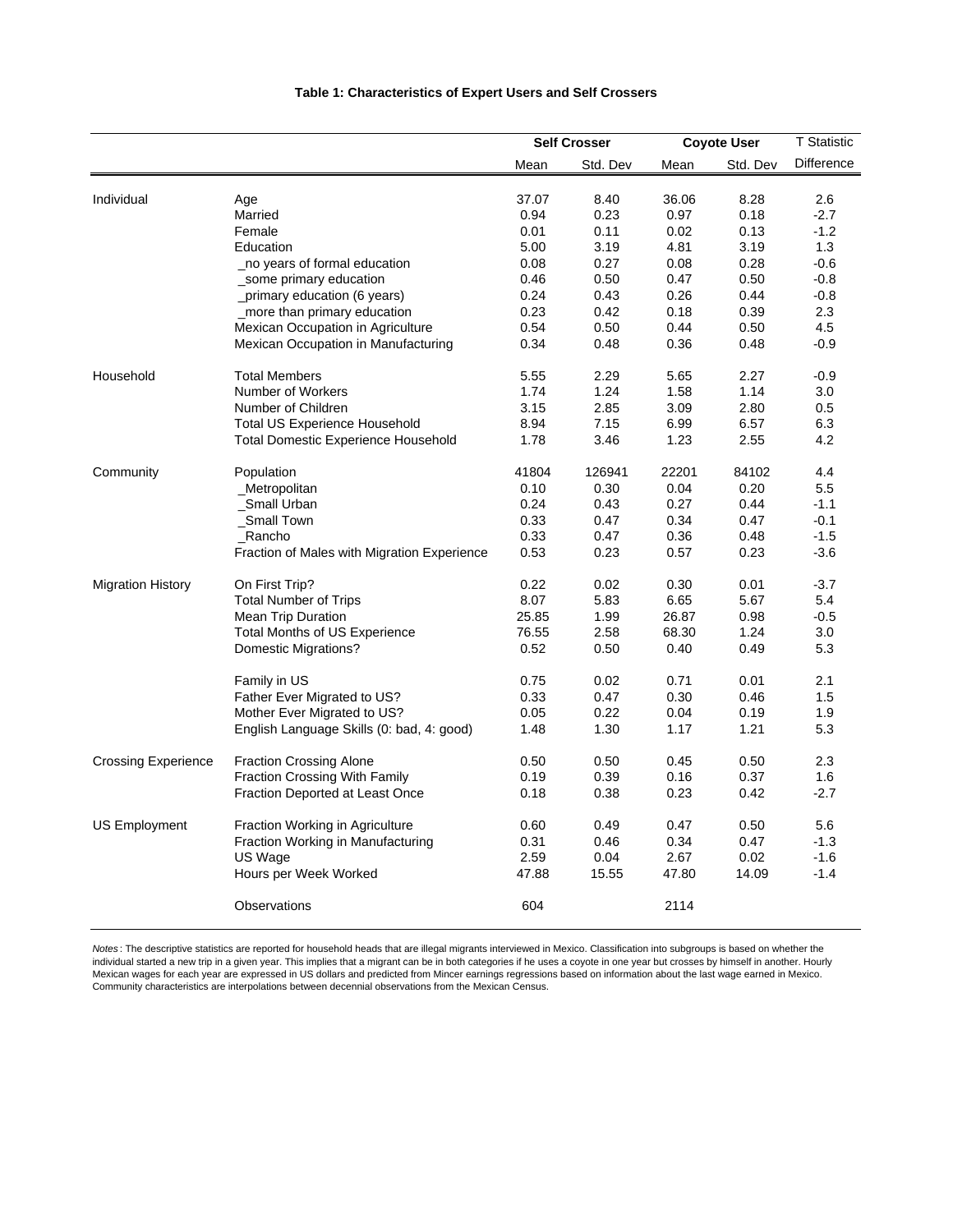|                            |                                             | <b>Self Crosser</b> |          | <b>Coyote User</b> |          | <b>T</b> Statistic |
|----------------------------|---------------------------------------------|---------------------|----------|--------------------|----------|--------------------|
|                            |                                             | Mean                | Std. Dev | Mean               | Std. Dev | Difference         |
| Individual                 | Age                                         | 37.07               | 8.40     | 36.06              | 8.28     | 2.6                |
|                            | Married                                     | 0.94                | 0.23     | 0.97               | 0.18     | $-2.7$             |
|                            | Female                                      | 0.01                | 0.11     | 0.02               | 0.13     | $-1.2$             |
|                            | Education                                   | 5.00                | 3.19     | 4.81               | 3.19     | 1.3                |
|                            | no years of formal education                | 0.08                | 0.27     | 0.08               | 0.28     | $-0.6$             |
|                            | _some primary education                     | 0.46                | 0.50     | 0.47               | 0.50     | $-0.8$             |
|                            | _primary education (6 years)                | 0.24                | 0.43     | 0.26               | 0.44     | $-0.8$             |
|                            | _more than primary education                | 0.23                | 0.42     | 0.18               | 0.39     | 2.3                |
|                            | Mexican Occupation in Agriculture           | 0.54                | 0.50     | 0.44               | 0.50     | 4.5                |
|                            | Mexican Occupation in Manufacturing         | 0.34                | 0.48     | 0.36               | 0.48     | $-0.9$             |
| Household                  | <b>Total Members</b>                        | 5.55                | 2.29     | 5.65               | 2.27     | $-0.9$             |
|                            | Number of Workers                           | 1.74                | 1.24     | 1.58               | 1.14     | 3.0                |
|                            | Number of Children                          | 3.15                | 2.85     | 3.09               | 2.80     | 0.5                |
|                            | <b>Total US Experience Household</b>        | 8.94                | 7.15     | 6.99               | 6.57     | 6.3                |
|                            | <b>Total Domestic Experience Household</b>  | 1.78                | 3.46     | 1.23               | 2.55     | 4.2                |
| Community                  | Population                                  | 41804               | 126941   | 22201              | 84102    | 4.4                |
|                            | <b>Metropolitan</b>                         | 0.10                | 0.30     | 0.04               | 0.20     | 5.5                |
|                            | _Small Urban                                | 0.24                | 0.43     | 0.27               | 0.44     | $-1.1$             |
|                            | Small Town                                  | 0.33                | 0.47     | 0.34               | 0.47     | $-0.1$             |
|                            | Rancho                                      | 0.33                | 0.47     | 0.36               | 0.48     | $-1.5$             |
|                            | Fraction of Males with Migration Experience | 0.53                | 0.23     | 0.57               | 0.23     | $-3.6$             |
| <b>Migration History</b>   | On First Trip?                              | 0.22                | 0.02     | 0.30               | 0.01     | $-3.7$             |
|                            | <b>Total Number of Trips</b>                | 8.07                | 5.83     | 6.65               | 5.67     | 5.4                |
|                            | <b>Mean Trip Duration</b>                   | 25.85               | 1.99     | 26.87              | 0.98     | $-0.5$             |
|                            | <b>Total Months of US Experience</b>        | 76.55               | 2.58     | 68.30              | 1.24     | 3.0                |
|                            | <b>Domestic Migrations?</b>                 | 0.52                | 0.50     | 0.40               | 0.49     | 5.3                |
|                            | Family in US                                | 0.75                | 0.02     | 0.71               | 0.01     | 2.1                |
|                            | Father Ever Migrated to US?                 | 0.33                | 0.47     | 0.30               | 0.46     | 1.5                |
|                            | Mother Ever Migrated to US?                 | 0.05                | 0.22     | 0.04               | 0.19     | 1.9                |
|                            | English Language Skills (0: bad, 4: good)   | 1.48                | 1.30     | 1.17               | 1.21     | 5.3                |
| <b>Crossing Experience</b> | <b>Fraction Crossing Alone</b>              | 0.50                | 0.50     | 0.45               | 0.50     | 2.3                |
|                            | Fraction Crossing With Family               | 0.19                | 0.39     | 0.16               | 0.37     | 1.6                |
|                            | Fraction Deported at Least Once             | 0.18                | 0.38     | 0.23               | 0.42     | $-2.7$             |
| <b>US Employment</b>       | Fraction Working in Agriculture             | 0.60                | 0.49     | 0.47               | 0.50     | 5.6                |
|                            | Fraction Working in Manufacturing           | 0.31                | 0.46     | 0.34               | 0.47     | $-1.3$             |
|                            | US Wage                                     | 2.59                | 0.04     | 2.67               | 0.02     | $-1.6$             |
|                            | Hours per Week Worked                       | 47.88               | 15.55    | 47.80              | 14.09    | $-1.4$             |
|                            | Observations                                | 604                 |          | 2114               |          |                    |

*Notes* : The descriptive statistics are reported for household heads that are illegal migrants interviewed in Mexico. Classification into subgroups is based on whether the individual started a new trip in a given year. This implies that a migrant can be in both categories if he uses a coyote in one year but crosses by himself in another. Hourly Mexican wages for each year are expressed in US dollars and predicted from Mincer earnings regressions based on information about the last wage earned in Mexico. Community characteristics are interpolations between decennial observations from the Mexican Census.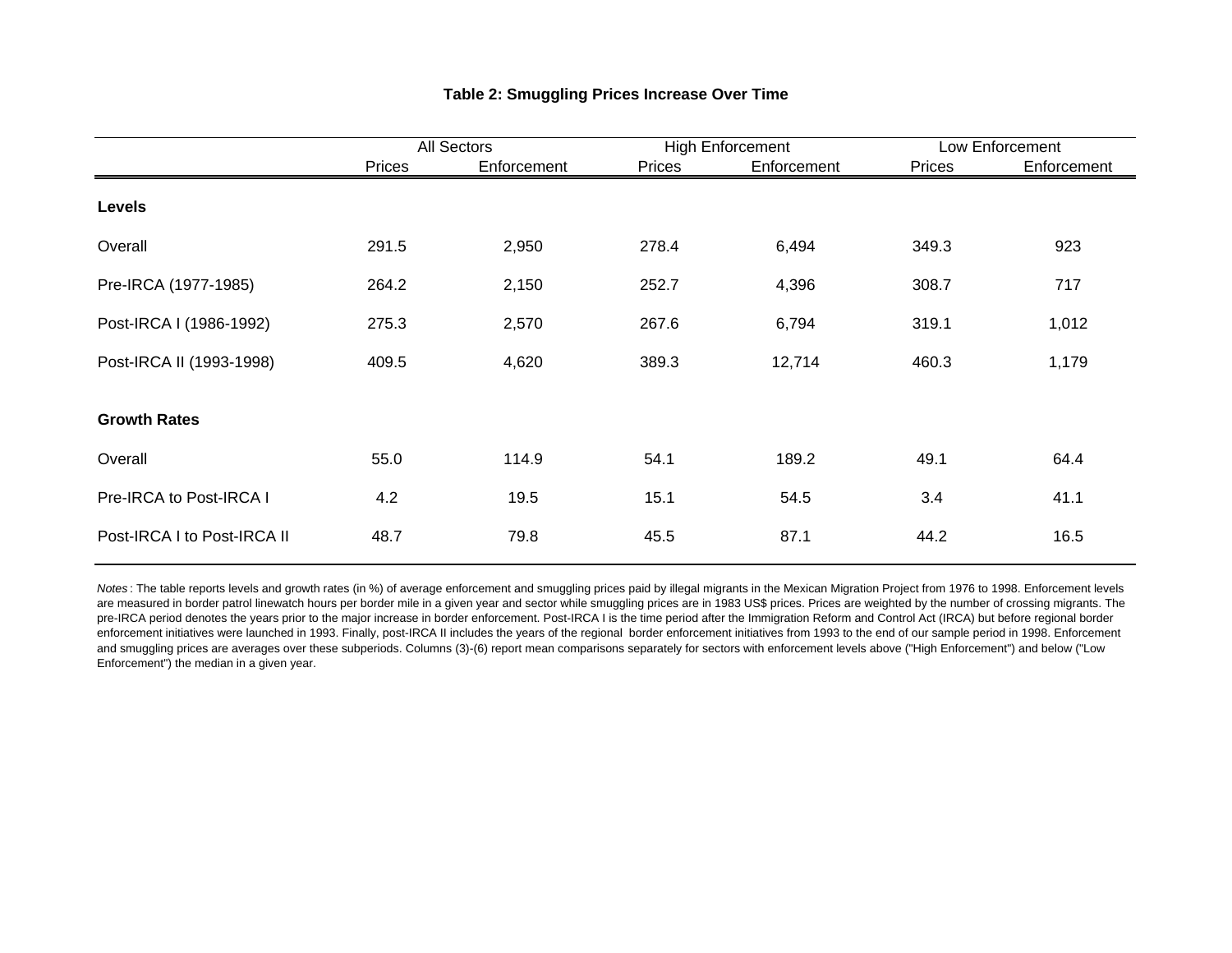|                             |        | All Sectors |        | <b>High Enforcement</b> | Low Enforcement |             |  |
|-----------------------------|--------|-------------|--------|-------------------------|-----------------|-------------|--|
|                             | Prices | Enforcement | Prices | Enforcement             | Prices          | Enforcement |  |
| Levels                      |        |             |        |                         |                 |             |  |
| Overall                     | 291.5  | 2,950       | 278.4  | 6,494                   | 349.3           | 923         |  |
| Pre-IRCA (1977-1985)        | 264.2  | 2,150       | 252.7  | 4,396                   | 308.7           | 717         |  |
| Post-IRCA I (1986-1992)     | 275.3  | 2,570       | 267.6  | 6,794                   | 319.1           | 1,012       |  |
| Post-IRCA II (1993-1998)    | 409.5  | 4,620       | 389.3  | 12,714                  | 460.3           | 1,179       |  |
| <b>Growth Rates</b>         |        |             |        |                         |                 |             |  |
| Overall                     | 55.0   | 114.9       | 54.1   | 189.2                   | 49.1            | 64.4        |  |
| Pre-IRCA to Post-IRCA I     | 4.2    | 19.5        | 15.1   | 54.5                    | 3.4             | 41.1        |  |
| Post-IRCA I to Post-IRCA II | 48.7   | 79.8        | 45.5   | 87.1                    | 44.2            | 16.5        |  |

### **Table 2: Smuggling Prices Increase Over Time**

Notes: The table reports levels and growth rates (in %) of average enforcement and smuggling prices paid by illegal migrants in the Mexican Migration Project from 1976 to 1998. Enforcement levels are measured in border patrol linewatch hours per border mile in a given year and sector while smuggling prices are in 1983 US\$ prices. Prices are weighted by the number of crossing migrants. The pre-IRCA period denotes the years prior to the major increase in border enforcement. Post-IRCA I is the time period after the Immigration Reform and Control Act (IRCA) but before regional border enforcement initiatives were launched in 1993. Finally, post-IRCA II includes the years of the regional border enforcement initiatives from 1993 to the end of our sample period in 1998. Enforcement and smuggling prices are averages over these subperiods. Columns (3)-(6) report mean comparisons separately for sectors with enforcement levels above ("High Enforcement") and below ("Low Enforcement") the median in a given year.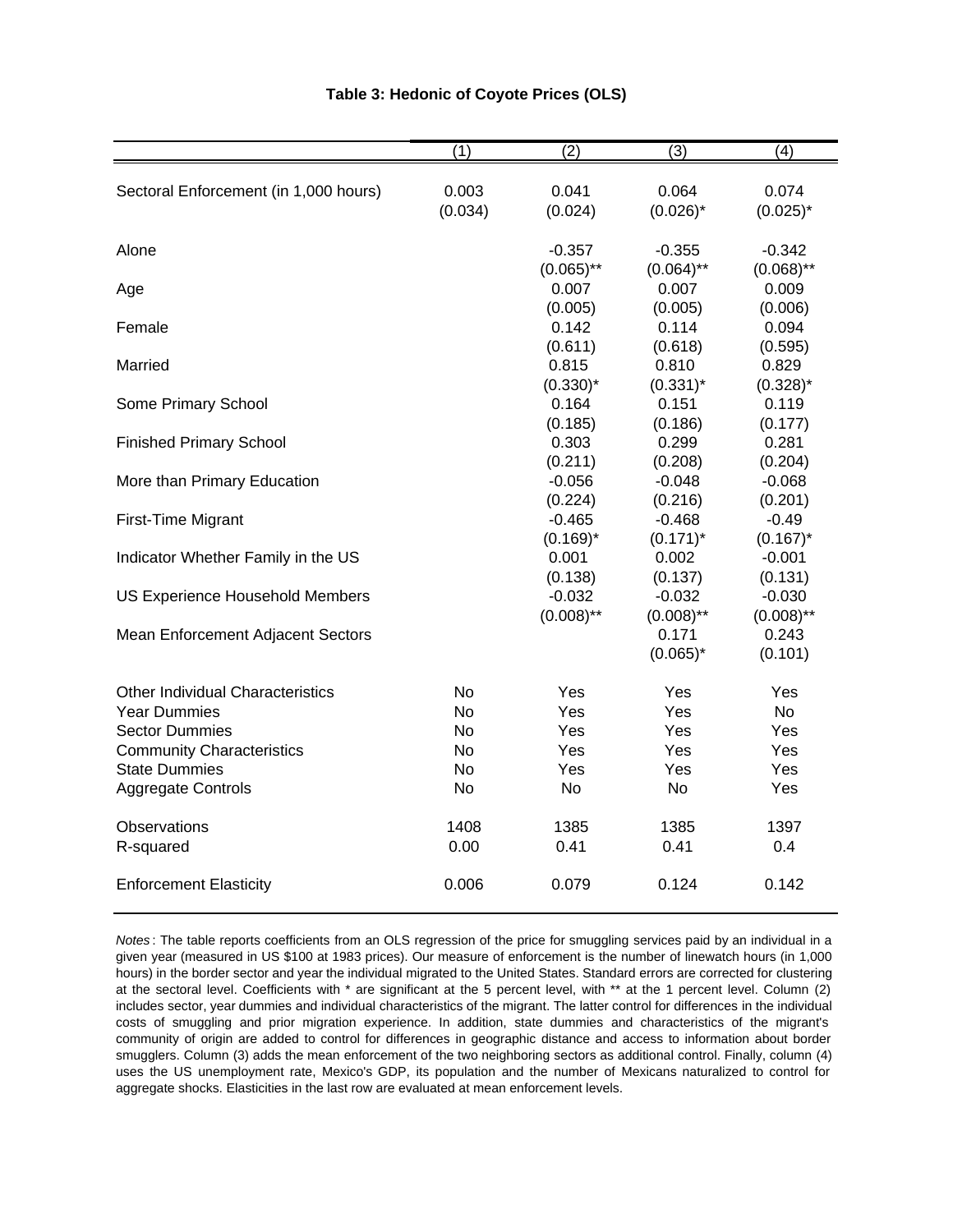|                                         | (1)       | (2)           | (3)          | (4)          |
|-----------------------------------------|-----------|---------------|--------------|--------------|
| Sectoral Enforcement (in 1,000 hours)   | 0.003     | 0.041         | 0.064        | 0.074        |
|                                         | (0.034)   | (0.024)       | $(0.026)^*$  | $(0.025)^*$  |
| Alone                                   |           | $-0.357$      | $-0.355$     | $-0.342$     |
|                                         |           | $(0.065)$ **  | $(0.064)$ ** | $(0.068)$ ** |
| Age                                     |           | 0.007         | 0.007        | 0.009        |
|                                         |           | (0.005)       | (0.005)      | (0.006)      |
| Female                                  |           | 0.142         | 0.114        | 0.094        |
|                                         |           | (0.611)       | (0.618)      | (0.595)      |
| Married                                 |           | 0.815         | 0.810        | 0.829        |
|                                         |           | $(0.330)^{*}$ | $(0.331)^*$  | $(0.328)^*$  |
| Some Primary School                     |           | 0.164         | 0.151        | 0.119        |
|                                         |           | (0.185)       | (0.186)      | (0.177)      |
| <b>Finished Primary School</b>          |           | 0.303         | 0.299        | 0.281        |
|                                         |           | (0.211)       | (0.208)      | (0.204)      |
| More than Primary Education             |           | $-0.056$      | $-0.048$     | $-0.068$     |
|                                         |           | (0.224)       | (0.216)      | (0.201)      |
| First-Time Migrant                      |           | $-0.465$      | $-0.468$     | $-0.49$      |
|                                         |           | $(0.169)^*$   | $(0.171)^*$  | $(0.167)^*$  |
| Indicator Whether Family in the US      |           | 0.001         | 0.002        | $-0.001$     |
|                                         |           | (0.138)       | (0.137)      | (0.131)      |
| <b>US Experience Household Members</b>  |           | $-0.032$      | $-0.032$     | $-0.030$     |
|                                         |           | $(0.008)$ **  | $(0.008)$ ** | $(0.008)$ ** |
| Mean Enforcement Adjacent Sectors       |           |               | 0.171        | 0.243        |
|                                         |           |               | $(0.065)^*$  | (0.101)      |
| <b>Other Individual Characteristics</b> | <b>No</b> | Yes           | Yes          | Yes          |
| <b>Year Dummies</b>                     | <b>No</b> | Yes           | Yes          | <b>No</b>    |
| <b>Sector Dummies</b>                   | No        | Yes           | Yes          | Yes          |
| <b>Community Characteristics</b>        | No        | Yes           | Yes          | Yes          |
| <b>State Dummies</b>                    | No        | Yes           | Yes          | Yes          |
| <b>Aggregate Controls</b>               | <b>No</b> | <b>No</b>     | <b>No</b>    | Yes          |
| Observations                            | 1408      | 1385          | 1385         | 1397         |
| R-squared                               | 0.00      | 0.41          | 0.41         | 0.4          |
| <b>Enforcement Elasticity</b>           | 0.006     | 0.079         | 0.124        | 0.142        |

#### **Table 3: Hedonic of Coyote Prices (OLS)**

*Notes* : The table reports coefficients from an OLS regression of the price for smuggling services paid by an individual in a given year (measured in US \$100 at 1983 prices). Our measure of enforcement is the number of linewatch hours (in 1,000 hours) in the border sector and year the individual migrated to the United States. Standard errors are corrected for clustering at the sectoral level. Coefficients with \* are significant at the 5 percent level, with \*\* at the 1 percent level. Column (2) includes sector, year dummies and individual characteristics of the migrant. The latter control for differences in the individual costs of smuggling and prior migration experience. In addition, state dummies and characteristics of the migrant's community of origin are added to control for differences in geographic distance and access to information about border smugglers. Column (3) adds the mean enforcement of the two neighboring sectors as additional control. Finally, column (4) uses the US unemployment rate, Mexico's GDP, its population and the number of Mexicans naturalized to control for aggregate shocks. Elasticities in the last row are evaluated at mean enforcement levels.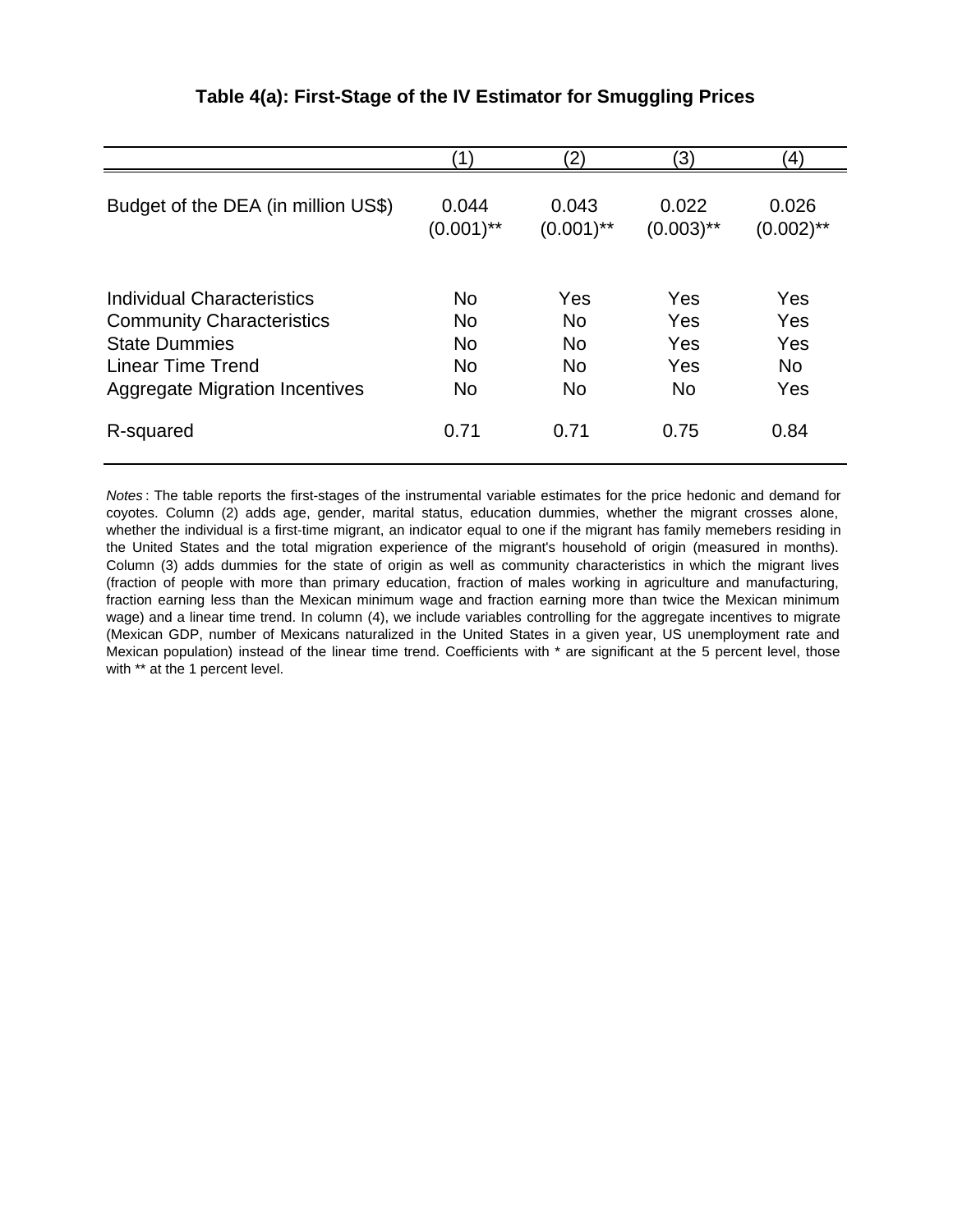|                                       | $\left( 1\right)$ | 2)           | 3)           | 4)           |
|---------------------------------------|-------------------|--------------|--------------|--------------|
| Budget of the DEA (in million US\$)   | 0.044             | 0.043        | 0.022        | 0.026        |
|                                       | $(0.001)$ **      | $(0.001)$ ** | $(0.003)$ ** | $(0.002)$ ** |
| Individual Characteristics            | No.               | Yes          | Yes          | Yes          |
| <b>Community Characteristics</b>      | <b>No</b>         | <b>No</b>    | Yes          | Yes          |
| <b>State Dummies</b>                  | <b>No</b>         | <b>No</b>    | Yes          | Yes          |
| <b>Linear Time Trend</b>              | <b>No</b>         | <b>No</b>    | Yes          | <b>No</b>    |
| <b>Aggregate Migration Incentives</b> | <b>No</b>         | <b>No</b>    | <b>No</b>    | Yes          |
| R-squared                             | 0.71              | 0.71         | 0.75         | 0.84         |

## **Table 4(a): First-Stage of the IV Estimator for Smuggling Prices**

*Notes* : The table reports the first-stages of the instrumental variable estimates for the price hedonic and demand for coyotes. Column (2) adds age, gender, marital status, education dummies, whether the migrant crosses alone, whether the individual is a first-time migrant, an indicator equal to one if the migrant has family memebers residing in the United States and the total migration experience of the migrant's household of origin (measured in months). Column (3) adds dummies for the state of origin as well as community characteristics in which the migrant lives (fraction of people with more than primary education, fraction of males working in agriculture and manufacturing, fraction earning less than the Mexican minimum wage and fraction earning more than twice the Mexican minimum wage) and a linear time trend. In column (4), we include variables controlling for the aggregate incentives to migrate (Mexican GDP, number of Mexicans naturalized in the United States in a given year, US unemployment rate and Mexican population) instead of the linear time trend. Coefficients with \* are significant at the 5 percent level, those with \*\* at the 1 percent level.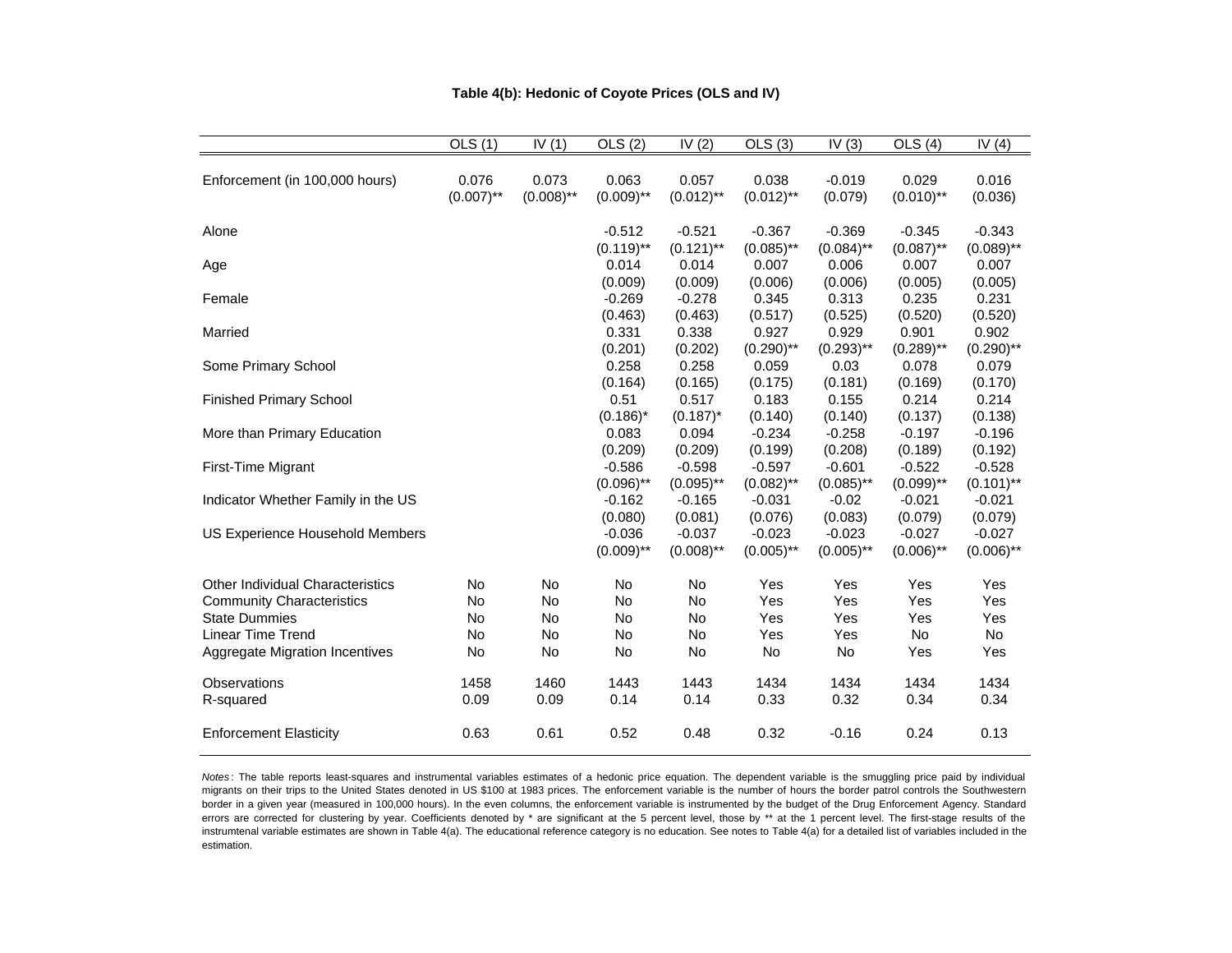|                                    | OLS(1)       | IV(1)        | OLS(2)       | IV $(2)$     | OLS(3)       | IV $(3)$     | OLS(4)       | IV $(4)$     |
|------------------------------------|--------------|--------------|--------------|--------------|--------------|--------------|--------------|--------------|
|                                    |              |              |              |              |              |              |              |              |
| Enforcement (in 100,000 hours)     | 0.076        | 0.073        | 0.063        | 0.057        | 0.038        | $-0.019$     | 0.029        | 0.016        |
|                                    | $(0.007)$ ** | $(0.008)$ ** | $(0.009)$ ** | $(0.012)$ ** | $(0.012)$ ** | (0.079)      | $(0.010)$ ** | (0.036)      |
|                                    |              |              |              |              |              |              |              |              |
| Alone                              |              |              | $-0.512$     | $-0.521$     | $-0.367$     | $-0.369$     | $-0.345$     | $-0.343$     |
|                                    |              |              | $(0.119)$ ** | $(0.121)$ ** | $(0.085)$ ** | $(0.084)$ ** | $(0.087)$ ** | $(0.089)$ ** |
| Age                                |              |              | 0.014        | 0.014        | 0.007        | 0.006        | 0.007        | 0.007        |
|                                    |              |              | (0.009)      | (0.009)      | (0.006)      | (0.006)      | (0.005)      | (0.005)      |
| Female                             |              |              | $-0.269$     | $-0.278$     | 0.345        | 0.313        | 0.235        | 0.231        |
|                                    |              |              | (0.463)      | (0.463)      | (0.517)      | (0.525)      | (0.520)      | (0.520)      |
| Married                            |              |              | 0.331        | 0.338        | 0.927        | 0.929        | 0.901        | 0.902        |
|                                    |              |              | (0.201)      | (0.202)      | $(0.290)$ ** | $(0.293)$ ** | $(0.289)$ ** | $(0.290)$ ** |
| Some Primary School                |              |              | 0.258        | 0.258        | 0.059        | 0.03         | 0.078        | 0.079        |
|                                    |              |              | (0.164)      | (0.165)      | (0.175)      | (0.181)      | (0.169)      | (0.170)      |
| <b>Finished Primary School</b>     |              |              | 0.51         | 0.517        | 0.183        | 0.155        | 0.214        | 0.214        |
|                                    |              |              | $(0.186)^*$  | $(0.187)^*$  | (0.140)      | (0.140)      | (0.137)      | (0.138)      |
| More than Primary Education        |              |              | 0.083        | 0.094        | $-0.234$     | $-0.258$     | $-0.197$     | $-0.196$     |
|                                    |              |              | (0.209)      | (0.209)      | (0.199)      | (0.208)      | (0.189)      | (0.192)      |
| First-Time Migrant                 |              |              | $-0.586$     | $-0.598$     | $-0.597$     | $-0.601$     | $-0.522$     | $-0.528$     |
|                                    |              |              | $(0.096)$ ** | $(0.095)$ ** | $(0.082)$ ** | $(0.085)$ ** | $(0.099)$ ** | $(0.101)$ ** |
| Indicator Whether Family in the US |              |              | $-0.162$     | $-0.165$     | $-0.031$     | $-0.02$      | $-0.021$     | $-0.021$     |
|                                    |              |              | (0.080)      | (0.081)      | (0.076)      | (0.083)      | (0.079)      | (0.079)      |
| US Experience Household Members    |              |              | $-0.036$     | $-0.037$     | $-0.023$     | $-0.023$     | $-0.027$     | $-0.027$     |
|                                    |              |              | $(0.009)$ ** | $(0.008)$ ** | $(0.005)$ ** | $(0.005)$ ** | $(0.006)$ ** | $(0.006)$ ** |
| Other Individual Characteristics   | No           | No           | No           | No           | Yes          | Yes          | Yes          | Yes          |
| <b>Community Characteristics</b>   | No           | No           | No           | No           | Yes          | Yes          | Yes          | Yes          |
| <b>State Dummies</b>               | No           | No           | No           | No           | Yes          | Yes          | Yes          | Yes          |
| <b>Linear Time Trend</b>           | No           | No           | No           | No           | Yes          | Yes          | No           | No           |
| Aggregate Migration Incentives     | No           | No           | No           | No           | No           | No           | Yes          | Yes          |
|                                    |              |              |              |              |              |              |              |              |
| Observations                       | 1458         | 1460         | 1443         | 1443         | 1434         | 1434         | 1434         | 1434         |
| R-squared                          | 0.09         | 0.09         | 0.14         | 0.14         | 0.33         | 0.32         | 0.34         | 0.34         |
| <b>Enforcement Elasticity</b>      | 0.63         | 0.61         | 0.52         | 0.48         | 0.32         | $-0.16$      | 0.24         | 0.13         |
|                                    |              |              |              |              |              |              |              |              |

#### **Table 4(b): Hedonic of Coyote Prices (OLS and IV)**

*Notes* : The table reports least-squares and instrumental variables estimates of <sup>a</sup> hedonic price equation. The dependent variable is the smuggling price paid by individual migrants on their trips to the United States denoted in US \$100 at 1983 prices. The enforcement variable is the number of hours the border patrol controls the Southwestern border in <sup>a</sup> given year (measured in 100,000 hours). In the even columns, the enforcement variable is instrumented by the budget of the Drug Enforcement Agency. Standard errors are corrected for clustering by year. Coefficients denoted by \* are significant at the 5 percent level, those by \*\* at the 1 percent level. The first-stage results of the instrumtenal variable estimates are shown in Table 4(a). The educational reference category is no education. See notes to Table 4(a) for a detailed list of variables included in the estimation.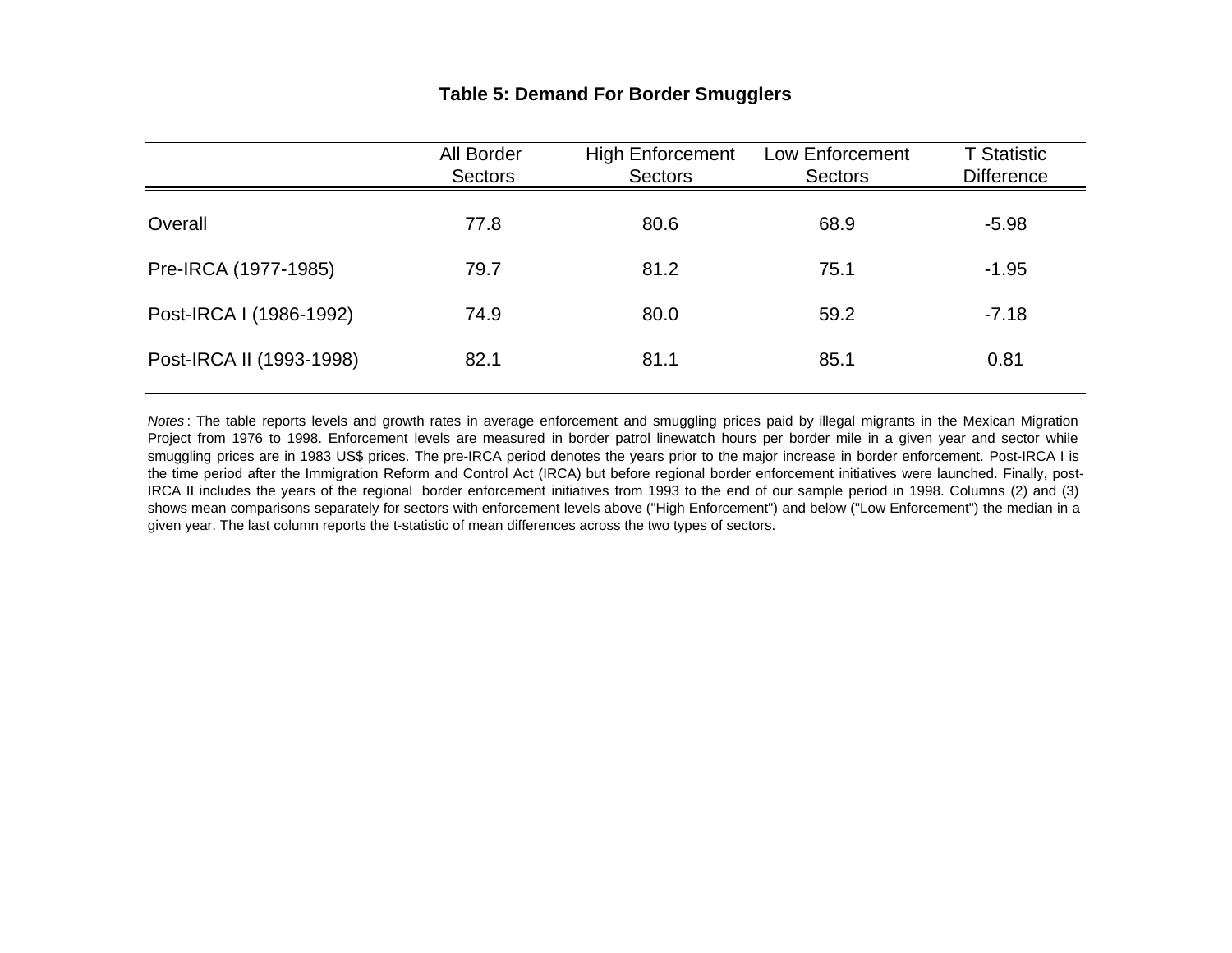## **Table 5: Demand For Border Smugglers**

|                          | All Border<br><b>Sectors</b> | <b>High Enforcement</b><br><b>Sectors</b> | Low Enforcement<br><b>Sectors</b> | <b>T</b> Statistic<br><b>Difference</b> |
|--------------------------|------------------------------|-------------------------------------------|-----------------------------------|-----------------------------------------|
| Overall                  | 77.8                         | 80.6                                      | 68.9                              | $-5.98$                                 |
| Pre-IRCA (1977-1985)     | 79.7                         | 81.2                                      | 75.1                              | $-1.95$                                 |
| Post-IRCA I (1986-1992)  | 74.9                         | 80.0                                      | 59.2                              | $-7.18$                                 |
| Post-IRCA II (1993-1998) | 82.1                         | 81.1                                      | 85.1                              | 0.81                                    |

*Notes* : The table reports levels and growth rates in average enforcement and smuggling prices paid by illegal migrants in the Mexican Migration Project from 1976 to 1998. Enforcement levels are measured in border patrol linewatch hours per border mile in <sup>a</sup> given year and sector while smuggling prices are in 1983 US\$ prices. The pre-IRCA period denotes the years prior to the major increase in border enforcement. Post-IRCA I is the time period after the Immigration Reform and Control Act (IRCA) but before regional border enforcement initiatives were launched. Finally, post-IRCA II includes the years of the regional border enforcement initiatives from 1993 to the end of our sample period in 1998. Columns (2) and (3) shows mean comparisons separately for sectors with enforcement levels above ("High Enforcement") and below ("Low Enforcement") the median in <sup>a</sup> given year. The last column reports the t-statistic of mean differences across the two types of sectors.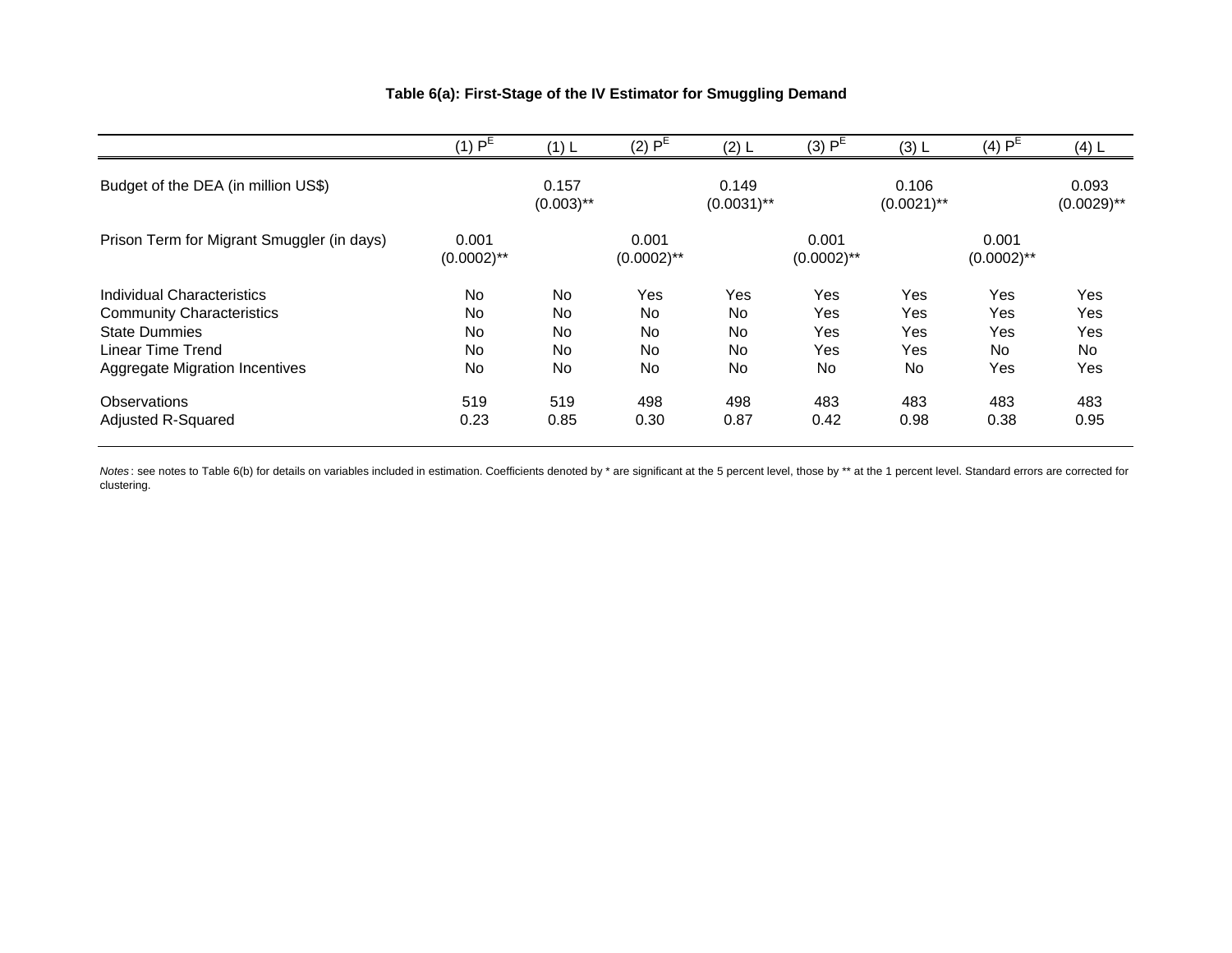### **Table 6(a): First-Stage of the IV Estimator for Smuggling Demand**

| (3) P <sup>E</sup><br>(4)P <sup>E</sup><br>(3) L<br>(4) L                  | (2) L | (2)P <sup>E</sup>      | (1) L                 | $(1)$ $PE$             |                                            |
|----------------------------------------------------------------------------|-------|------------------------|-----------------------|------------------------|--------------------------------------------|
| 0.106<br>0.093<br>0.149<br>$(0.0031)$ **<br>$(0.0029)$ **<br>$(0.0021)$ ** |       |                        | 0.157<br>$(0.003)$ ** |                        | Budget of the DEA (in million US\$)        |
| 0.001<br>0.001<br>$(0.0002)$ **<br>$(0.0002)$ **                           |       | 0.001<br>$(0.0002)$ ** |                       | 0.001<br>$(0.0002)$ ** | Prison Term for Migrant Smuggler (in days) |
| Yes<br>Yes<br>Yes<br>Yes<br>Yes                                            |       | Yes                    | <b>No</b>             | No                     | Individual Characteristics                 |
| <b>Yes</b><br>Yes<br>Yes<br>Yes<br>No                                      |       |                        | <b>No</b>             | <b>No</b>              |                                            |
| Yes<br>Yes<br>Yes<br>No<br>Yes                                             |       | No                     | <b>No</b>             | <b>No</b>              | <b>State Dummies</b>                       |
| No.<br>No<br>Yes<br>Yes<br>No.                                             |       | <b>No</b>              | <b>No</b>             | <b>No</b>              | Linear Time Trend                          |
| No<br>Yes<br>No<br>No<br>Yes                                               |       | No                     | No                    | <b>No</b>              | Aggregate Migration Incentives             |
| 498<br>483<br>483<br>483<br>483                                            |       | 498                    | 519                   | 519                    | Observations                               |
| 0.42<br>0.98<br>0.38<br>0.95<br>0.87                                       |       | 0.30                   | 0.85                  | 0.23                   | Adjusted R-Squared                         |
|                                                                            |       | No                     |                       |                        | <b>Community Characteristics</b>           |

*Notes*: see notes to Table 6(b) for details on variables included in estimation. Coefficients denoted by \* are significant at the 5 percent level, those by \*\* at the 1 percent level. Standard errors are corrected for clustering.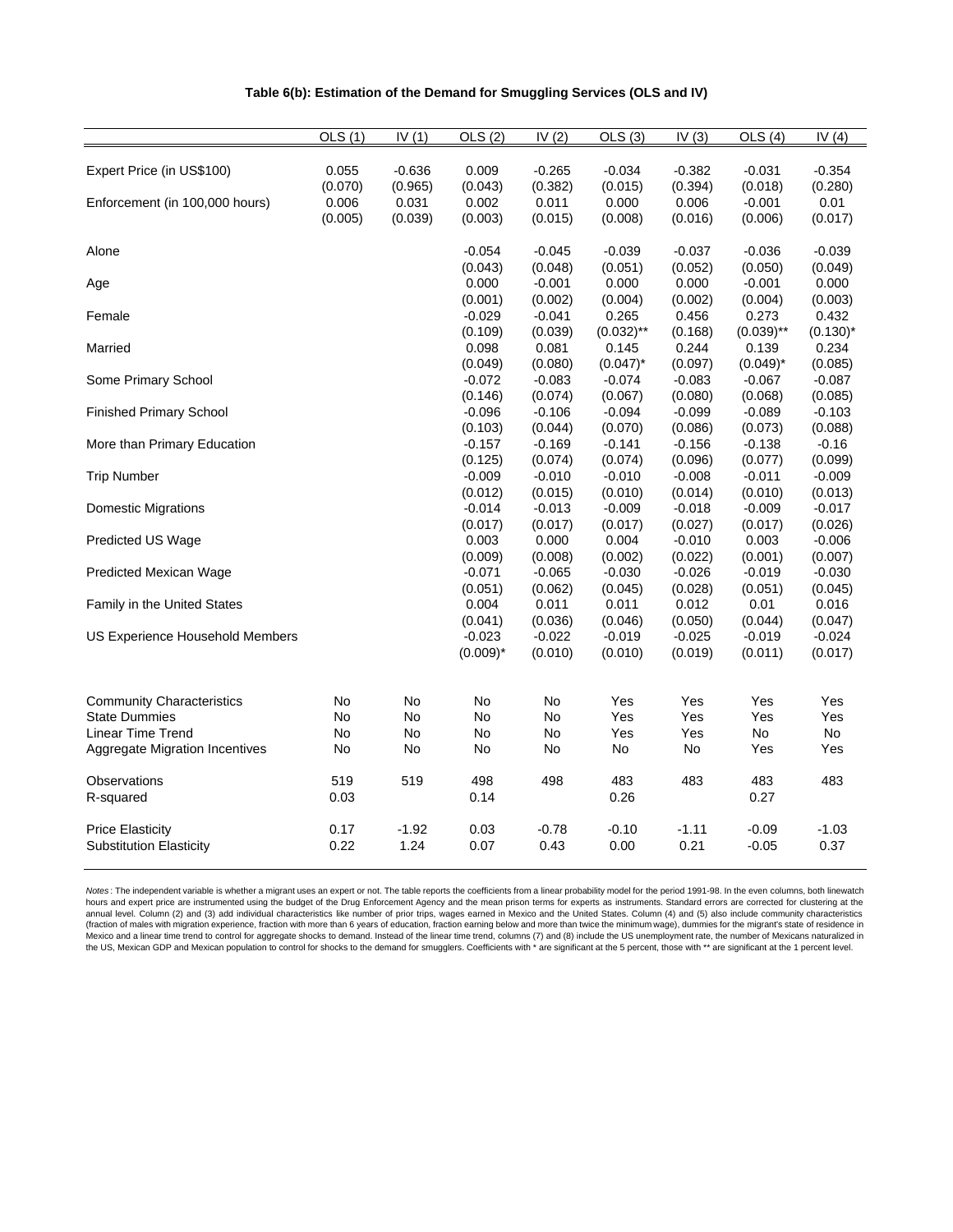|                                       | OLS (1) | IV $(1)$ | OLS(2)      | IV $(2)$ | OLS (3)      | IV $(3)$ | OLS(4)       | IV $(4)$    |
|---------------------------------------|---------|----------|-------------|----------|--------------|----------|--------------|-------------|
|                                       |         |          |             |          |              |          |              |             |
| Expert Price (in US\$100)             | 0.055   | $-0.636$ | 0.009       | $-0.265$ | $-0.034$     | $-0.382$ | $-0.031$     | $-0.354$    |
|                                       | (0.070) | (0.965)  | (0.043)     | (0.382)  | (0.015)      | (0.394)  | (0.018)      | (0.280)     |
| Enforcement (in 100,000 hours)        | 0.006   | 0.031    | 0.002       | 0.011    | 0.000        | 0.006    | $-0.001$     | 0.01        |
|                                       | (0.005) | (0.039)  | (0.003)     | (0.015)  | (0.008)      | (0.016)  | (0.006)      | (0.017)     |
| Alone                                 |         |          | $-0.054$    | $-0.045$ | $-0.039$     | $-0.037$ | $-0.036$     | $-0.039$    |
|                                       |         |          | (0.043)     | (0.048)  | (0.051)      | (0.052)  | (0.050)      | (0.049)     |
| Age                                   |         |          | 0.000       | $-0.001$ | 0.000        | 0.000    | $-0.001$     | 0.000       |
|                                       |         |          | (0.001)     | (0.002)  | (0.004)      | (0.002)  | (0.004)      | (0.003)     |
| Female                                |         |          | $-0.029$    | $-0.041$ | 0.265        | 0.456    | 0.273        | 0.432       |
|                                       |         |          | (0.109)     | (0.039)  | $(0.032)$ ** | (0.168)  | $(0.039)$ ** | $(0.130)^*$ |
| Married                               |         |          | 0.098       | 0.081    | 0.145        | 0.244    | 0.139        | 0.234       |
|                                       |         |          | (0.049)     | (0.080)  | $(0.047)^*$  | (0.097)  | $(0.049)^*$  | (0.085)     |
| Some Primary School                   |         |          | $-0.072$    | $-0.083$ | $-0.074$     | $-0.083$ | $-0.067$     | $-0.087$    |
|                                       |         |          | (0.146)     | (0.074)  | (0.067)      | (0.080)  | (0.068)      | (0.085)     |
| <b>Finished Primary School</b>        |         |          | $-0.096$    | $-0.106$ | $-0.094$     | $-0.099$ | $-0.089$     | $-0.103$    |
|                                       |         |          | (0.103)     | (0.044)  | (0.070)      | (0.086)  | (0.073)      | (0.088)     |
| More than Primary Education           |         |          | $-0.157$    | $-0.169$ | $-0.141$     | $-0.156$ | $-0.138$     | $-0.16$     |
|                                       |         |          | (0.125)     | (0.074)  | (0.074)      | (0.096)  | (0.077)      | (0.099)     |
| <b>Trip Number</b>                    |         |          | $-0.009$    | $-0.010$ | $-0.010$     | $-0.008$ | $-0.011$     | $-0.009$    |
|                                       |         |          | (0.012)     | (0.015)  | (0.010)      | (0.014)  | (0.010)      | (0.013)     |
| <b>Domestic Migrations</b>            |         |          | $-0.014$    | $-0.013$ | $-0.009$     | $-0.018$ | $-0.009$     | $-0.017$    |
|                                       |         |          | (0.017)     | (0.017)  | (0.017)      | (0.027)  | (0.017)      | (0.026)     |
| Predicted US Wage                     |         |          | 0.003       | 0.000    | 0.004        | $-0.010$ | 0.003        | $-0.006$    |
|                                       |         |          | (0.009)     | (0.008)  | (0.002)      | (0.022)  | (0.001)      | (0.007)     |
| Predicted Mexican Wage                |         |          | $-0.071$    | $-0.065$ | $-0.030$     | $-0.026$ | $-0.019$     | $-0.030$    |
|                                       |         |          | (0.051)     | (0.062)  | (0.045)      | (0.028)  | (0.051)      | (0.045)     |
| Family in the United States           |         |          | 0.004       | 0.011    | 0.011        | 0.012    | 0.01         | 0.016       |
|                                       |         |          | (0.041)     | (0.036)  | (0.046)      | (0.050)  | (0.044)      | (0.047)     |
| US Experience Household Members       |         |          | $-0.023$    | $-0.022$ | $-0.019$     | $-0.025$ | $-0.019$     | $-0.024$    |
|                                       |         |          | $(0.009)^*$ | (0.010)  | (0.010)      | (0.019)  | (0.011)      | (0.017)     |
|                                       |         |          |             |          |              |          |              |             |
| <b>Community Characteristics</b>      | No      | No       | No          | No       | Yes          | Yes      | Yes          | Yes         |
| <b>State Dummies</b>                  | No      | No       | No          | No       | Yes          | Yes      | Yes          | Yes         |
| Linear Time Trend                     | No      | No       | No          | No       | Yes          | Yes      | No           | No          |
| <b>Aggregate Migration Incentives</b> | No      | No       | No          | No       | No           | No       | Yes          | Yes         |
|                                       | 519     | 519      | 498         | 498      | 483          | 483      | 483          | 483         |
| Observations                          | 0.03    |          | 0.14        |          | 0.26         |          | 0.27         |             |
| R-squared                             |         |          |             |          |              |          |              |             |
| <b>Price Elasticity</b>               | 0.17    | $-1.92$  | 0.03        | $-0.78$  | $-0.10$      | $-1.11$  | $-0.09$      | $-1.03$     |
| <b>Substitution Elasticity</b>        | 0.22    | 1.24     | 0.07        | 0.43     | 0.00         | 0.21     | $-0.05$      | 0.37        |
|                                       |         |          |             |          |              |          |              |             |

Notes: The independent variable is whether a migrant uses an expert or not. The table reports the coefficients from a linear probability model for the period 1991-98. In the even columns, both linewatch hours and expert price are instrumented using the budget of the Drug Enforcement Agency and the mean prison terms for experts as instruments. Standard errors are corrected for clustering at the<br>annual level. Column (2) and Mexico and a linear time trend to control for aggregate shocks to demand. Instead of the linear time trend, columns (7) and (8) include the US unemployment rate, the number of Mexicans naturalized in the US, Mexican GDP and Mexican population to control for shocks to the demand for smugglers. Coefficients with \*\* are significant at the 5 percent, those with \*\* are significant at the 1 percent, at the 1 percent level.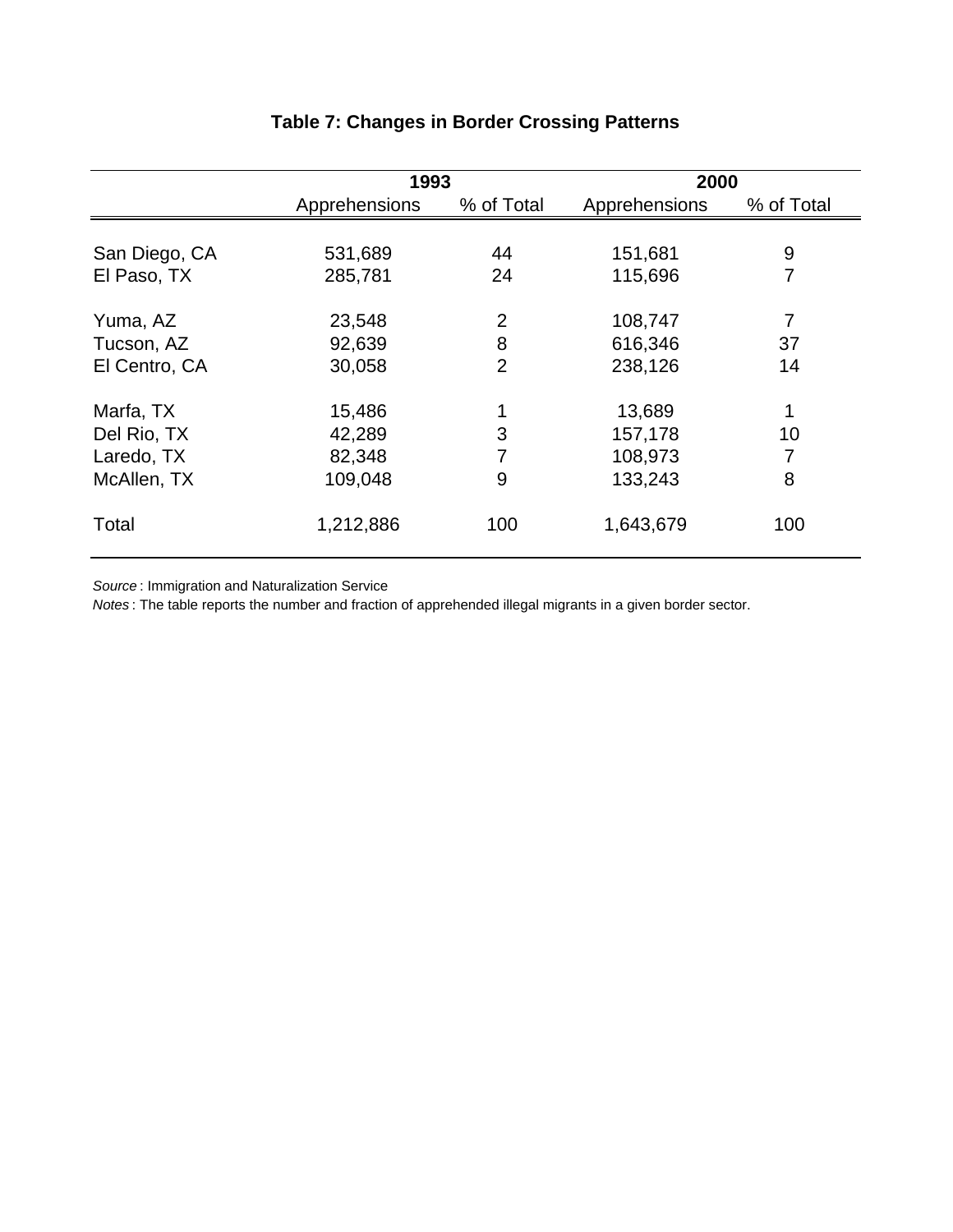|               | 1993          |                | 2000          |            |  |
|---------------|---------------|----------------|---------------|------------|--|
|               | Apprehensions | % of Total     | Apprehensions | % of Total |  |
|               |               |                |               |            |  |
| San Diego, CA | 531,689       | 44             | 151,681       | 9          |  |
| El Paso, TX   | 285,781       | 24             | 115,696       | 7          |  |
| Yuma, AZ      | 23,548        | $\overline{2}$ | 108,747       | 7          |  |
| Tucson, AZ    | 92,639        | 8              | 616,346       | 37         |  |
| El Centro, CA | 30,058        | $\overline{2}$ | 238,126       | 14         |  |
| Marfa, TX     | 15,486        |                | 13,689        |            |  |
| Del Rio, TX   | 42,289        | 3              | 157,178       | 10         |  |
| Laredo, TX    | 82,348        |                | 108,973       | 7          |  |
| McAllen, TX   | 109,048       | 9              | 133,243       | 8          |  |
| Total         | 1,212,886     | 100            | 1,643,679     | 100        |  |

# **Table 7: Changes in Border Crossing Patterns**

*Source* : Immigration and Naturalization Service

*Notes* : The table reports the number and fraction of apprehended illegal migrants in a given border sector.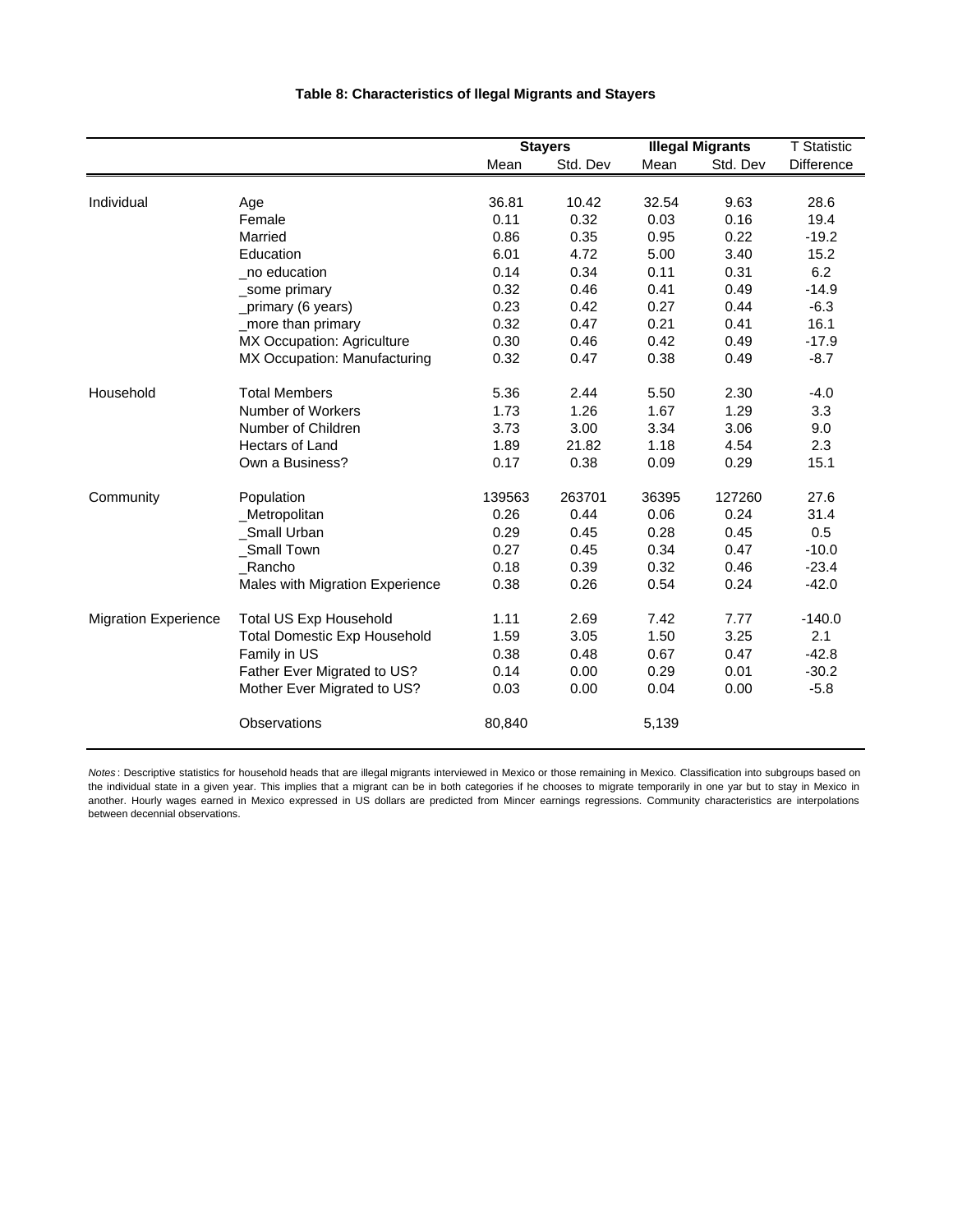|                             |                                     |        | <b>Stayers</b> |       | <b>Illegal Migrants</b> | <b>T</b> Statistic |
|-----------------------------|-------------------------------------|--------|----------------|-------|-------------------------|--------------------|
|                             |                                     | Mean   | Std. Dev       | Mean  | Std. Dev                | Difference         |
| Individual                  | Age                                 | 36.81  | 10.42          | 32.54 | 9.63                    | 28.6               |
|                             | Female                              | 0.11   | 0.32           | 0.03  | 0.16                    | 19.4               |
|                             | Married                             | 0.86   | 0.35           | 0.95  | 0.22                    | $-19.2$            |
|                             | Education                           | 6.01   | 4.72           | 5.00  | 3.40                    | 15.2               |
|                             | no education                        | 0.14   | 0.34           | 0.11  | 0.31                    | 6.2                |
|                             | _some primary                       | 0.32   | 0.46           | 0.41  | 0.49                    | $-14.9$            |
|                             | _primary (6 years)                  | 0.23   | 0.42           | 0.27  | 0.44                    | $-6.3$             |
|                             | _more than primary                  | 0.32   | 0.47           | 0.21  | 0.41                    | 16.1               |
|                             | MX Occupation: Agriculture          | 0.30   | 0.46           | 0.42  | 0.49                    | $-17.9$            |
|                             | MX Occupation: Manufacturing        | 0.32   | 0.47           | 0.38  | 0.49                    | $-8.7$             |
| Household                   | <b>Total Members</b>                | 5.36   | 2.44           | 5.50  | 2.30                    | $-4.0$             |
|                             | Number of Workers                   | 1.73   | 1.26           | 1.67  | 1.29                    | 3.3                |
|                             | Number of Children                  | 3.73   | 3.00           | 3.34  | 3.06                    | 9.0                |
|                             | <b>Hectars of Land</b>              | 1.89   | 21.82          | 1.18  | 4.54                    | 2.3                |
|                             | Own a Business?                     | 0.17   | 0.38           | 0.09  | 0.29                    | 15.1               |
| Community                   | Population                          | 139563 | 263701         | 36395 | 127260                  | 27.6               |
|                             | _Metropolitan                       | 0.26   | 0.44           | 0.06  | 0.24                    | 31.4               |
|                             | Small Urban                         | 0.29   | 0.45           | 0.28  | 0.45                    | 0.5                |
|                             | Small Town                          | 0.27   | 0.45           | 0.34  | 0.47                    | $-10.0$            |
|                             | Rancho                              | 0.18   | 0.39           | 0.32  | 0.46                    | $-23.4$            |
|                             | Males with Migration Experience     | 0.38   | 0.26           | 0.54  | 0.24                    | $-42.0$            |
| <b>Migration Experience</b> | <b>Total US Exp Household</b>       | 1.11   | 2.69           | 7.42  | 7.77                    | $-140.0$           |
|                             | <b>Total Domestic Exp Household</b> | 1.59   | 3.05           | 1.50  | 3.25                    | 2.1                |

#### **Table 8: Characteristics of llegal Migrants and Stayers**

*Notes* : Descriptive statistics for household heads that are illegal migrants interviewed in Mexico or those remaining in Mexico. Classification into subgroups based on the individual state in a given year. This implies that a migrant can be in both categories if he chooses to migrate temporarily in one yar but to stay in Mexico in another. Hourly wages earned in Mexico expressed in US dollars are predicted from Mincer earnings regressions. Community characteristics are interpolations between decennial observations.

Observations 80,840 5,139

Family in US 6.38 0.48 0.67 0.47 -42.8 Father Ever Migrated to US? 0.14 0.00 0.29 0.01 -30.2 Mother Ever Migrated to US? 0.03 0.00 0.04 0.00 -5.8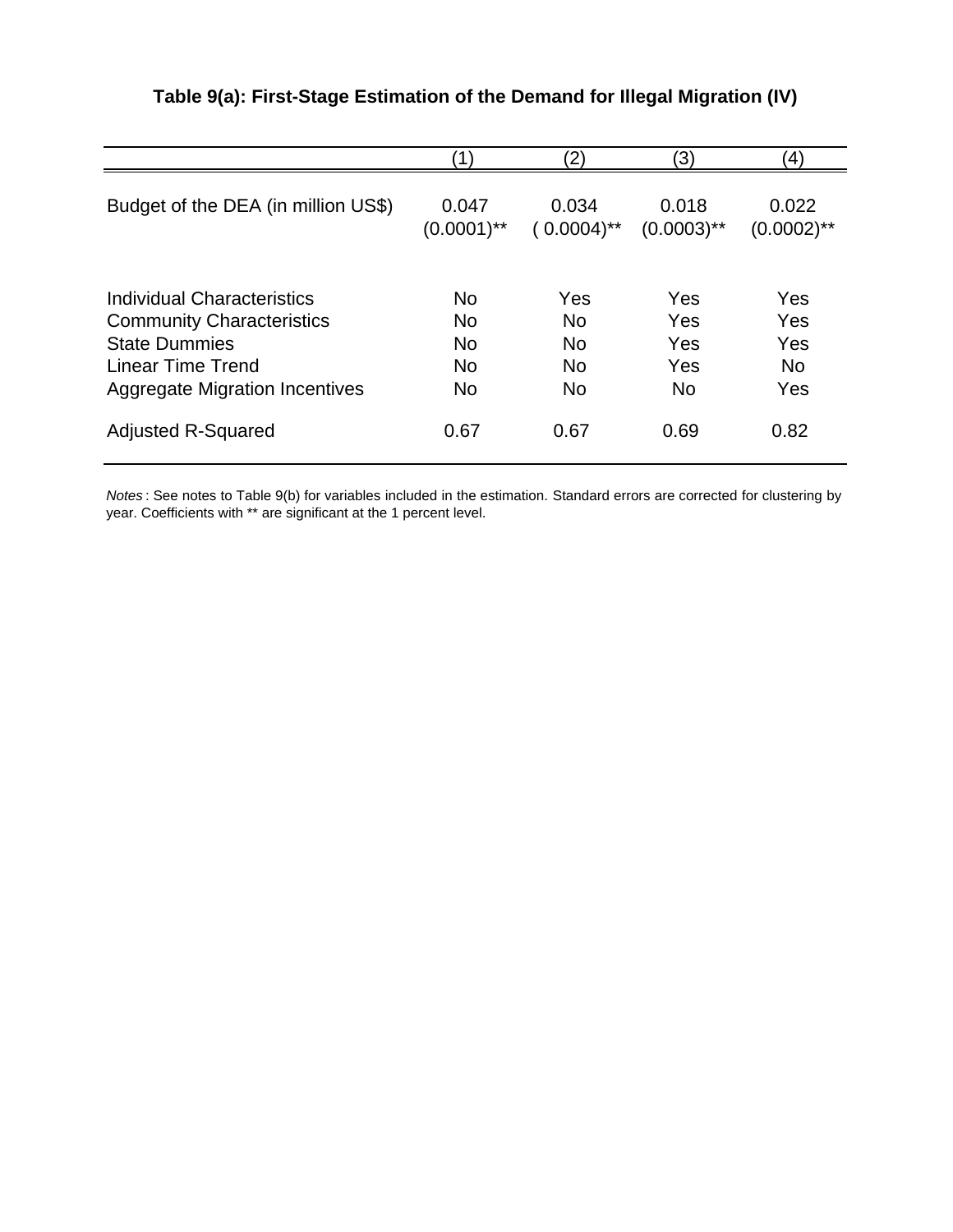|                                       | 11            | $\mathbf{2}$  | 3)            | $\ket{4}$     |
|---------------------------------------|---------------|---------------|---------------|---------------|
| Budget of the DEA (in million US\$)   | 0.047         | 0.034         | 0.018         | 0.022         |
|                                       | $(0.0001)$ ** | $(0.0004)$ ** | $(0.0003)$ ** | $(0.0002)$ ** |
| Individual Characteristics            | <b>No</b>     | Yes           | Yes           | Yes           |
| <b>Community Characteristics</b>      | <b>No</b>     | <b>No</b>     | Yes           | Yes           |
| <b>State Dummies</b>                  | <b>No</b>     | <b>No</b>     | Yes           | Yes           |
| Linear Time Trend                     | <b>No</b>     | <b>No</b>     | Yes           | <b>No</b>     |
| <b>Aggregate Migration Incentives</b> | <b>No</b>     | <b>No</b>     | <b>No</b>     | Yes           |
| <b>Adjusted R-Squared</b>             | 0.67          | 0.67          | 0.69          | 0.82          |

## **Table 9(a): First-Stage Estimation of the Demand for Illegal Migration (IV)**

*Notes* : See notes to Table 9(b) for variables included in the estimation. Standard errors are corrected for clustering by year. Coefficients with \*\* are significant at the 1 percent level.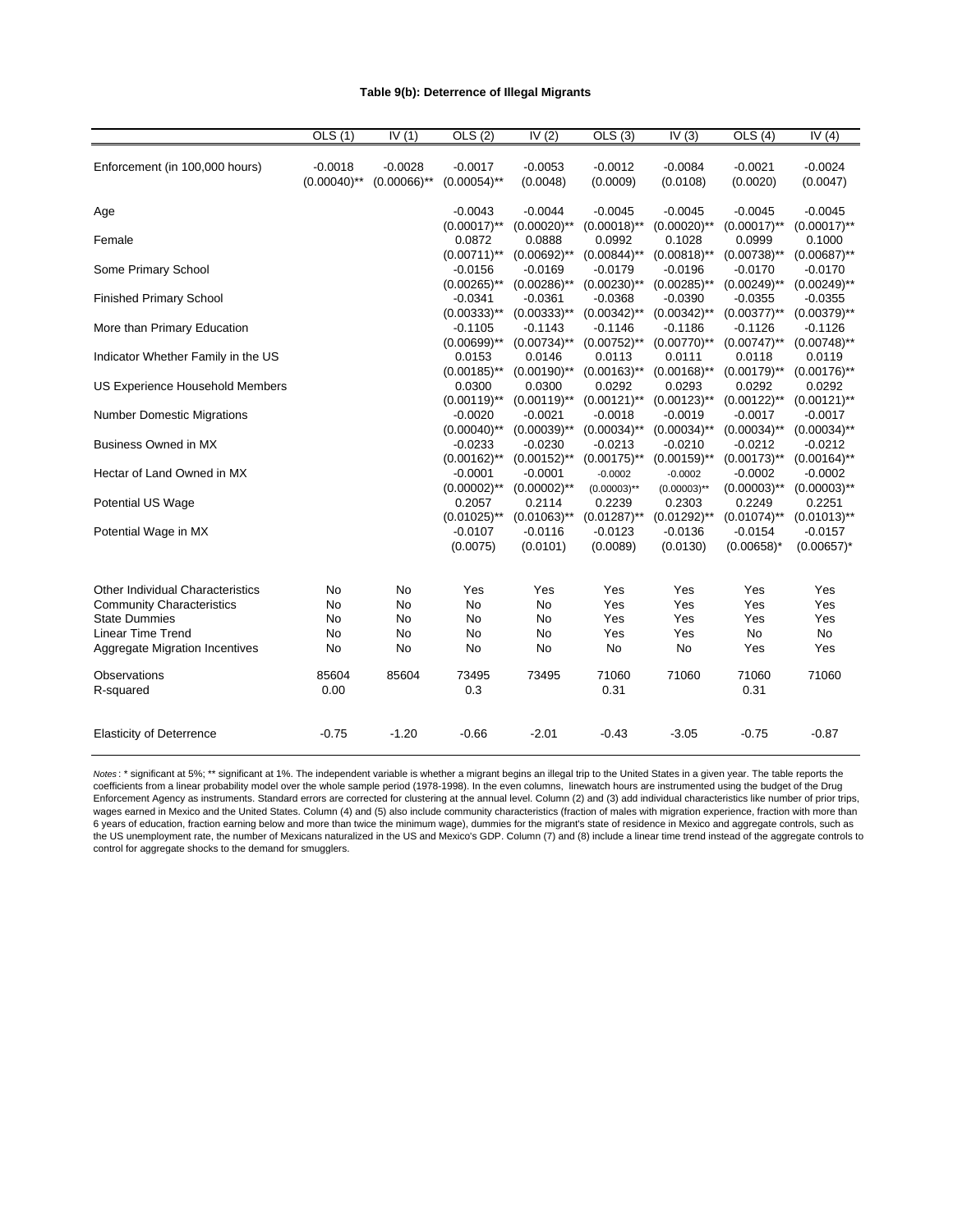#### **Table 9(b): Deterrence of Illegal Migrants**

|                                                                                                                                                                   | OLS (1)                                         | IV(1)                       | OLS(2)                             | IV $(2)$                      | OLS(3)                                     | IV $(3)$                                   | OLS(4)                         | IV $(4)$                              |
|-------------------------------------------------------------------------------------------------------------------------------------------------------------------|-------------------------------------------------|-----------------------------|------------------------------------|-------------------------------|--------------------------------------------|--------------------------------------------|--------------------------------|---------------------------------------|
| Enforcement (in 100,000 hours)                                                                                                                                    | $-0.0018$<br>$(0.00040)$ **                     | $-0.0028$<br>$(0.00066)$ ** | $-0.0017$<br>$(0.00054)$ **        | $-0.0053$<br>(0.0048)         | $-0.0012$<br>(0.0009)                      | $-0.0084$<br>(0.0108)                      | $-0.0021$<br>(0.0020)          | $-0.0024$<br>(0.0047)                 |
| Age                                                                                                                                                               |                                                 |                             | $-0.0043$<br>$(0.00017)$ **        | $-0.0044$<br>$(0.00020)$ **   | $-0.0045$<br>$(0.00018)$ **                | $-0.0045$<br>$(0.00020)$ **                | $-0.0045$<br>$(0.00017)$ **    | $-0.0045$<br>$(0.00017)$ **           |
| Female                                                                                                                                                            |                                                 |                             | 0.0872<br>$(0.00711)$ **           | 0.0888<br>$(0.00692)$ **      | 0.0992<br>$(0.00844)$ **                   | 0.1028<br>$(0.00818)$ **                   | 0.0999<br>$(0.00738)$ **       | 0.1000<br>$(0.00687)$ **              |
| Some Primary School                                                                                                                                               |                                                 |                             | $-0.0156$<br>$(0.00265)$ **        | $-0.0169$<br>$(0.00286)$ **   | $-0.0179$<br>$(0.00230)$ **                | $-0.0196$<br>$(0.00285)$ **                | $-0.0170$<br>$(0.00249)$ **    | $-0.0170$<br>$(0.00249)$ **           |
| <b>Finished Primary School</b>                                                                                                                                    |                                                 |                             | $-0.0341$<br>$(0.00333)$ **        | $-0.0361$<br>$(0.00333)^{**}$ | $-0.0368$<br>$(0.00342)$ **                | $-0.0390$<br>$(0.00342)$ **                | $-0.0355$<br>$(0.00377)$ **    | $-0.0355$<br>$(0.00379)$ **           |
| More than Primary Education                                                                                                                                       |                                                 |                             | $-0.1105$<br>$(0.00699)$ **        | $-0.1143$<br>$(0.00734)$ **   | $-0.1146$<br>$(0.00752)$ **                | $-0.1186$<br>$(0.00770)$ **                | $-0.1126$<br>$(0.00747)$ **    | $-0.1126$<br>$(0.00748)$ **           |
| Indicator Whether Family in the US                                                                                                                                |                                                 |                             | 0.0153<br>$(0.00185)$ **           | 0.0146<br>$(0.00190)$ **      | 0.0113<br>$(0.00163)$ **                   | 0.0111<br>$(0.00168)$ **                   | 0.0118<br>$(0.00179)$ **       | 0.0119<br>$(0.00176)$ **              |
| US Experience Household Members                                                                                                                                   |                                                 |                             | 0.0300<br>$(0.00119)$ **           | 0.0300<br>$(0.00119)$ **      | 0.0292<br>$(0.00121)$ **                   | 0.0293<br>$(0.00123)$ **                   | 0.0292<br>$(0.00122)$ **       | 0.0292<br>$(0.00121)$ **              |
| <b>Number Domestic Migrations</b>                                                                                                                                 |                                                 |                             | $-0.0020$<br>$(0.00040)$ **        | $-0.0021$<br>$(0.00039)$ **   | $-0.0018$<br>$(0.00034)$ **                | $-0.0019$<br>$(0.00034)$ **                | $-0.0017$<br>$(0.00034)$ **    | $-0.0017$<br>$(0.00034)$ **           |
| <b>Business Owned in MX</b>                                                                                                                                       |                                                 |                             | $-0.0233$<br>$(0.00162)$ **        | $-0.0230$<br>$(0.00152)$ **   | $-0.0213$<br>$(0.00175)$ **                | $-0.0210$<br>$(0.00159)$ **                | $-0.0212$<br>$(0.00173)$ **    | $-0.0212$<br>$(0.00164)$ **           |
| Hectar of Land Owned in MX                                                                                                                                        |                                                 |                             | $-0.0001$<br>$(0.00002)$ **        | $-0.0001$<br>$(0.00002)$ **   | $-0.0002$                                  | $-0.0002$                                  | $-0.0002$<br>$(0.00003)$ **    | $-0.0002$<br>$(0.00003)$ **           |
| Potential US Wage                                                                                                                                                 |                                                 |                             | 0.2057<br>$(0.01025)$ **           | 0.2114<br>$(0.01063)$ **      | $(0.00003)$ **<br>0.2239<br>$(0.01287)$ ** | $(0.00003)$ **<br>0.2303<br>$(0.01292)$ ** | 0.2249<br>$(0.01074)$ **       | 0.2251<br>$(0.01013)$ **              |
| Potential Wage in MX                                                                                                                                              |                                                 |                             | $-0.0107$<br>(0.0075)              | $-0.0116$<br>(0.0101)         | $-0.0123$<br>(0.0089)                      | $-0.0136$<br>(0.0130)                      | $-0.0154$<br>$(0.00658)^*$     | $-0.0157$<br>$(0.00657)^*$            |
| <b>Other Individual Characteristics</b><br><b>Community Characteristics</b><br><b>State Dummies</b><br><b>Linear Time Trend</b><br>Aggregate Migration Incentives | <b>No</b><br><b>No</b><br>No<br><b>No</b><br>No | No<br>No<br>No<br>No<br>No  | Yes<br>No<br><b>No</b><br>No<br>No | Yes<br>No<br>No<br>No<br>No   | Yes<br>Yes<br>Yes<br>Yes<br>No             | Yes<br>Yes<br>Yes<br>Yes<br>No             | Yes<br>Yes<br>Yes<br>No<br>Yes | Yes<br>Yes<br>Yes<br><b>No</b><br>Yes |
| <b>Observations</b><br>R-squared                                                                                                                                  | 85604<br>0.00                                   | 85604                       | 73495<br>0.3                       | 73495                         | 71060<br>0.31                              | 71060                                      | 71060<br>0.31                  | 71060                                 |
| <b>Elasticity of Deterrence</b>                                                                                                                                   | $-0.75$                                         | $-1.20$                     | $-0.66$                            | $-2.01$                       | $-0.43$                                    | $-3.05$                                    | $-0.75$                        | $-0.87$                               |

*Notes* : \* significant at 5%; \*\* significant at 1%. The independent variable is whether a migrant begins an illegal trip to the United States in a given year. The table reports the coefficients from a linear probability model over the whole sample period (1978-1998). In the even columns, linewatch hours are instrumented using the budget of the Drug Enforcement Agency as instruments. Standard errors are corrected for clustering at the annual level. Column (2) and (3) add individual characteristics like number of prior trips, wages earned in Mexico and the United States. Column (4) and (5) also include community characteristics (fraction of males with migration experience, fraction with more than 6 years of education, fraction earning below and more than twice the minimum wage), dummies for the migrant's state of residence in Mexico and aggregate controls, such as the US unemployment rate, the number of Mexicans naturalized in the US and Mexico's GDP. Column (7) and (8) include a linear time trend instead of the aggregate controls to control for aggregate shocks to the demand for smugglers.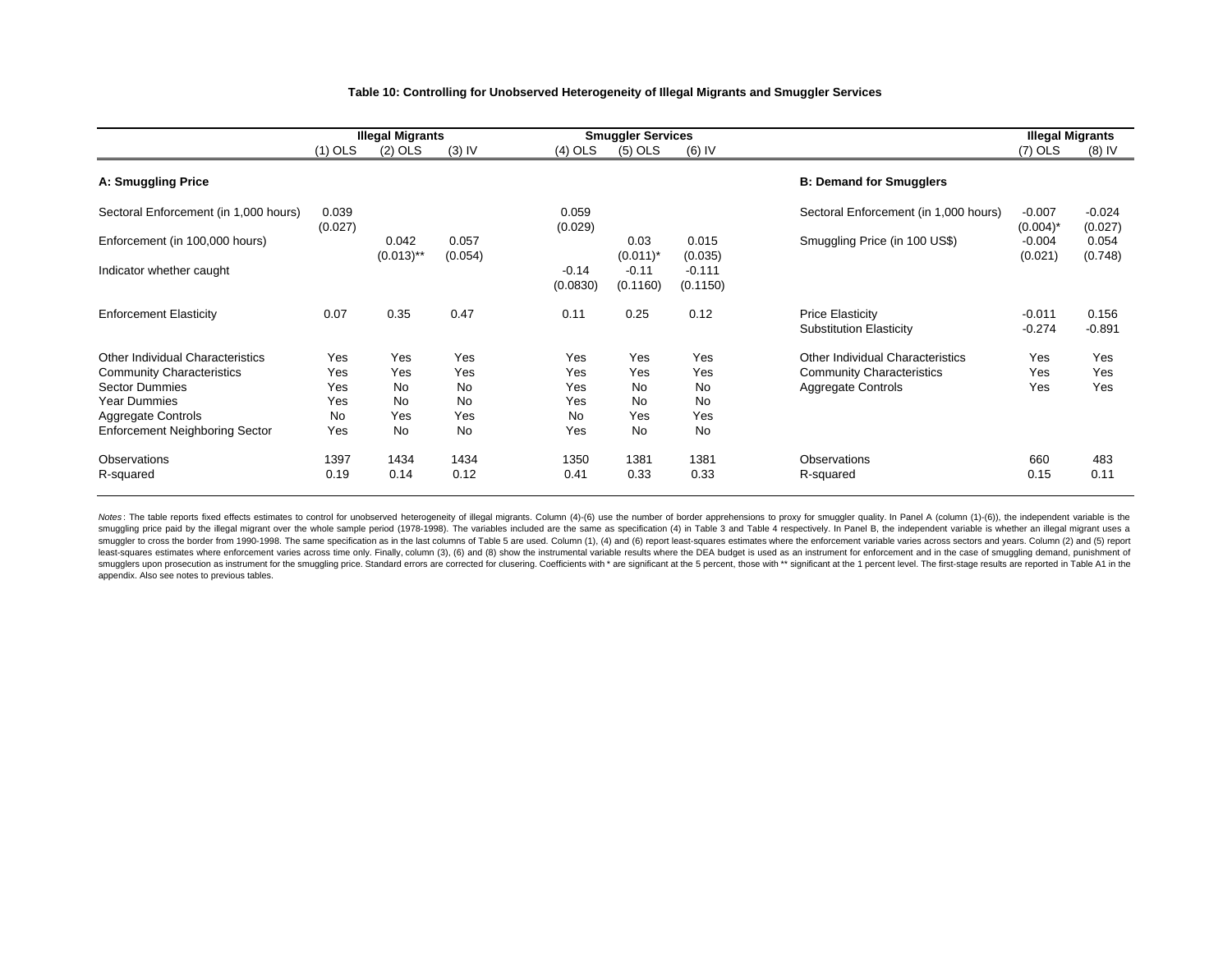#### **Table 10: Controlling for Unobserved Heterogeneity of Illegal Migrants and Smuggler Services**

|                                       |                  | <b>Illegal Migrants</b> |                  |                     | <b>Smuggler Services</b> |                      |                                                           | <b>Illegal Migrants</b> |                     |
|---------------------------------------|------------------|-------------------------|------------------|---------------------|--------------------------|----------------------|-----------------------------------------------------------|-------------------------|---------------------|
|                                       | $(1)$ OLS        | $(2)$ OLS               | $(3)$ IV         | $(4)$ OLS           | $(5)$ OLS                | $(6)$ IV             |                                                           | $(7)$ OLS               | $(8)$ IV            |
| A: Smuggling Price                    |                  |                         |                  |                     |                          |                      | <b>B: Demand for Smugglers</b>                            |                         |                     |
| Sectoral Enforcement (in 1,000 hours) | 0.039<br>(0.027) |                         |                  | 0.059<br>(0.029)    |                          |                      | Sectoral Enforcement (in 1,000 hours)                     | $-0.007$<br>$(0.004)^*$ | $-0.024$<br>(0.027) |
| Enforcement (in 100,000 hours)        |                  | 0.042<br>$(0.013)$ **   | 0.057<br>(0.054) |                     | 0.03<br>$(0.011)^*$      | 0.015<br>(0.035)     | Smuggling Price (in 100 US\$)                             | $-0.004$<br>(0.021)     | 0.054<br>(0.748)    |
| Indicator whether caught              |                  |                         |                  | $-0.14$<br>(0.0830) | $-0.11$<br>(0.1160)      | $-0.111$<br>(0.1150) |                                                           |                         |                     |
| <b>Enforcement Elasticity</b>         | 0.07             | 0.35                    | 0.47             | 0.11                | 0.25                     | 0.12                 | <b>Price Elasticity</b><br><b>Substitution Elasticity</b> | $-0.011$<br>$-0.274$    | 0.156<br>$-0.891$   |
| Other Individual Characteristics      | Yes              | Yes                     | Yes              | Yes                 | Yes                      | Yes                  | <b>Other Individual Characteristics</b>                   | Yes                     | Yes                 |
| <b>Community Characteristics</b>      | Yes              | Yes                     | Yes              | Yes                 | Yes                      | Yes                  | <b>Community Characteristics</b>                          | Yes                     | Yes                 |
| <b>Sector Dummies</b>                 | Yes              | <b>No</b>               | <b>No</b>        | Yes                 | <b>No</b>                | No                   | Aggregate Controls                                        | Yes                     | Yes                 |
| <b>Year Dummies</b>                   | Yes              | <b>No</b>               | <b>No</b>        | Yes                 | <b>No</b>                | No                   |                                                           |                         |                     |
| Aggregate Controls                    | <b>No</b>        | Yes                     | Yes              | <b>No</b>           | Yes                      | Yes                  |                                                           |                         |                     |
| <b>Enforcement Neighboring Sector</b> | Yes              | <b>No</b>               | <b>No</b>        | Yes                 | <b>No</b>                | No                   |                                                           |                         |                     |
| Observations                          | 1397             | 1434                    | 1434             | 1350                | 1381                     | 1381                 | Observations                                              | 660                     | 483                 |
| R-squared                             | 0.19             | 0.14                    | 0.12             | 0.41                | 0.33                     | 0.33                 | R-squared                                                 | 0.15                    | 0.11                |

Notes: The table reports fixed effects estimates to control for unobserved heterogeneity of illegal migrants. Column (4)-(6) use the number of border apprehensions to proxy for smuggler quality. In Panel A (column (1)-(6)) smuggling price paid by the illegal migrant over the whole sample period (1978-1998). The variables included are the same as specification (4) in Table 3 and Table 4 respectively. In Panel B, the independent variable is wh smuggler to cross the border from 1990-1998. The same specification as in the last columns of Table 5 are used. Column (1), (4) and (6) report least-squares estimates where the enforcement variable varies across sectors an least-squares estimates where enforcement varies across time only. Finally, column (3), (6) and (8) show the instrumental variable results where the DEA budget is used as an instrument for enforcement and in the case of sm smugglers upon prosecution as instrument for the smuggling price. Standard errors are corrected for clusering. Coefficients with \* are significant at the 5 percent, those with \*\* significant at the 1 percent level. The fir appendix. Also see notes to previous tables.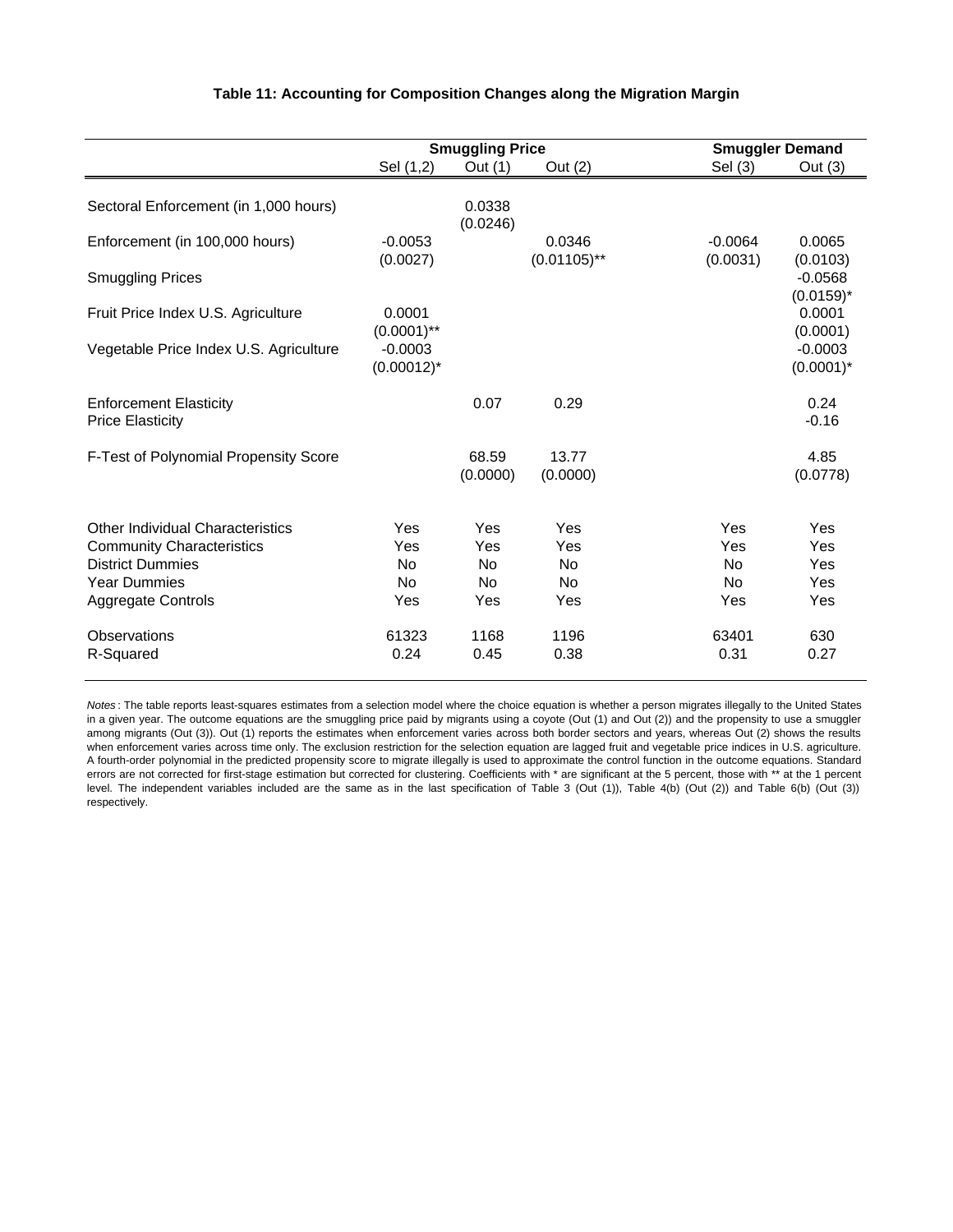|                                                                      |                              | <b>Smuggling Price</b> |                          | <b>Smuggler Demand</b> |                           |  |
|----------------------------------------------------------------------|------------------------------|------------------------|--------------------------|------------------------|---------------------------|--|
|                                                                      | Sel (1,2)                    | Out (1)                | Out (2)                  | Sel (3)                | Out $(3)$                 |  |
| Sectoral Enforcement (in 1,000 hours)                                |                              | 0.0338<br>(0.0246)     |                          |                        |                           |  |
| Enforcement (in 100,000 hours)                                       | $-0.0053$<br>(0.0027)        |                        | 0.0346<br>$(0.01105)$ ** | $-0.0064$<br>(0.0031)  | 0.0065<br>(0.0103)        |  |
| <b>Smuggling Prices</b>                                              |                              |                        |                          |                        | $-0.0568$<br>$(0.0159)^*$ |  |
| Fruit Price Index U.S. Agriculture                                   | 0.0001<br>$(0.0001)$ **      |                        |                          |                        | 0.0001<br>(0.0001)        |  |
| Vegetable Price Index U.S. Agriculture                               | $-0.0003$<br>$(0.00012)^{*}$ |                        |                          |                        | $-0.0003$<br>$(0.0001)^*$ |  |
| <b>Enforcement Elasticity</b><br><b>Price Elasticity</b>             |                              | 0.07                   | 0.29                     |                        | 0.24<br>$-0.16$           |  |
| F-Test of Polynomial Propensity Score                                |                              | 68.59<br>(0.0000)      | 13.77<br>(0.0000)        |                        | 4.85<br>(0.0778)          |  |
| Other Individual Characteristics<br><b>Community Characteristics</b> | Yes<br>Yes                   | Yes<br>Yes             | Yes<br>Yes               | Yes<br>Yes             | Yes<br>Yes                |  |
| <b>District Dummies</b>                                              | No                           | No                     | No                       | <b>No</b>              | Yes                       |  |
| <b>Year Dummies</b>                                                  | <b>No</b>                    | <b>No</b>              | <b>No</b>                | <b>No</b>              | Yes                       |  |
| <b>Aggregate Controls</b>                                            | Yes                          | Yes                    | Yes                      | Yes                    | Yes                       |  |
| Observations                                                         | 61323                        | 1168                   | 1196                     | 63401                  | 630                       |  |
| R-Squared                                                            | 0.24                         | 0.45                   | 0.38                     | 0.31                   | 0.27                      |  |

#### **Table 11: Accounting for Composition Changes along the Migration Margin**

*Notes* : The table reports least-squares estimates from a selection model where the choice equation is whether a person migrates illegally to the United States in a given year. The outcome equations are the smuggling price paid by migrants using a coyote (Out (1) and Out (2)) and the propensity to use a smuggler among migrants (Out (3)). Out (1) reports the estimates when enforcement varies across both border sectors and years, whereas Out (2) shows the results when enforcement varies across time only. The exclusion restriction for the selection equation are lagged fruit and vegetable price indices in U.S. agriculture. A fourth-order polynomial in the predicted propensity score to migrate illegally is used to approximate the control function in the outcome equations. Standard errors are not corrected for first-stage estimation but corrected for clustering. Coefficients with \* are significant at the 5 percent, those with \*\* at the 1 percent level. The independent variables included are the same as in the last specification of Table 3 (Out (1)), Table 4(b) (Out (2)) and Table 6(b) (Out (3)) respectively.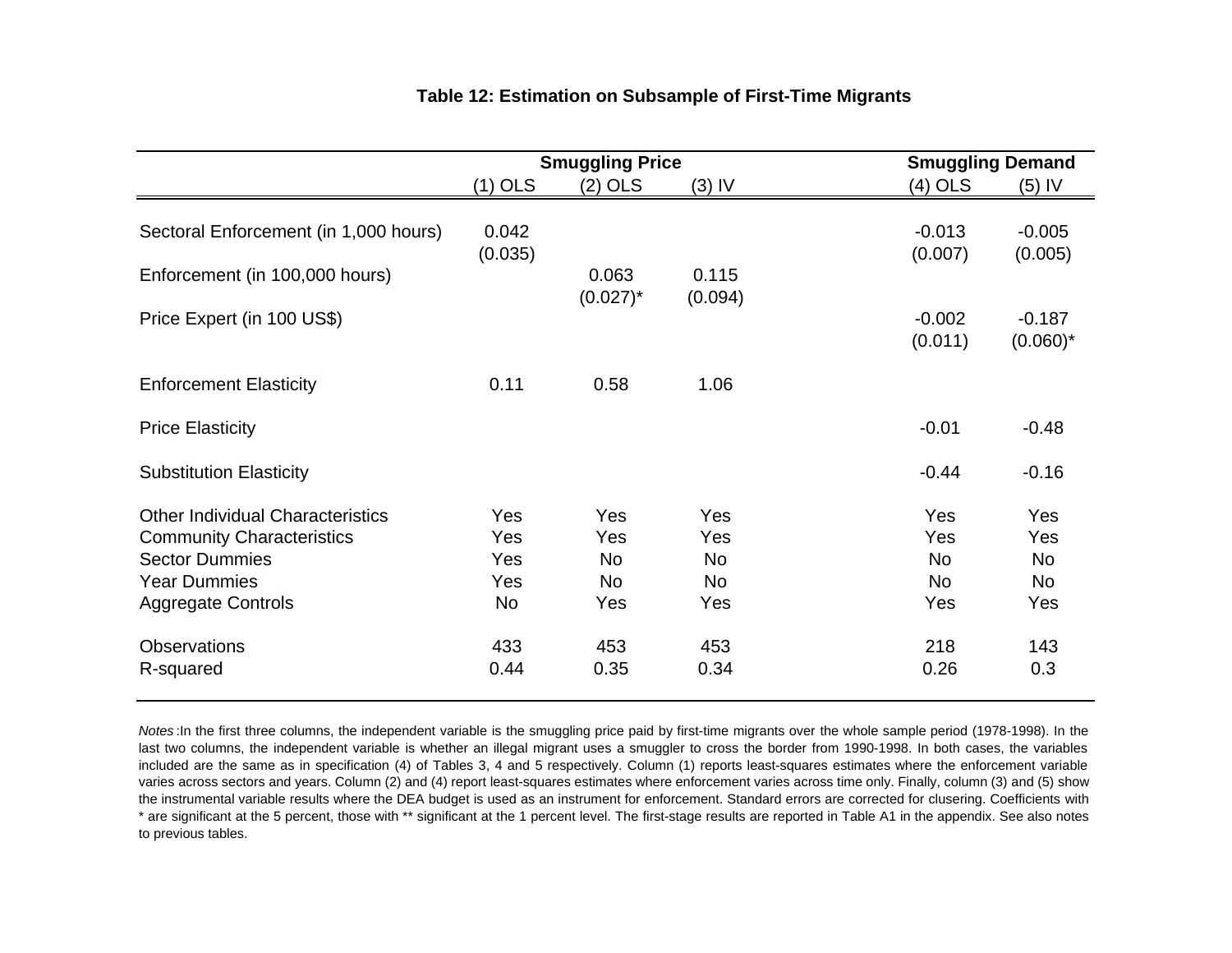|                                                                                                      | <b>Smuggling Price</b>          |                         |                         | <b>Smuggling Demand</b>               |                                |
|------------------------------------------------------------------------------------------------------|---------------------------------|-------------------------|-------------------------|---------------------------------------|--------------------------------|
|                                                                                                      | $(1)$ OLS                       | $(2)$ OLS               | $(3)$ IV                | (4) OLS                               | $(5)$ IV                       |
| Sectoral Enforcement (in 1,000 hours)                                                                | 0.042<br>(0.035)                |                         |                         | $-0.013$<br>(0.007)                   | $-0.005$<br>(0.005)            |
| Enforcement (in 100,000 hours)                                                                       |                                 | 0.063<br>$(0.027)^*$    | 0.115<br>(0.094)        |                                       |                                |
| Price Expert (in 100 US\$)                                                                           |                                 |                         |                         | $-0.002$<br>(0.011)                   | $-0.187$<br>$(0.060)^*$        |
| <b>Enforcement Elasticity</b>                                                                        | 0.11                            | 0.58                    | 1.06                    |                                       |                                |
| <b>Price Elasticity</b>                                                                              |                                 |                         |                         | $-0.01$                               | $-0.48$                        |
| <b>Substitution Elasticity</b>                                                                       |                                 |                         |                         | $-0.44$                               | $-0.16$                        |
| <b>Other Individual Characteristics</b><br><b>Community Characteristics</b><br><b>Sector Dummies</b> | <b>Yes</b><br><b>Yes</b><br>Yes | Yes<br>Yes<br><b>No</b> | <b>Yes</b><br>Yes<br>No | <b>Yes</b><br><b>Yes</b><br><b>No</b> | <b>Yes</b><br>Yes<br><b>No</b> |
| <b>Year Dummies</b><br><b>Aggregate Controls</b>                                                     | Yes<br><b>No</b>                | <b>No</b><br>Yes        | No<br>Yes               | <b>No</b><br>Yes                      | No<br>Yes                      |
| <b>Observations</b><br>R-squared                                                                     | 433<br>0.44                     | 453<br>0.35             | 453<br>0.34             | 218<br>0.26                           | 143<br>0.3                     |

### **Table 12: Estimation on Subsample of First-Time Migrants**

*Notes* :In the first three columns, the independent variable is the smuggling price paid by first-time migrants over the whole sample period (1978-1998). In the last two columns, the independent variable is whether an illegal migrant uses <sup>a</sup> smuggler to cross the border from 1990-1998. In both cases, the variables included are the same as in specification (4) of Tables 3, 4 and 5 respectively. Column (1) reports least-squares estimates where the enforcement variable varies across sectors and years. Column (2) and (4) report least-squares estimates where enforcement varies across time only. Finally, column (3) and (5) show the instrumental variable results where the DEA budget is used as an instrument for enforcement. Standard errors are corrected for clusering. Coefficients with \* are significant at the 5 percent, those with \*\* significant at the 1 percent level. The first-stage results are reported in Table A1 in the appendix. See also notes to previous tables.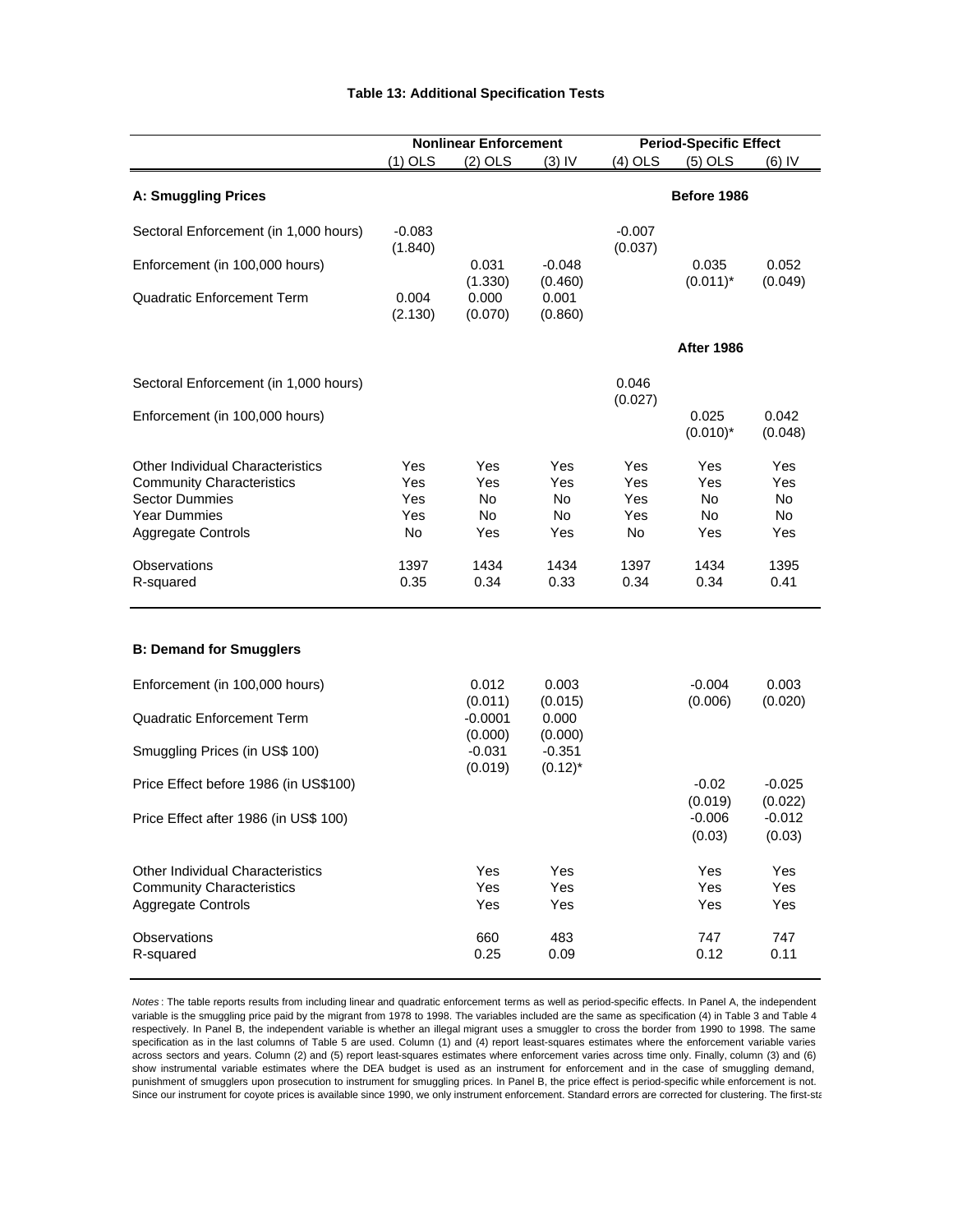#### **Table 13: Additional Specification Tests**

|                                                                             |                     | <b>Nonlinear Enforcement</b> |                        |                     | <b>Period-Specific Effect</b> |                               |  |
|-----------------------------------------------------------------------------|---------------------|------------------------------|------------------------|---------------------|-------------------------------|-------------------------------|--|
|                                                                             | $(1)$ OLS           | $(2)$ OLS                    | $(3)$ IV               | (4) OLS             | $(5)$ OLS                     | (6) IV                        |  |
| <b>A: Smuggling Prices</b>                                                  |                     |                              |                        |                     | Before 1986                   |                               |  |
| Sectoral Enforcement (in 1,000 hours)                                       | $-0.083$<br>(1.840) |                              |                        | $-0.007$<br>(0.037) |                               |                               |  |
| Enforcement (in 100,000 hours)                                              |                     | 0.031<br>(1.330)             | $-0.048$<br>(0.460)    |                     | 0.035<br>$(0.011)^*$          | 0.052<br>(0.049)              |  |
| <b>Quadratic Enforcement Term</b>                                           | 0.004<br>(2.130)    | 0.000<br>(0.070)             | 0.001<br>(0.860)       |                     |                               |                               |  |
|                                                                             |                     |                              |                        |                     | <b>After 1986</b>             |                               |  |
| Sectoral Enforcement (in 1,000 hours)                                       |                     |                              |                        | 0.046<br>(0.027)    |                               |                               |  |
| Enforcement (in 100,000 hours)                                              |                     |                              |                        |                     | 0.025<br>$(0.010)^*$          | 0.042<br>(0.048)              |  |
| <b>Other Individual Characteristics</b><br><b>Community Characteristics</b> | Yes<br>Yes          | Yes<br>Yes                   | Yes<br>Yes             | Yes<br>Yes          | Yes<br>Yes                    | Yes<br>Yes                    |  |
| <b>Sector Dummies</b>                                                       | Yes                 | No.                          | No.                    | Yes                 | No.                           | No                            |  |
| <b>Year Dummies</b>                                                         | Yes                 | No.                          | No.                    | Yes                 | No.                           | No                            |  |
| Aggregate Controls                                                          | No                  | Yes                          | Yes                    | No                  | Yes                           | Yes                           |  |
| Observations<br>R-squared                                                   | 1397<br>0.35        | 1434<br>0.34                 | 1434<br>0.33           | 1397<br>0.34        | 1434<br>0.34                  | 1395<br>0.41                  |  |
| <b>B: Demand for Smugglers</b>                                              |                     |                              |                        |                     |                               |                               |  |
| Enforcement (in 100,000 hours)                                              |                     | 0.012<br>(0.011)             | 0.003<br>(0.015)       |                     | $-0.004$<br>(0.006)           | 0.003<br>(0.020)              |  |
| <b>Quadratic Enforcement Term</b>                                           |                     | $-0.0001$<br>(0.000)         | 0.000<br>(0.000)       |                     |                               |                               |  |
| Smuggling Prices (in US\$ 100)                                              |                     | $-0.031$<br>(0.019)          | $-0.351$<br>$(0.12)^*$ |                     |                               |                               |  |
| Price Effect before 1986 (in US\$100)                                       |                     |                              |                        |                     | $-0.02$                       | $-0.025$                      |  |
| Price Effect after 1986 (in US\$ 100)                                       |                     |                              |                        |                     | (0.019)<br>$-0.006$<br>(0.03) | (0.022)<br>$-0.012$<br>(0.03) |  |
| <b>Other Individual Characteristics</b>                                     |                     | Yes                          | Yes                    |                     | Yes                           | Yes                           |  |
| <b>Community Characteristics</b><br>Aggregate Controls                      |                     | Yes<br>Yes                   | Yes<br>Yes             |                     | Yes<br>Yes                    | Yes<br>Yes                    |  |
| <b>Observations</b><br>R-squared                                            |                     | 660<br>0.25                  | 483<br>0.09            |                     | 747<br>0.12                   | 747<br>0.11                   |  |

*Notes* : The table reports results from including linear and quadratic enforcement terms as well as period-specific effects. In Panel A, the independent variable is the smuggling price paid by the migrant from 1978 to 1998. The variables included are the same as specification (4) in Table 3 and Table 4 respectively. In Panel B, the independent variable is whether an illegal migrant uses a smuggler to cross the border from 1990 to 1998. The same specification as in the last columns of Table 5 are used. Column (1) and (4) report least-squares estimates where the enforcement variable varies across sectors and years. Column (2) and (5) report least-squares estimates where enforcement varies across time only. Finally, column (3) and (6) show instrumental variable estimates where the DEA budget is used as an instrument for enforcement and in the case of smuggling demand, punishment of smugglers upon prosecution to instrument for smuggling prices. In Panel B, the price effect is period-specific while enforcement is not. Since our instrument for coyote prices is available since 1990, we only instrument enforcement. Standard errors are corrected for clustering. The first-sta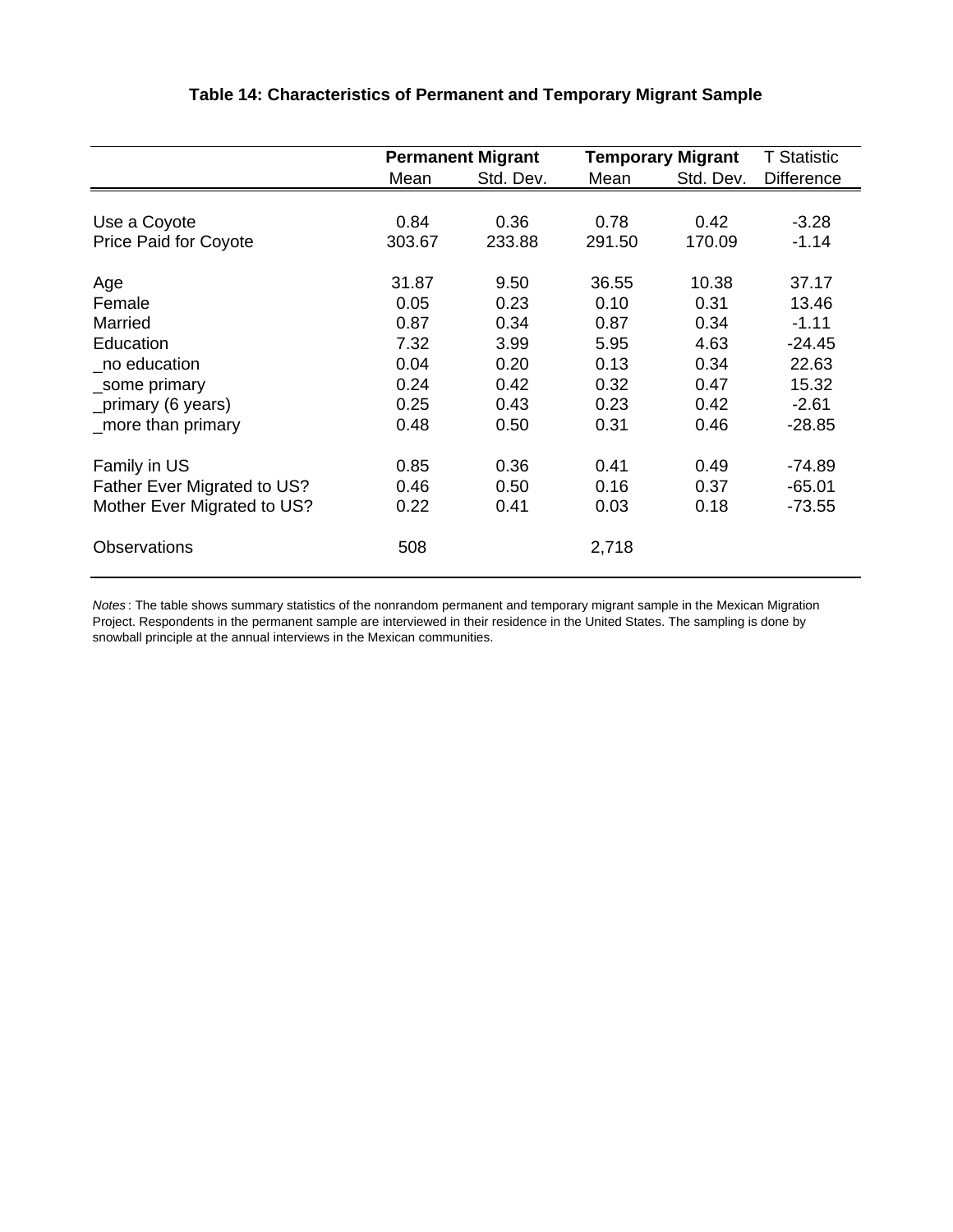|                              |        | <b>Permanent Migrant</b> |                   | <b>Temporary Migrant</b> | <b>T Statistic</b> |
|------------------------------|--------|--------------------------|-------------------|--------------------------|--------------------|
|                              | Mean   | Std. Dev.                | Std. Dev.<br>Mean |                          | <b>Difference</b>  |
|                              |        |                          |                   |                          |                    |
| Use a Coyote                 | 0.84   | 0.36                     | 0.78              | 0.42                     | $-3.28$            |
| <b>Price Paid for Coyote</b> | 303.67 | 233.88                   | 291.50            | 170.09                   | $-1.14$            |
| Age                          | 31.87  | 9.50                     | 36.55             | 10.38                    | 37.17              |
| Female                       | 0.05   | 0.23                     | 0.10              | 0.31                     | 13.46              |
| Married                      | 0.87   | 0.34                     | 0.87              | 0.34                     | $-1.11$            |
| Education                    | 7.32   | 3.99                     | 5.95              | 4.63                     | $-24.45$           |
| no education                 | 0.04   | 0.20                     | 0.13              | 0.34                     | 22.63              |
| _some primary                | 0.24   | 0.42                     | 0.32              | 0.47                     | 15.32              |
| _primary (6 years)           | 0.25   | 0.43                     | 0.23              | 0.42                     | $-2.61$            |
| more than primary            | 0.48   | 0.50                     | 0.31              | 0.46                     | $-28.85$           |
| Family in US                 | 0.85   | 0.36                     | 0.41              | 0.49                     | $-74.89$           |
| Father Ever Migrated to US?  | 0.46   | 0.50                     | 0.16              | 0.37                     | $-65.01$           |
| Mother Ever Migrated to US?  | 0.22   | 0.41                     | 0.03              | 0.18                     | $-73.55$           |
| <b>Observations</b>          | 508    |                          | 2,718             |                          |                    |

## **Table 14: Characteristics of Permanent and Temporary Migrant Sample**

*Notes* : The table shows summary statistics of the nonrandom permanent and temporary migrant sample in the Mexican Migration Project. Respondents in the permanent sample are interviewed in their residence in the United States. The sampling is done by snowball principle at the annual interviews in the Mexican communities.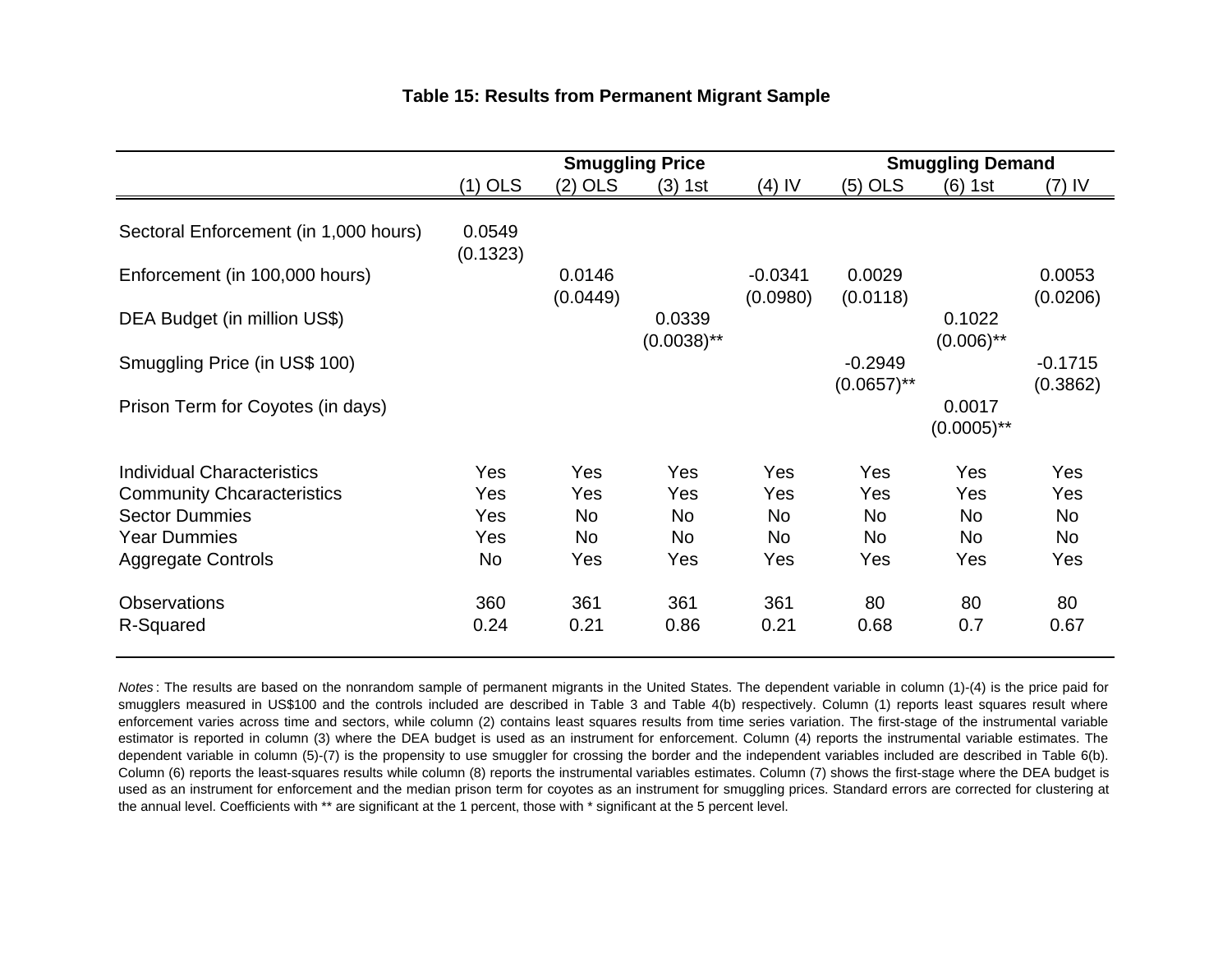|  |  | <b>Table 15: Results from Permanent Migrant Sample</b> |  |
|--|--|--------------------------------------------------------|--|
|  |  |                                                        |  |

|                                       |                    |                    | <b>Smuggling Price</b>  |                       | <b>Smuggling Demand</b>    |                         |                       |  |
|---------------------------------------|--------------------|--------------------|-------------------------|-----------------------|----------------------------|-------------------------|-----------------------|--|
|                                       | $(1)$ OLS          | $(2)$ OLS          | (3) 1st                 | (4) IV                | $(5)$ OLS                  | $(6)$ 1st               | (7) IV                |  |
| Sectoral Enforcement (in 1,000 hours) | 0.0549<br>(0.1323) |                    |                         |                       |                            |                         |                       |  |
| Enforcement (in 100,000 hours)        |                    | 0.0146<br>(0.0449) |                         | $-0.0341$<br>(0.0980) | 0.0029<br>(0.0118)         |                         | 0.0053<br>(0.0206)    |  |
| DEA Budget (in million US\$)          |                    |                    | 0.0339<br>$(0.0038)$ ** |                       |                            | 0.1022<br>$(0.006)$ **  |                       |  |
| Smuggling Price (in US\$ 100)         |                    |                    |                         |                       | $-0.2949$<br>$(0.0657)$ ** |                         | $-0.1715$<br>(0.3862) |  |
| Prison Term for Coyotes (in days)     |                    |                    |                         |                       |                            | 0.0017<br>$(0.0005)$ ** |                       |  |
| <b>Individual Characteristics</b>     | <b>Yes</b>         | <b>Yes</b>         | <b>Yes</b>              | Yes                   | Yes                        | Yes                     | Yes                   |  |
| <b>Community Chcaracteristics</b>     | <b>Yes</b>         | Yes                | Yes                     | Yes                   | Yes                        | Yes                     | Yes                   |  |
| <b>Sector Dummies</b>                 | Yes                | <b>No</b>          | <b>No</b>               | <b>No</b>             | <b>No</b>                  | No                      | <b>No</b>             |  |
| <b>Year Dummies</b>                   | Yes                | <b>No</b>          | <b>No</b>               | <b>No</b>             | <b>No</b>                  | N <sub>o</sub>          | <b>No</b>             |  |
| <b>Aggregate Controls</b>             | <b>No</b>          | Yes                | Yes                     | Yes                   | Yes                        | Yes                     | Yes                   |  |
| <b>Observations</b>                   | 360                | 361                | 361                     | 361                   | 80                         | 80                      | 80                    |  |
| R-Squared                             | 0.24               | 0.21               | 0.86                    | 0.21                  | 0.68                       | 0.7                     | 0.67                  |  |

*Notes* : The results are based on the nonrandom sample of permanent migrants in the United States. The dependent variable in column (1)-(4) is the price paid for smugglers measured in US\$100 and the controls included are described in Table 3 and Table 4(b) respectively. Column (1) reports least squares result where enforcement varies across time and sectors, while column (2) contains least squares results from time series variation. The first-stage of the instrumental variable estimator is reported in column (3) where the DEA budget is used as an instrument for enforcement. Column (4) reports the instrumental variable estimates. The dependent variable in column (5)-(7) is the propensity to use smuggler for crossing the border and the independent variables included are described in Table 6(b). Column (6) reports the least-squares results while column (8) reports the instrumental variables estimates. Column (7) shows the first-stage where the DEA budget is used as an instrument for enforcement and the median prison term for coyotes as an instrument for smuggling prices. Standard errors are corrected for clustering at the annual level. Coefficients with \*\* are significant at the 1 percent, those with \* significant at the 5 percent level.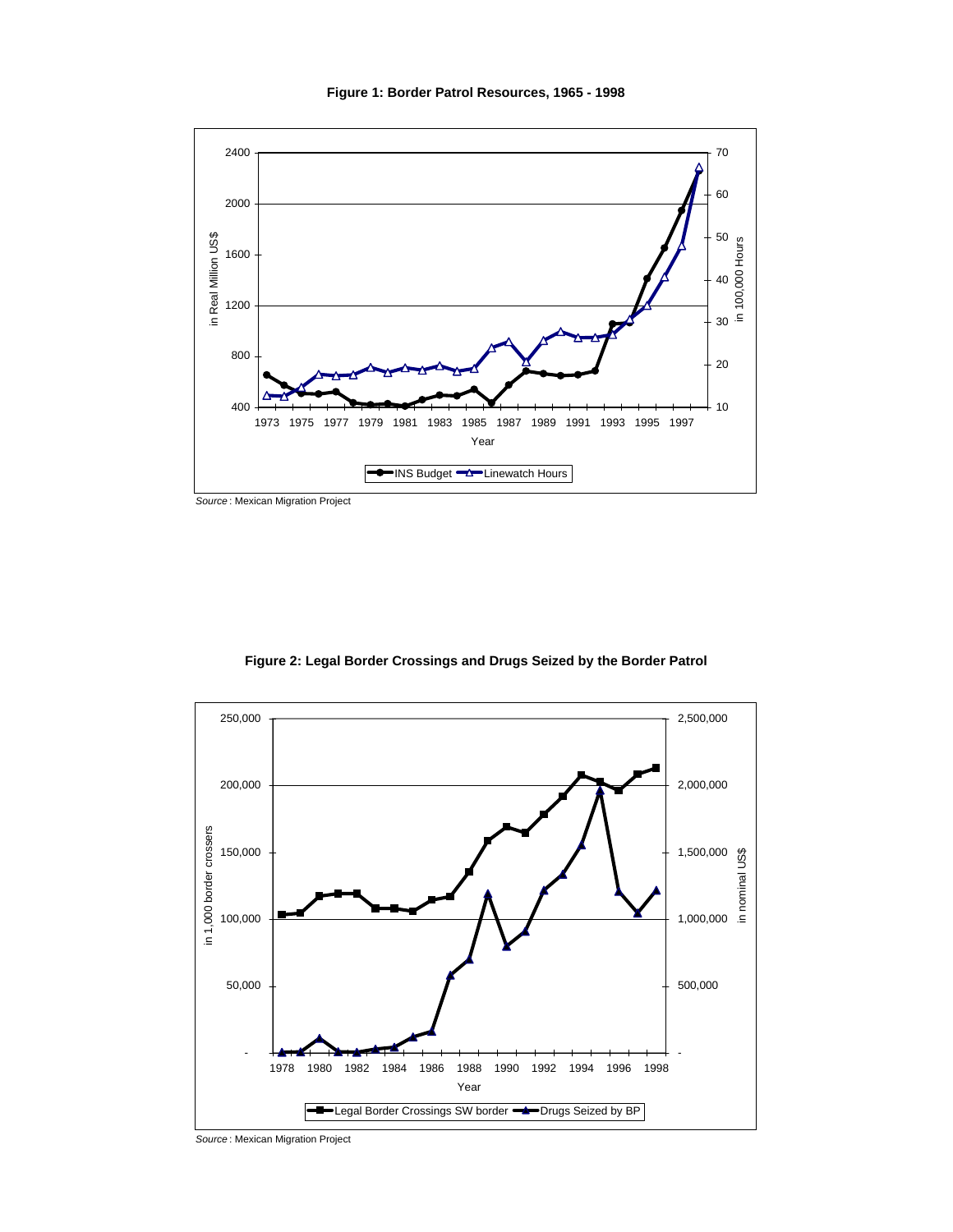

*Source* : Mexican Migration Project



**Figure 2: Legal Border Crossings and Drugs Seized by the Border Patrol**

*Source* : Mexican Migration Project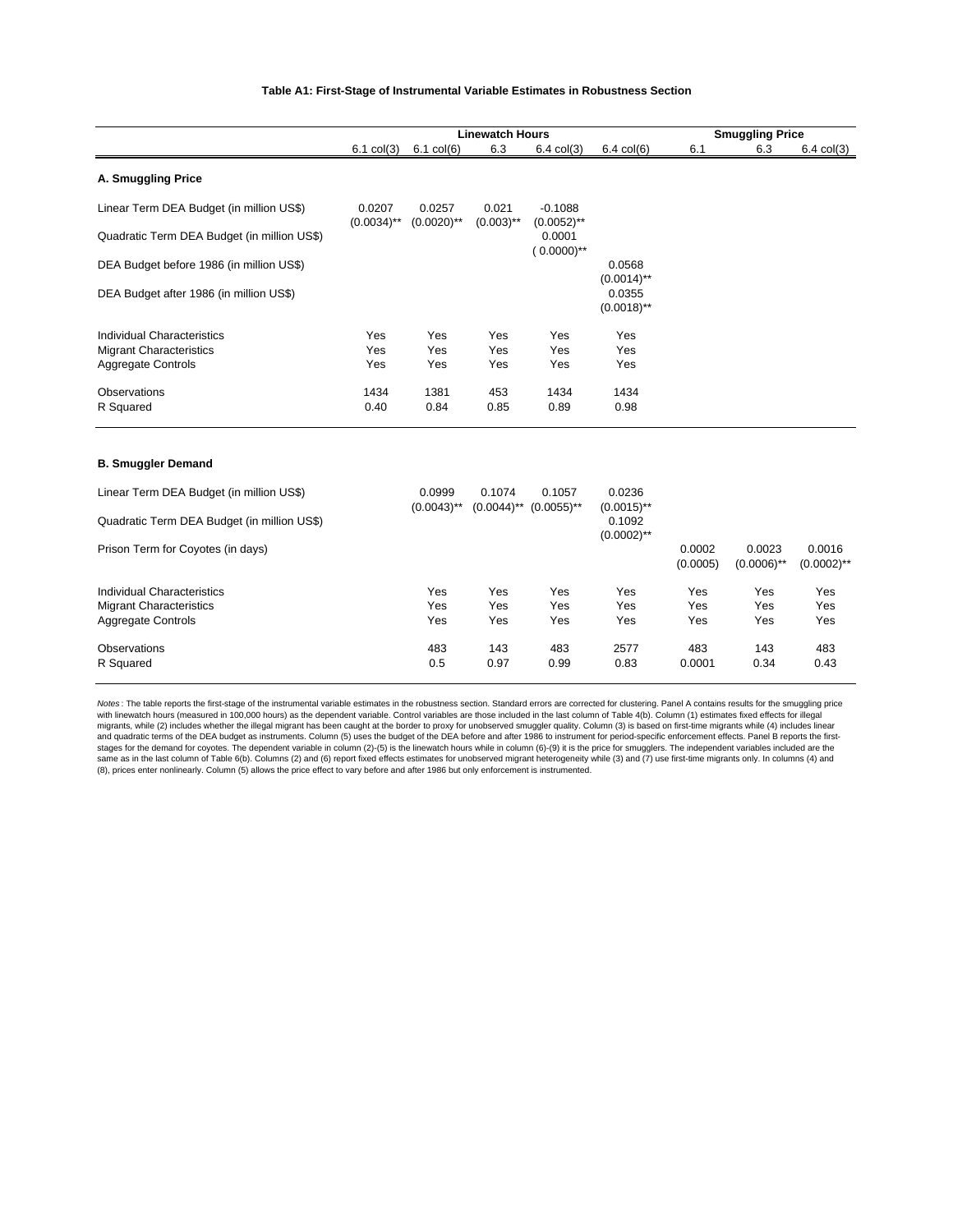#### **Table A1: First-Stage of Instrumental Variable Estimates in Robustness Section**

|                                             |                         |                         | <b>Linewatch Hours</b>  |                            |                         |                    | <b>Smuggling Price</b>  |                         |  |
|---------------------------------------------|-------------------------|-------------------------|-------------------------|----------------------------|-------------------------|--------------------|-------------------------|-------------------------|--|
|                                             | $6.1$ col $(3)$         | $6.1$ col $(6)$         | 6.3                     | $6.4$ col $(3)$            | $6.4$ col $(6)$         | 6.1                | 6.3                     | $6.4$ col $(3)$         |  |
| A. Smuggling Price                          |                         |                         |                         |                            |                         |                    |                         |                         |  |
| Linear Term DEA Budget (in million US\$)    | 0.0207<br>$(0.0034)$ ** | 0.0257<br>$(0.0020)$ ** | 0.021<br>$(0.003)$ **   | $-0.1088$<br>$(0.0052)$ ** |                         |                    |                         |                         |  |
| Quadratic Term DEA Budget (in million US\$) |                         |                         |                         | 0.0001<br>$(0.0000)$ **    |                         |                    |                         |                         |  |
| DEA Budget before 1986 (in million US\$)    |                         |                         |                         |                            | 0.0568<br>$(0.0014)$ ** |                    |                         |                         |  |
| DEA Budget after 1986 (in million US\$)     |                         |                         |                         |                            | 0.0355<br>$(0.0018)$ ** |                    |                         |                         |  |
| <b>Individual Characteristics</b>           | Yes                     | Yes                     | Yes                     | Yes                        | Yes                     |                    |                         |                         |  |
| <b>Migrant Characteristics</b>              | Yes                     | Yes                     | Yes                     | Yes                        | Yes                     |                    |                         |                         |  |
| <b>Aggregate Controls</b>                   | Yes                     | Yes                     | Yes                     | Yes                        | Yes                     |                    |                         |                         |  |
| Observations                                | 1434                    | 1381                    | 453                     | 1434                       | 1434                    |                    |                         |                         |  |
| R Squared                                   | 0.40                    | 0.84                    | 0.85                    | 0.89                       | 0.98                    |                    |                         |                         |  |
| <b>B. Smuggler Demand</b>                   |                         |                         |                         |                            |                         |                    |                         |                         |  |
| Linear Term DEA Budget (in million US\$)    |                         | 0.0999<br>$(0.0043)$ ** | 0.1074<br>$(0.0044)$ ** | 0.1057<br>$(0.0055)$ **    | 0.0236<br>$(0.0015)$ ** |                    |                         |                         |  |
| Quadratic Term DEA Budget (in million US\$) |                         |                         |                         |                            | 0.1092<br>$(0.0002)$ ** |                    |                         |                         |  |
| Prison Term for Coyotes (in days)           |                         |                         |                         |                            |                         | 0.0002<br>(0.0005) | 0.0023<br>$(0.0006)$ ** | 0.0016<br>$(0.0002)$ ** |  |
| <b>Individual Characteristics</b>           |                         | Yes                     | Yes                     | Yes                        | Yes                     | Yes                | Yes                     | Yes                     |  |

| <b>Migrant Characteristics</b> | Yes |      |      |      |        |            |      |
|--------------------------------|-----|------|------|------|--------|------------|------|
|                                |     | Yes  | Yes  | Yes  | Yes    | <b>Yes</b> | Yes  |
| <b>Aggregate Controls</b>      | Yes | Yes  | Yes  | Yes  | Yes    | Yes        | Yes  |
| Observations                   | 483 | 143  | 483  | 2577 | 483    | 143        | 483  |
| R Squared                      | 0.5 | 0.97 | 0.99 | 0.83 | 0.0001 | 0.34       | 0.43 |

Notes: The table reports the first-stage of the instrumental variable estimates in the robustness section. Standard errors are corrected for clustering. Panel A contains results for the smuggling price<br>with linewatch hours migrants, while (2) includes whether the illegal migrant has been caught at the border to proxy for unobserved smuggler quality. Column (3) is based on first-time migrants while (4) includes linear<br>and quadratic terms of t same as in the last column of Table 6(b). Columns (2) and (6) report fixed effects estimates for unobserved migrant heterogeneity while (3) and (7) use first-time migrants only. In columns (4) and (8), prices enter nonlinearly. Column (5) allows the price effect to vary before and after 1986 but only enforcement is instrumented.